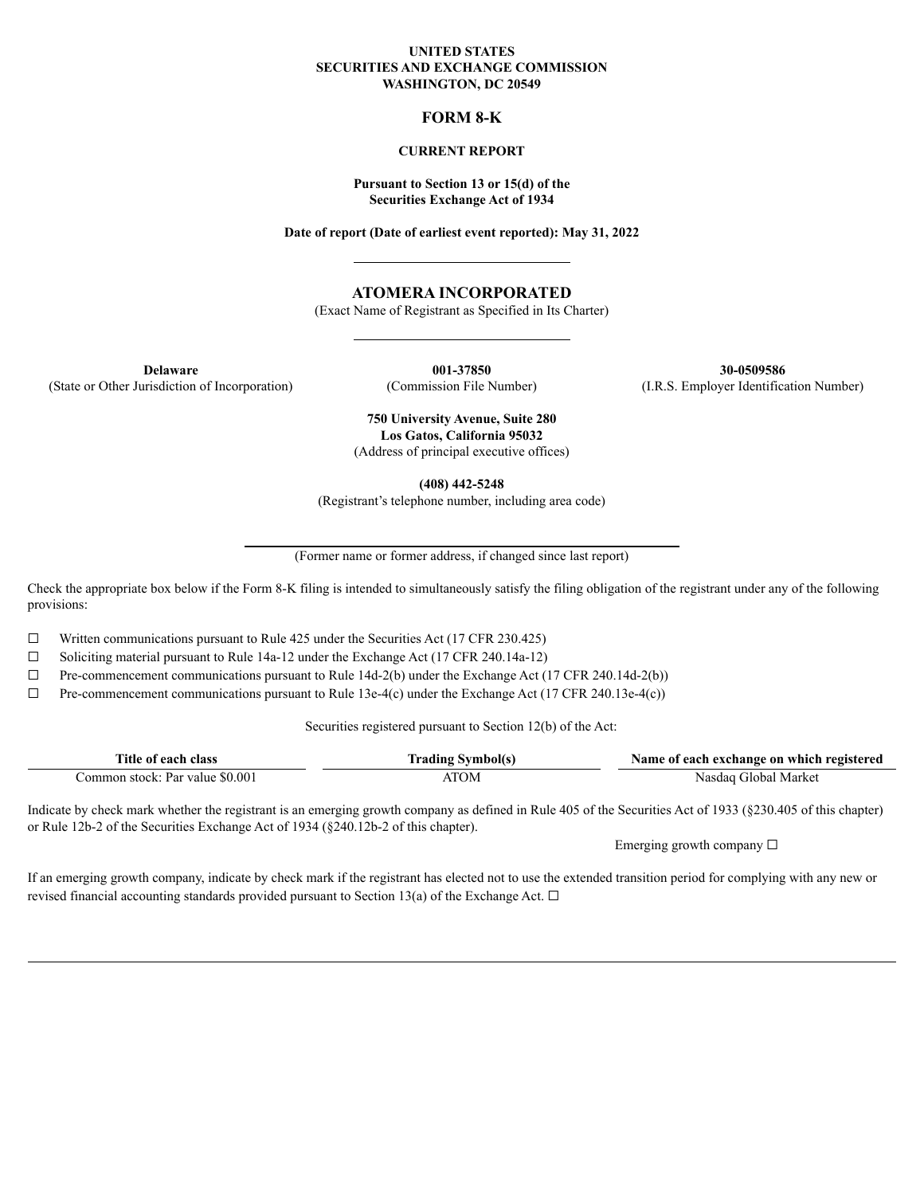#### **UNITED STATES SECURITIES AND EXCHANGE COMMISSION WASHINGTON, DC 20549**

### **FORM 8-K**

#### **CURRENT REPORT**

### **Pursuant to Section 13 or 15(d) of the Securities Exchange Act of 1934**

**Date of report (Date of earliest event reported): May 31, 2022**

# **ATOMERA INCORPORATED**

(Exact Name of Registrant as Specified in Its Charter)

(State or Other Jurisdiction of Incorporation) (Commission File Number) (I.R.S. Employer Identification Number)

**Delaware 001-37850 30-0509586**

**750 University Avenue, Suite 280 Los Gatos, California 95032** (Address of principal executive offices)

**(408) 442-5248**

(Registrant's telephone number, including area code)

(Former name or former address, if changed since last report)

Check the appropriate box below if the Form 8-K filing is intended to simultaneously satisfy the filing obligation of the registrant under any of the following provisions:

☐ Written communications pursuant to Rule 425 under the Securities Act (17 CFR 230.425)

 $\Box$  Soliciting material pursuant to Rule 14a-12 under the Exchange Act (17 CFR 240.14a-12)

 $\Box$  Pre-commencement communications pursuant to Rule 14d-2(b) under the Exchange Act (17 CFR 240.14d-2(b))

☐ Pre-commencement communications pursuant to Rule 13e-4(c) under the Exchange Act (17 CFR 240.13e-4(c))

Securities registered pursuant to Section 12(b) of the Act:

| $- - -$<br>. itle<br>class<br>agon<br>01  | ---         | registered<br>Aame :<br>exchange<br>⊢which-<br>each<br>: on<br>$\Omega$ |
|-------------------------------------------|-------------|-------------------------------------------------------------------------|
| 0.00<br>:ommon<br>stock:<br>Par<br>∵value | <u>та с</u> | Marke<br>ilobai                                                         |

Indicate by check mark whether the registrant is an emerging growth company as defined in Rule 405 of the Securities Act of 1933 (§230.405 of this chapter) or Rule 12b-2 of the Securities Exchange Act of 1934 (§240.12b-2 of this chapter).

Emerging growth company ☐

If an emerging growth company, indicate by check mark if the registrant has elected not to use the extended transition period for complying with any new or revised financial accounting standards provided pursuant to Section 13(a) of the Exchange Act.  $\Box$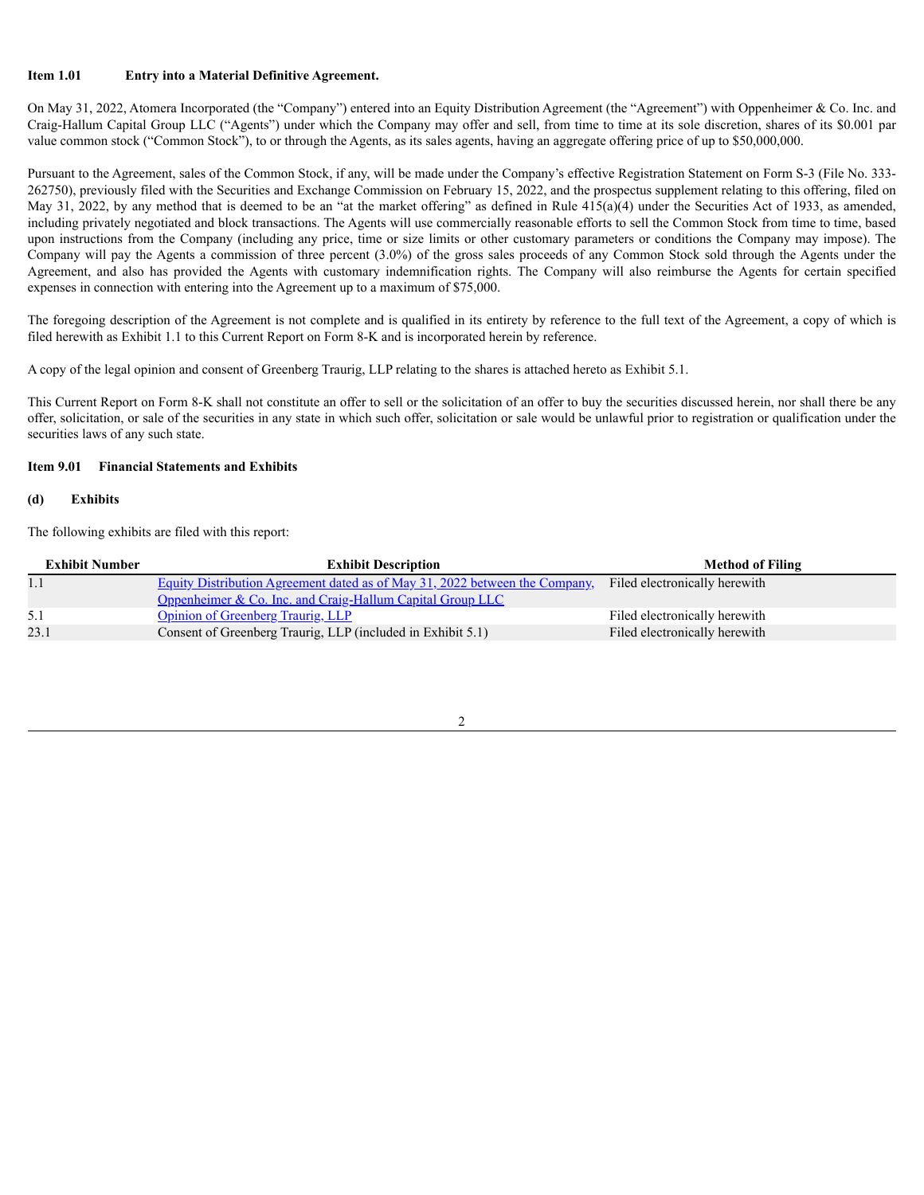### **Item 1.01 Entry into a Material Definitive Agreement.**

On May 31, 2022, Atomera Incorporated (the "Company") entered into an Equity Distribution Agreement (the "Agreement") with Oppenheimer & Co. Inc. and Craig-Hallum Capital Group LLC ("Agents") under which the Company may offer and sell, from time to time at its sole discretion, shares of its \$0.001 par value common stock ("Common Stock"), to or through the Agents, as its sales agents, having an aggregate offering price of up to \$50,000,000.

Pursuant to the Agreement, sales of the Common Stock, if any, will be made under the Company's effective Registration Statement on Form S-3 (File No. 333- 262750), previously filed with the Securities and Exchange Commission on February 15, 2022, and the prospectus supplement relating to this offering, filed on May 31, 2022, by any method that is deemed to be an "at the market offering" as defined in Rule  $415(a)(4)$  under the Securities Act of 1933, as amended, including privately negotiated and block transactions. The Agents will use commercially reasonable efforts to sell the Common Stock from time to time, based upon instructions from the Company (including any price, time or size limits or other customary parameters or conditions the Company may impose). The Company will pay the Agents a commission of three percent (3.0%) of the gross sales proceeds of any Common Stock sold through the Agents under the Agreement, and also has provided the Agents with customary indemnification rights. The Company will also reimburse the Agents for certain specified expenses in connection with entering into the Agreement up to a maximum of \$75,000.

The foregoing description of the Agreement is not complete and is qualified in its entirety by reference to the full text of the Agreement, a copy of which is filed herewith as Exhibit 1.1 to this Current Report on Form 8-K and is incorporated herein by reference.

A copy of the legal opinion and consent of Greenberg Traurig, LLP relating to the shares is attached hereto as Exhibit 5.1.

This Current Report on Form 8-K shall not constitute an offer to sell or the solicitation of an offer to buy the securities discussed herein, nor shall there be any offer, solicitation, or sale of the securities in any state in which such offer, solicitation or sale would be unlawful prior to registration or qualification under the securities laws of any such state.

### **Item 9.01 Financial Statements and Exhibits**

# **(d) Exhibits**

The following exhibits are filed with this report:

| <b>Exhibit Number</b> | <b>Exhibit Description</b>                                                                                | <b>Method of Filing</b>       |
|-----------------------|-----------------------------------------------------------------------------------------------------------|-------------------------------|
|                       | Equity Distribution Agreement dated as of May 31, 2022 between the Company. Filed electronically herewith |                               |
|                       | Oppenheimer & Co. Inc. and Craig-Hallum Capital Group LLC                                                 |                               |
| 5.1                   | <b>Opinion of Greenberg Traurig, LLP</b>                                                                  | Filed electronically herewith |
| 23.1                  | Consent of Greenberg Traurig, LLP (included in Exhibit 5.1)                                               | Filed electronically herewith |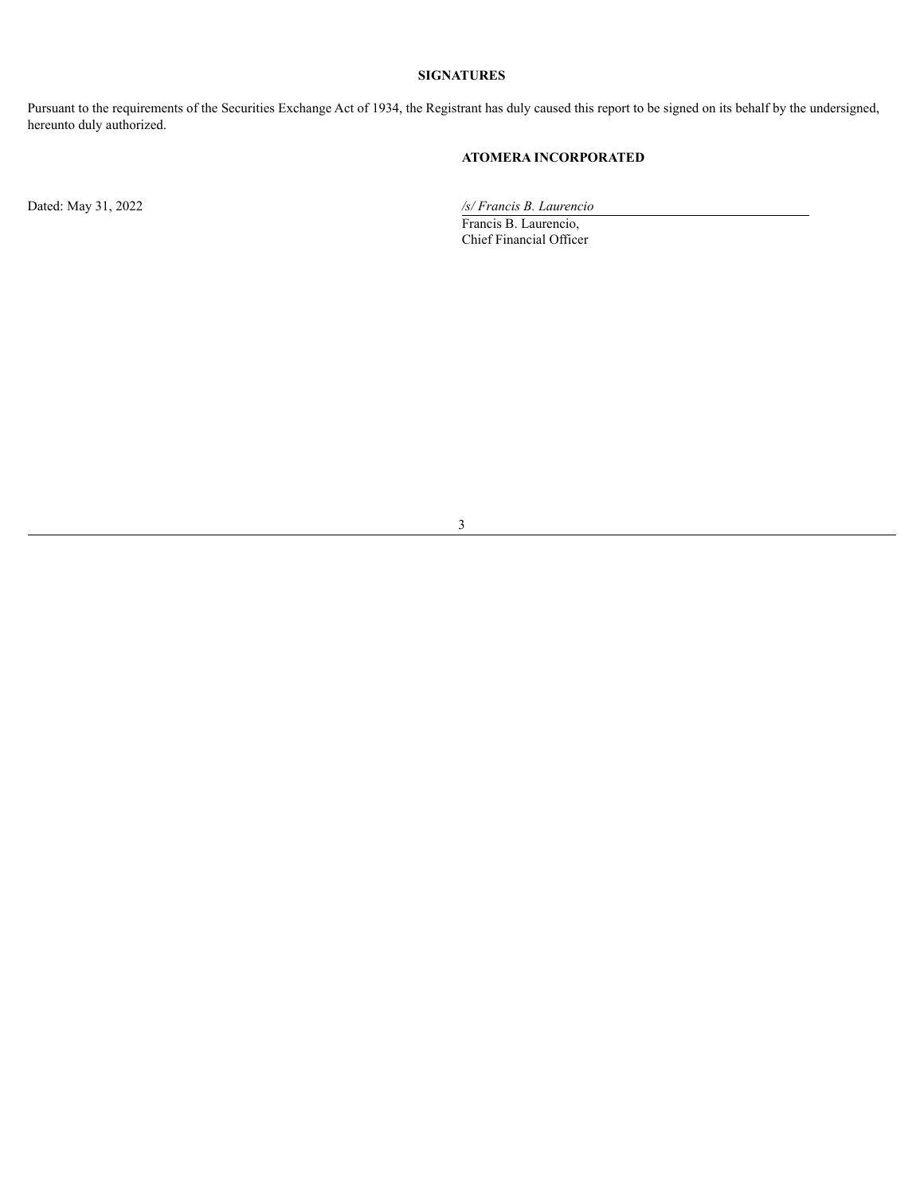# **SIGNATURES**

Pursuant to the requirements of the Securities Exchange Act of 1934, the Registrant has duly caused this report to be signed on its behalf by the undersigned, hereunto duly authorized.

# **ATOMERA INCORPORATED**

Dated: May 31, 2022 */s/ Francis B. Laurencio*

Francis B. Laurencio, Chief Financial Officer

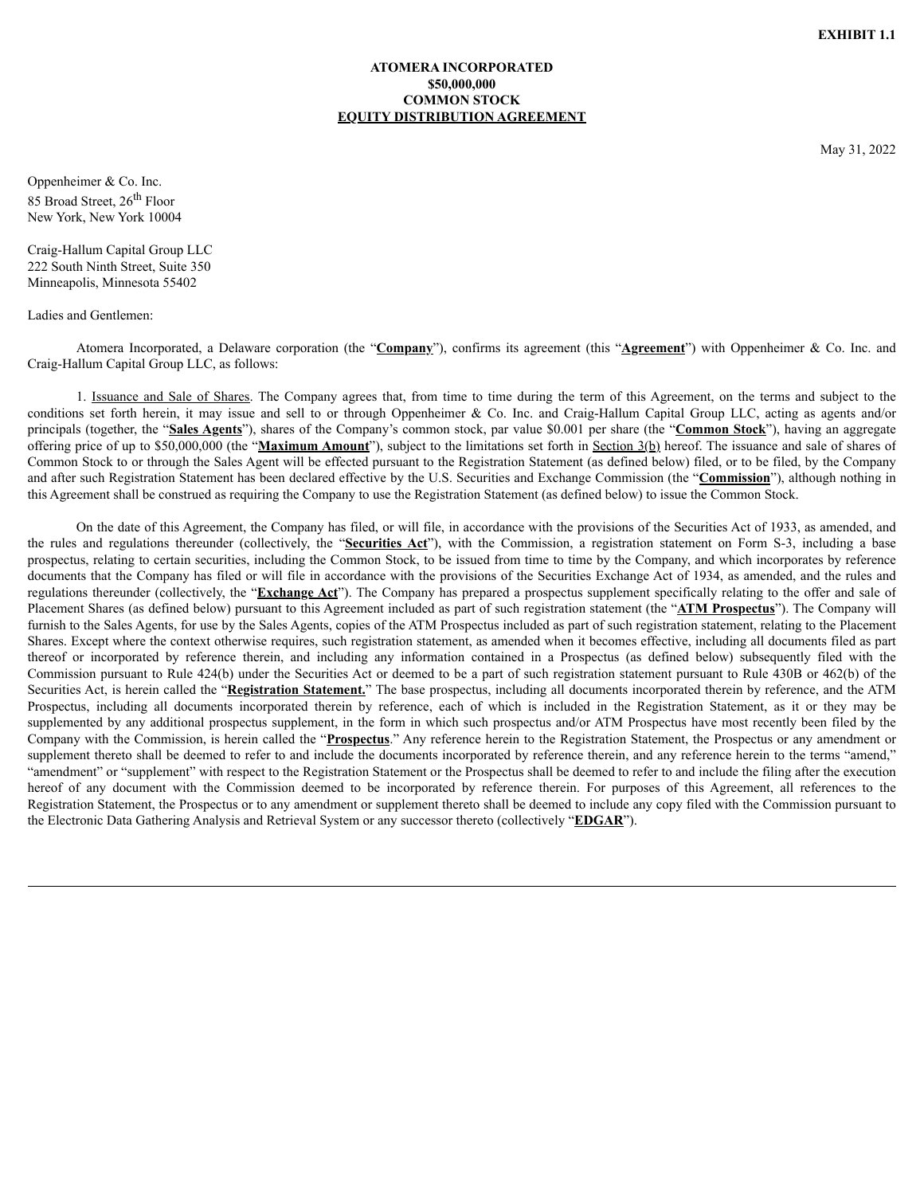### **ATOMERA INCORPORATED \$50,000,000 COMMON STOCK EQUITY DISTRIBUTION AGREEMENT**

May 31, 2022

<span id="page-3-0"></span>Oppenheimer & Co. Inc. 85 Broad Street, 26<sup>th</sup> Floor New York, New York 10004

Craig-Hallum Capital Group LLC 222 South Ninth Street, Suite 350 Minneapolis, Minnesota 55402

Ladies and Gentlemen:

Atomera Incorporated, a Delaware corporation (the "**Company**"), confirms its agreement (this "**Agreement**") with Oppenheimer & Co. Inc. and Craig-Hallum Capital Group LLC, as follows:

1. Issuance and Sale of Shares. The Company agrees that, from time to time during the term of this Agreement, on the terms and subject to the conditions set forth herein, it may issue and sell to or through Oppenheimer & Co. Inc. and Craig-Hallum Capital Group LLC, acting as agents and/or principals (together, the "**Sales Agents**"), shares of the Company's common stock, par value \$0.001 per share (the "**Common Stock**"), having an aggregate offering price of up to \$50,000,000 (the "**Maximum Amount**"), subject to the limitations set forth in Section 3(b) hereof. The issuance and sale of shares of Common Stock to or through the Sales Agent will be effected pursuant to the Registration Statement (as defined below) filed, or to be filed, by the Company and after such Registration Statement has been declared effective by the U.S. Securities and Exchange Commission (the "**Commission**"), although nothing in this Agreement shall be construed as requiring the Company to use the Registration Statement (as defined below) to issue the Common Stock.

On the date of this Agreement, the Company has filed, or will file, in accordance with the provisions of the Securities Act of 1933, as amended, and the rules and regulations thereunder (collectively, the "**Securities Act**"), with the Commission, a registration statement on Form S-3, including a base prospectus, relating to certain securities, including the Common Stock, to be issued from time to time by the Company, and which incorporates by reference documents that the Company has filed or will file in accordance with the provisions of the Securities Exchange Act of 1934, as amended, and the rules and regulations thereunder (collectively, the "**Exchange Act**"). The Company has prepared a prospectus supplement specifically relating to the offer and sale of Placement Shares (as defined below) pursuant to this Agreement included as part of such registration statement (the "**ATM Prospectus**"). The Company will furnish to the Sales Agents, for use by the Sales Agents, copies of the ATM Prospectus included as part of such registration statement, relating to the Placement Shares. Except where the context otherwise requires, such registration statement, as amended when it becomes effective, including all documents filed as part thereof or incorporated by reference therein, and including any information contained in a Prospectus (as defined below) subsequently filed with the Commission pursuant to Rule 424(b) under the Securities Act or deemed to be a part of such registration statement pursuant to Rule 430B or 462(b) of the Securities Act, is herein called the "**Registration Statement.**" The base prospectus, including all documents incorporated therein by reference, and the ATM Prospectus, including all documents incorporated therein by reference, each of which is included in the Registration Statement, as it or they may be supplemented by any additional prospectus supplement, in the form in which such prospectus and/or ATM Prospectus have most recently been filed by the Company with the Commission, is herein called the "**Prospectus**." Any reference herein to the Registration Statement, the Prospectus or any amendment or supplement thereto shall be deemed to refer to and include the documents incorporated by reference therein, and any reference herein to the terms "amend," "amendment" or "supplement" with respect to the Registration Statement or the Prospectus shall be deemed to refer to and include the filing after the execution hereof of any document with the Commission deemed to be incorporated by reference therein. For purposes of this Agreement, all references to the Registration Statement, the Prospectus or to any amendment or supplement thereto shall be deemed to include any copy filed with the Commission pursuant to the Electronic Data Gathering Analysis and Retrieval System or any successor thereto (collectively "**EDGAR**").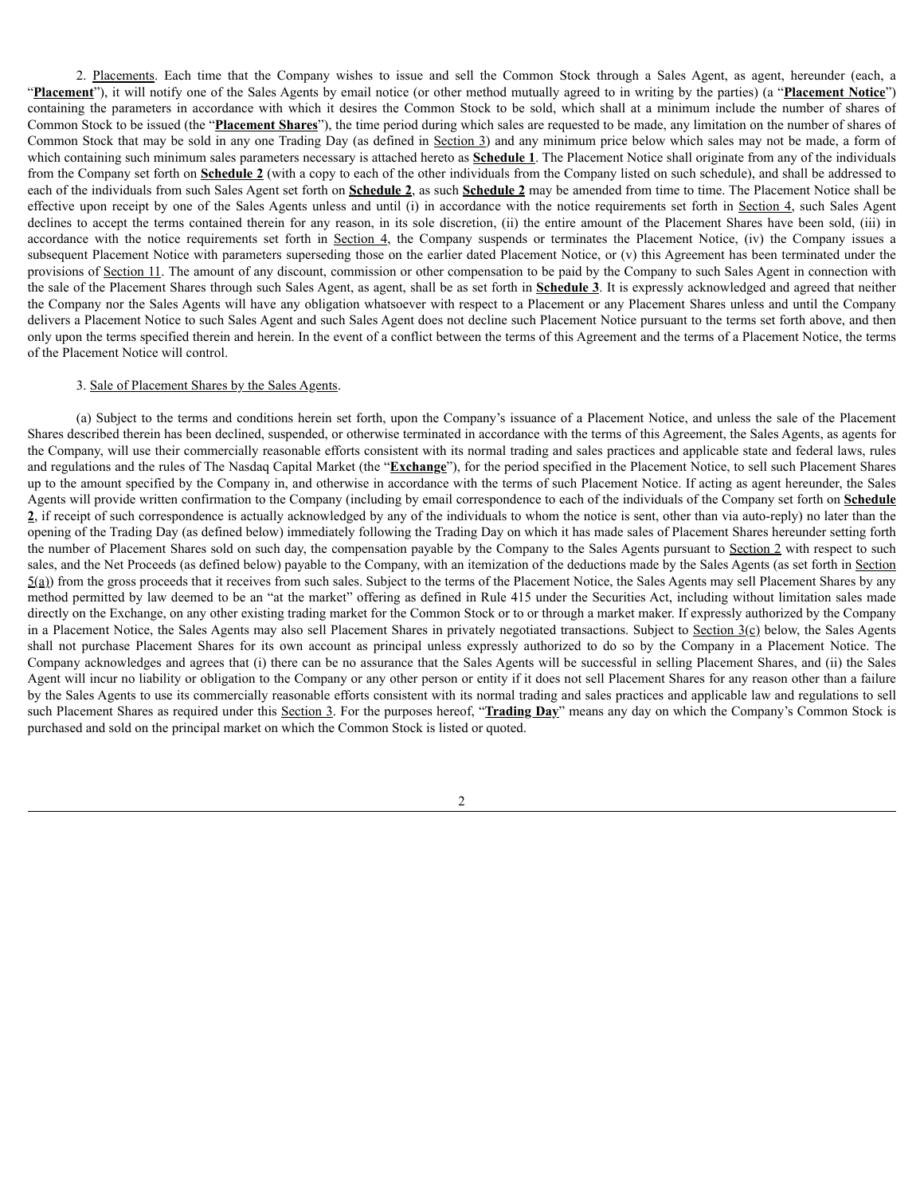2. Placements. Each time that the Company wishes to issue and sell the Common Stock through a Sales Agent, as agent, hereunder (each, a "**Placement**"), it will notify one of the Sales Agents by email notice (or other method mutually agreed to in writing by the parties) (a "**Placement Notice**") containing the parameters in accordance with which it desires the Common Stock to be sold, which shall at a minimum include the number of shares of Common Stock to be issued (the "**Placement Shares**"), the time period during which sales are requested to be made, any limitation on the number of shares of Common Stock that may be sold in any one Trading Day (as defined in Section 3) and any minimum price below which sales may not be made, a form of which containing such minimum sales parameters necessary is attached hereto as **Schedule 1**. The Placement Notice shall originate from any of the individuals from the Company set forth on **Schedule 2** (with a copy to each of the other individuals from the Company listed on such schedule), and shall be addressed to each of the individuals from such Sales Agent set forth on **Schedule 2**, as such **Schedule 2** may be amended from time to time. The Placement Notice shall be effective upon receipt by one of the Sales Agents unless and until (i) in accordance with the notice requirements set forth in Section  $4$ , such Sales Agent declines to accept the terms contained therein for any reason, in its sole discretion, (ii) the entire amount of the Placement Shares have been sold, (iii) in accordance with the notice requirements set forth in Section 4, the Company suspends or terminates the Placement Notice, (iv) the Company issues a subsequent Placement Notice with parameters superseding those on the earlier dated Placement Notice, or (v) this Agreement has been terminated under the provisions of Section 11. The amount of any discount, commission or other compensation to be paid by the Company to such Sales Agent in connection with the sale of the Placement Shares through such Sales Agent, as agent, shall be as set forth in **Schedule 3**. It is expressly acknowledged and agreed that neither the Company nor the Sales Agents will have any obligation whatsoever with respect to a Placement or any Placement Shares unless and until the Company delivers a Placement Notice to such Sales Agent and such Sales Agent does not decline such Placement Notice pursuant to the terms set forth above, and then only upon the terms specified therein and herein. In the event of a conflict between the terms of this Agreement and the terms of a Placement Notice, the terms of the Placement Notice will control.

#### 3. Sale of Placement Shares by the Sales Agents.

(a) Subject to the terms and conditions herein set forth, upon the Company's issuance of a Placement Notice, and unless the sale of the Placement Shares described therein has been declined, suspended, or otherwise terminated in accordance with the terms of this Agreement, the Sales Agents, as agents for the Company, will use their commercially reasonable efforts consistent with its normal trading and sales practices and applicable state and federal laws, rules and regulations and the rules of The Nasdaq Capital Market (the "**Exchange**"), for the period specified in the Placement Notice, to sell such Placement Shares up to the amount specified by the Company in, and otherwise in accordance with the terms of such Placement Notice. If acting as agent hereunder, the Sales Agents will provide written confirmation to the Company (including by email correspondence to each of the individuals of the Company set forth on **Schedule 2**, if receipt of such correspondence is actually acknowledged by any of the individuals to whom the notice is sent, other than via auto-reply) no later than the opening of the Trading Day (as defined below) immediately following the Trading Day on which it has made sales of Placement Shares hereunder setting forth the number of Placement Shares sold on such day, the compensation payable by the Company to the Sales Agents pursuant to Section 2 with respect to such sales, and the Net Proceeds (as defined below) payable to the Company, with an itemization of the deductions made by the Sales Agents (as set forth in Section  $5(a)$ ) from the gross proceeds that it receives from such sales. Subject to the terms of the Placement Notice, the Sales Agents may sell Placement Shares by any method permitted by law deemed to be an "at the market" offering as defined in Rule 415 under the Securities Act, including without limitation sales made directly on the Exchange, on any other existing trading market for the Common Stock or to or through a market maker. If expressly authorized by the Company in a Placement Notice, the Sales Agents may also sell Placement Shares in privately negotiated transactions. Subject to Section  $3(c)$  below, the Sales Agents shall not purchase Placement Shares for its own account as principal unless expressly authorized to do so by the Company in a Placement Notice. The Company acknowledges and agrees that (i) there can be no assurance that the Sales Agents will be successful in selling Placement Shares, and (ii) the Sales Agent will incur no liability or obligation to the Company or any other person or entity if it does not sell Placement Shares for any reason other than a failure by the Sales Agents to use its commercially reasonable efforts consistent with its normal trading and sales practices and applicable law and regulations to sell such Placement Shares as required under this Section 3. For the purposes hereof, "**Trading Day**" means any day on which the Company's Common Stock is purchased and sold on the principal market on which the Common Stock is listed or quoted.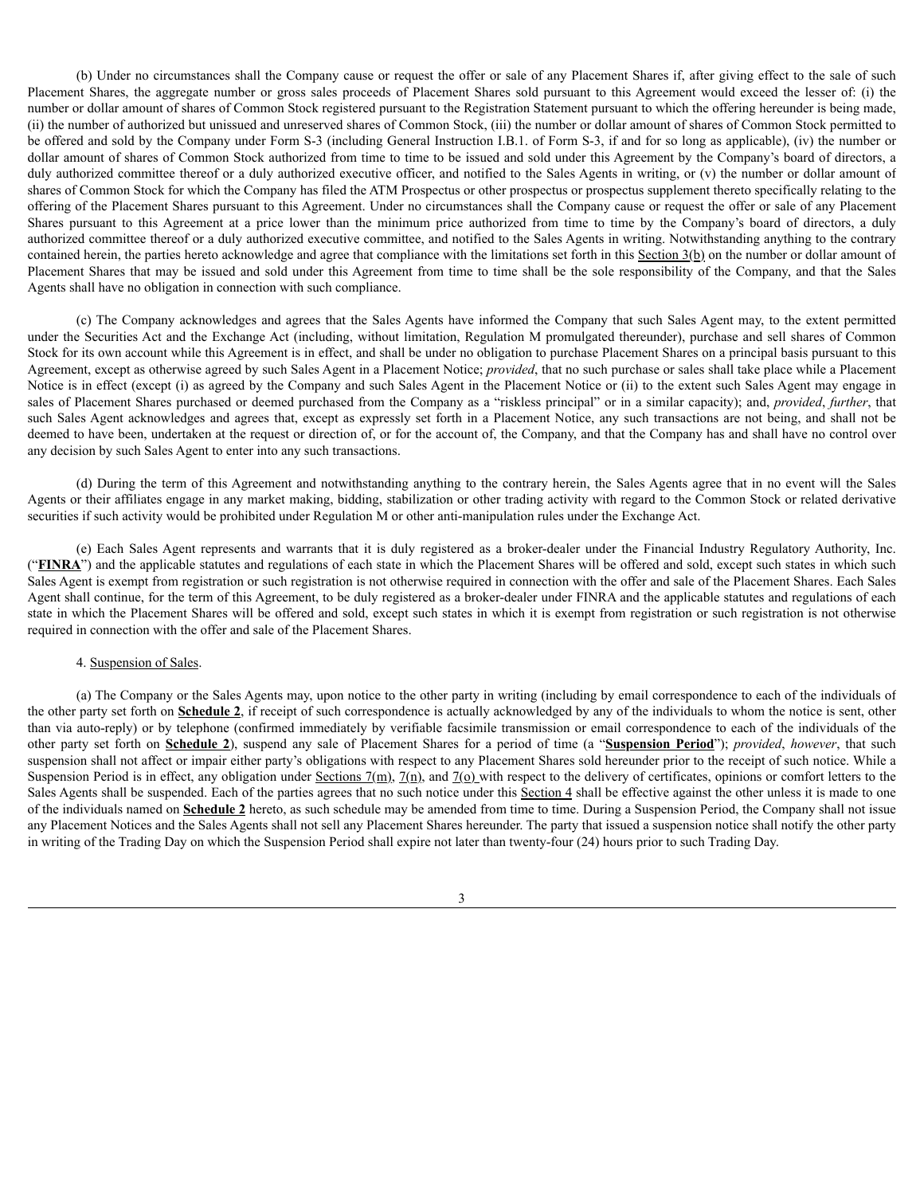(b) Under no circumstances shall the Company cause or request the offer or sale of any Placement Shares if, after giving effect to the sale of such Placement Shares, the aggregate number or gross sales proceeds of Placement Shares sold pursuant to this Agreement would exceed the lesser of: (i) the number or dollar amount of shares of Common Stock registered pursuant to the Registration Statement pursuant to which the offering hereunder is being made, (ii) the number of authorized but unissued and unreserved shares of Common Stock, (iii) the number or dollar amount of shares of Common Stock permitted to be offered and sold by the Company under Form S-3 (including General Instruction I.B.1. of Form S-3, if and for so long as applicable), (iv) the number or dollar amount of shares of Common Stock authorized from time to time to be issued and sold under this Agreement by the Company's board of directors, a duly authorized committee thereof or a duly authorized executive officer, and notified to the Sales Agents in writing, or (v) the number or dollar amount of shares of Common Stock for which the Company has filed the ATM Prospectus or other prospectus or prospectus supplement thereto specifically relating to the offering of the Placement Shares pursuant to this Agreement. Under no circumstances shall the Company cause or request the offer or sale of any Placement Shares pursuant to this Agreement at a price lower than the minimum price authorized from time to time by the Company's board of directors, a duly authorized committee thereof or a duly authorized executive committee, and notified to the Sales Agents in writing. Notwithstanding anything to the contrary contained herein, the parties hereto acknowledge and agree that compliance with the limitations set forth in this  $Section 3(b)$  on the number or dollar amount of Placement Shares that may be issued and sold under this Agreement from time to time shall be the sole responsibility of the Company, and that the Sales Agents shall have no obligation in connection with such compliance.

(c) The Company acknowledges and agrees that the Sales Agents have informed the Company that such Sales Agent may, to the extent permitted under the Securities Act and the Exchange Act (including, without limitation, Regulation M promulgated thereunder), purchase and sell shares of Common Stock for its own account while this Agreement is in effect, and shall be under no obligation to purchase Placement Shares on a principal basis pursuant to this Agreement, except as otherwise agreed by such Sales Agent in a Placement Notice; *provided*, that no such purchase or sales shall take place while a Placement Notice is in effect (except (i) as agreed by the Company and such Sales Agent in the Placement Notice or (ii) to the extent such Sales Agent may engage in sales of Placement Shares purchased or deemed purchased from the Company as a "riskless principal" or in a similar capacity); and, *provided*, *further*, that such Sales Agent acknowledges and agrees that, except as expressly set forth in a Placement Notice, any such transactions are not being, and shall not be deemed to have been, undertaken at the request or direction of, or for the account of, the Company, and that the Company has and shall have no control over any decision by such Sales Agent to enter into any such transactions.

(d) During the term of this Agreement and notwithstanding anything to the contrary herein, the Sales Agents agree that in no event will the Sales Agents or their affiliates engage in any market making, bidding, stabilization or other trading activity with regard to the Common Stock or related derivative securities if such activity would be prohibited under Regulation M or other anti-manipulation rules under the Exchange Act.

(e) Each Sales Agent represents and warrants that it is duly registered as a broker-dealer under the Financial Industry Regulatory Authority, Inc. ("FINRA") and the applicable statutes and regulations of each state in which the Placement Shares will be offered and sold, except such states in which such Sales Agent is exempt from registration or such registration is not otherwise required in connection with the offer and sale of the Placement Shares. Each Sales Agent shall continue, for the term of this Agreement, to be duly registered as a broker-dealer under FINRA and the applicable statutes and regulations of each state in which the Placement Shares will be offered and sold, except such states in which it is exempt from registration or such registration is not otherwise required in connection with the offer and sale of the Placement Shares.

#### 4. Suspension of Sales.

(a) The Company or the Sales Agents may, upon notice to the other party in writing (including by email correspondence to each of the individuals of the other party set forth on **Schedule 2**, if receipt of such correspondence is actually acknowledged by any of the individuals to whom the notice is sent, other than via auto-reply) or by telephone (confirmed immediately by verifiable facsimile transmission or email correspondence to each of the individuals of the other party set forth on **Schedule 2**), suspend any sale of Placement Shares for a period of time (a "**Suspension Period**"); *provided*, *however*, that such suspension shall not affect or impair either party's obligations with respect to any Placement Shares sold hereunder prior to the receipt of such notice. While a Suspension Period is in effect, any obligation under Sections 7(m), 7(n), and 7(o) with respect to the delivery of certificates, opinions or comfort letters to the Sales Agents shall be suspended. Each of the parties agrees that no such notice under this Section 4 shall be effective against the other unless it is made to one of the individuals named on **Schedule 2** hereto, as such schedule may be amended from time to time. During a Suspension Period, the Company shall not issue any Placement Notices and the Sales Agents shall not sell any Placement Shares hereunder. The party that issued a suspension notice shall notify the other party in writing of the Trading Day on which the Suspension Period shall expire not later than twenty-four (24) hours prior to such Trading Day.

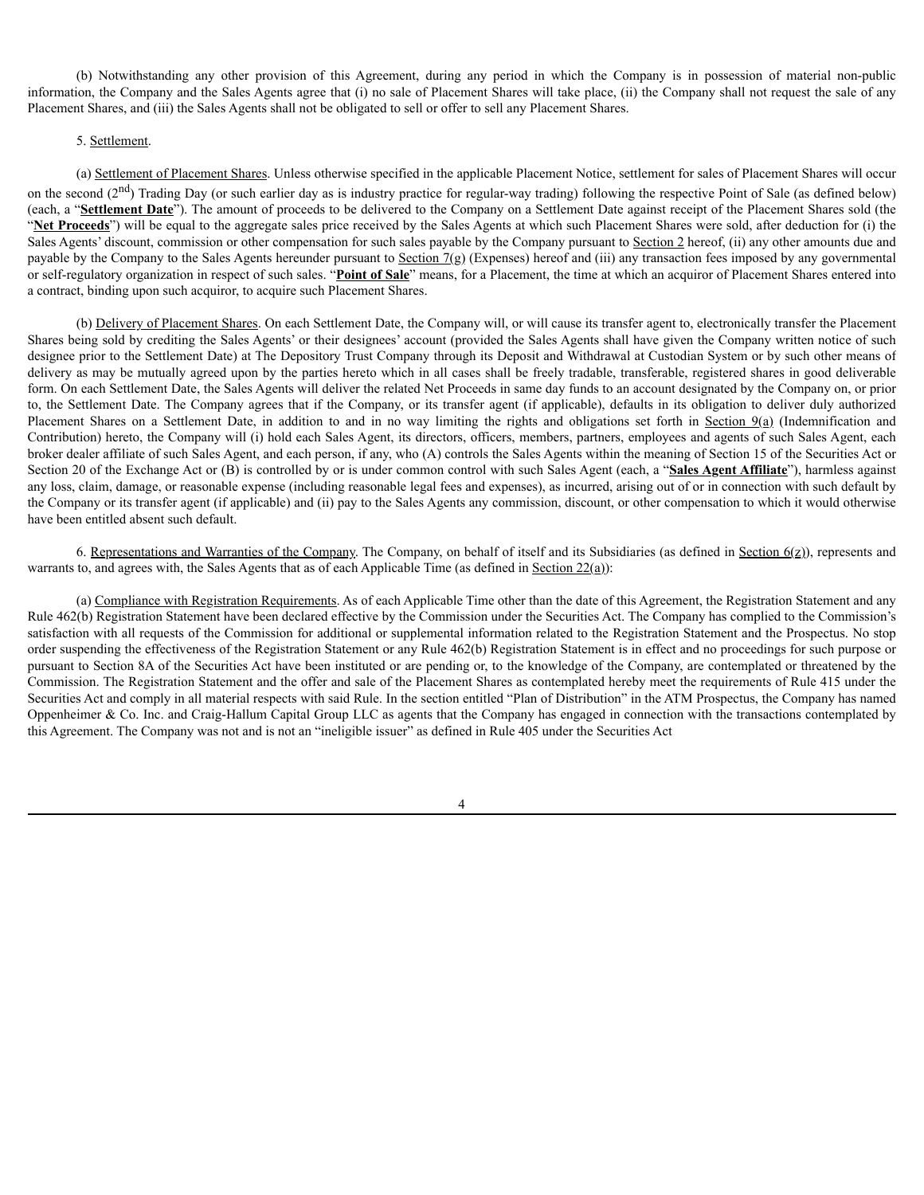(b) Notwithstanding any other provision of this Agreement, during any period in which the Company is in possession of material non-public information, the Company and the Sales Agents agree that (i) no sale of Placement Shares will take place, (ii) the Company shall not request the sale of any Placement Shares, and (iii) the Sales Agents shall not be obligated to sell or offer to sell any Placement Shares.

# 5. Settlement.

(a) Settlement of Placement Shares. Unless otherwise specified in the applicable Placement Notice, settlement for sales of Placement Shares will occur on the second  $(2<sup>nd</sup>)$  Trading Day (or such earlier day as is industry practice for regular-way trading) following the respective Point of Sale (as defined below) (each, a "**Settlement Date**"). The amount of proceeds to be delivered to the Company on a Settlement Date against receipt of the Placement Shares sold (the "Net Proceeds") will be equal to the aggregate sales price received by the Sales Agents at which such Placement Shares were sold, after deduction for (i) the Sales Agents' discount, commission or other compensation for such sales payable by the Company pursuant to Section 2 hereof, (ii) any other amounts due and payable by the Company to the Sales Agents hereunder pursuant to Section  $7(g)$  (Expenses) hereof and (iii) any transaction fees imposed by any governmental or self-regulatory organization in respect of such sales. "**Point of Sale**" means, for a Placement, the time at which an acquiror of Placement Shares entered into a contract, binding upon such acquiror, to acquire such Placement Shares.

(b) Delivery of Placement Shares. On each Settlement Date, the Company will, or will cause its transfer agent to, electronically transfer the Placement Shares being sold by crediting the Sales Agents' or their designees' account (provided the Sales Agents shall have given the Company written notice of such designee prior to the Settlement Date) at The Depository Trust Company through its Deposit and Withdrawal at Custodian System or by such other means of delivery as may be mutually agreed upon by the parties hereto which in all cases shall be freely tradable, transferable, registered shares in good deliverable form. On each Settlement Date, the Sales Agents will deliver the related Net Proceeds in same day funds to an account designated by the Company on, or prior to, the Settlement Date. The Company agrees that if the Company, or its transfer agent (if applicable), defaults in its obligation to deliver duly authorized Placement Shares on a Settlement Date, in addition to and in no way limiting the rights and obligations set forth in Section 9(a) (Indemnification and Contribution) hereto, the Company will (i) hold each Sales Agent, its directors, officers, members, partners, employees and agents of such Sales Agent, each broker dealer affiliate of such Sales Agent, and each person, if any, who (A) controls the Sales Agents within the meaning of Section 15 of the Securities Act or Section 20 of the Exchange Act or (B) is controlled by or is under common control with such Sales Agent (each, a "**Sales Agent Affiliate**"), harmless against any loss, claim, damage, or reasonable expense (including reasonable legal fees and expenses), as incurred, arising out of or in connection with such default by the Company or its transfer agent (if applicable) and (ii) pay to the Sales Agents any commission, discount, or other compensation to which it would otherwise have been entitled absent such default.

6. Representations and Warranties of the Company. The Company, on behalf of itself and its Subsidiaries (as defined in Section  $6(z)$ ), represents and warrants to, and agrees with, the Sales Agents that as of each Applicable Time (as defined in Section  $22(a)$ ):

(a) Compliance with Registration Requirements. As of each Applicable Time other than the date of this Agreement, the Registration Statement and any Rule 462(b) Registration Statement have been declared effective by the Commission under the Securities Act. The Company has complied to the Commission's satisfaction with all requests of the Commission for additional or supplemental information related to the Registration Statement and the Prospectus. No stop order suspending the effectiveness of the Registration Statement or any Rule 462(b) Registration Statement is in effect and no proceedings for such purpose or pursuant to Section 8A of the Securities Act have been instituted or are pending or, to the knowledge of the Company, are contemplated or threatened by the Commission. The Registration Statement and the offer and sale of the Placement Shares as contemplated hereby meet the requirements of Rule 415 under the Securities Act and comply in all material respects with said Rule. In the section entitled "Plan of Distribution" in the ATM Prospectus, the Company has named Oppenheimer & Co. Inc. and Craig-Hallum Capital Group LLC as agents that the Company has engaged in connection with the transactions contemplated by this Agreement. The Company was not and is not an "ineligible issuer" as defined in Rule 405 under the Securities Act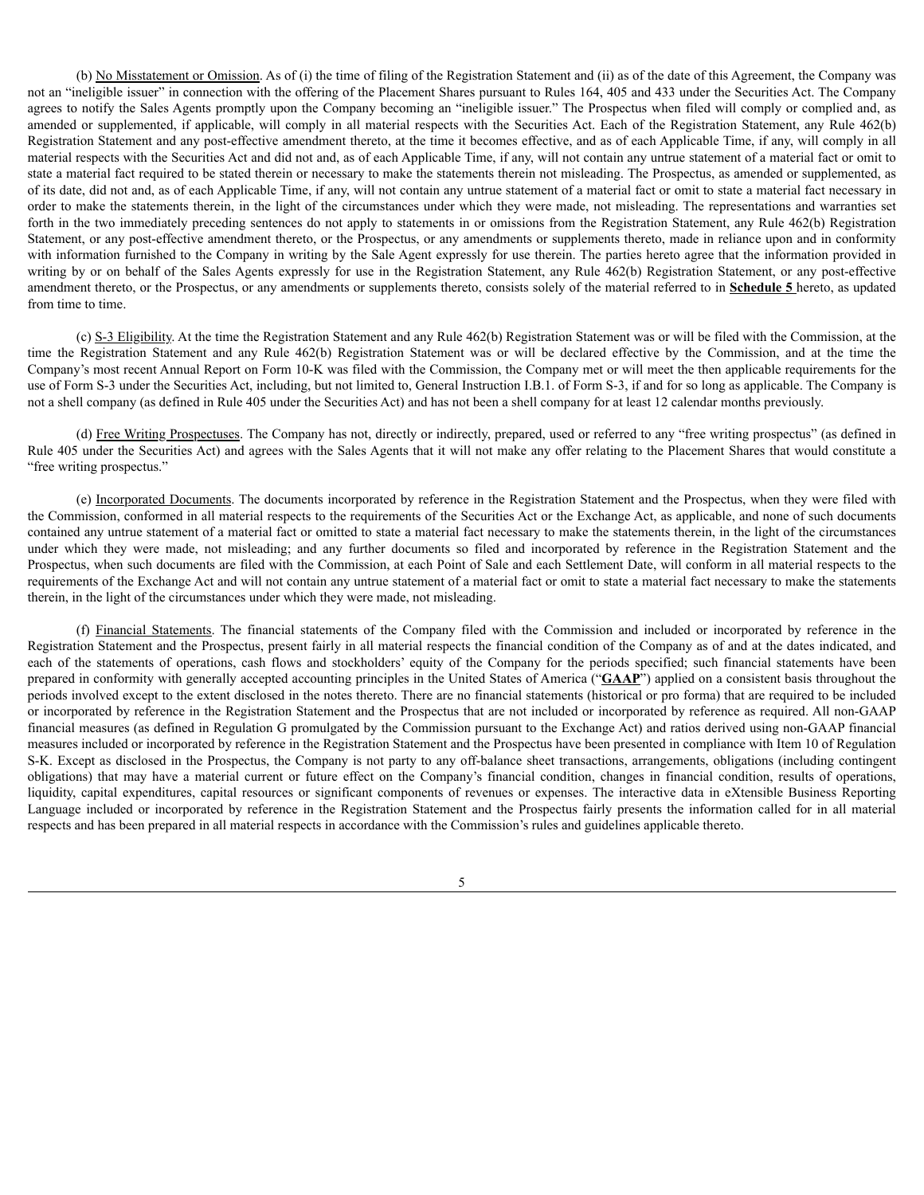(b) No Misstatement or Omission. As of (i) the time of filing of the Registration Statement and (ii) as of the date of this Agreement, the Company was not an "ineligible issuer" in connection with the offering of the Placement Shares pursuant to Rules 164, 405 and 433 under the Securities Act. The Company agrees to notify the Sales Agents promptly upon the Company becoming an "ineligible issuer." The Prospectus when filed will comply or complied and, as amended or supplemented, if applicable, will comply in all material respects with the Securities Act. Each of the Registration Statement, any Rule 462(b) Registration Statement and any post-effective amendment thereto, at the time it becomes effective, and as of each Applicable Time, if any, will comply in all material respects with the Securities Act and did not and, as of each Applicable Time, if any, will not contain any untrue statement of a material fact or omit to state a material fact required to be stated therein or necessary to make the statements therein not misleading. The Prospectus, as amended or supplemented, as of its date, did not and, as of each Applicable Time, if any, will not contain any untrue statement of a material fact or omit to state a material fact necessary in order to make the statements therein, in the light of the circumstances under which they were made, not misleading. The representations and warranties set forth in the two immediately preceding sentences do not apply to statements in or omissions from the Registration Statement, any Rule 462(b) Registration Statement, or any post-effective amendment thereto, or the Prospectus, or any amendments or supplements thereto, made in reliance upon and in conformity with information furnished to the Company in writing by the Sale Agent expressly for use therein. The parties hereto agree that the information provided in writing by or on behalf of the Sales Agents expressly for use in the Registration Statement, any Rule 462(b) Registration Statement, or any post-effective amendment thereto, or the Prospectus, or any amendments or supplements thereto, consists solely of the material referred to in **Schedule 5** hereto, as updated from time to time.

(c) S-3 Eligibility. At the time the Registration Statement and any Rule 462(b) Registration Statement was or will be filed with the Commission, at the time the Registration Statement and any Rule 462(b) Registration Statement was or will be declared effective by the Commission, and at the time the Company's most recent Annual Report on Form 10-K was filed with the Commission, the Company met or will meet the then applicable requirements for the use of Form S-3 under the Securities Act, including, but not limited to, General Instruction I.B.1. of Form S-3, if and for so long as applicable. The Company is not a shell company (as defined in Rule 405 under the Securities Act) and has not been a shell company for at least 12 calendar months previously.

(d) Free Writing Prospectuses. The Company has not, directly or indirectly, prepared, used or referred to any "free writing prospectus" (as defined in Rule 405 under the Securities Act) and agrees with the Sales Agents that it will not make any offer relating to the Placement Shares that would constitute a "free writing prospectus."

(e) Incorporated Documents. The documents incorporated by reference in the Registration Statement and the Prospectus, when they were filed with the Commission, conformed in all material respects to the requirements of the Securities Act or the Exchange Act, as applicable, and none of such documents contained any untrue statement of a material fact or omitted to state a material fact necessary to make the statements therein, in the light of the circumstances under which they were made, not misleading; and any further documents so filed and incorporated by reference in the Registration Statement and the Prospectus, when such documents are filed with the Commission, at each Point of Sale and each Settlement Date, will conform in all material respects to the requirements of the Exchange Act and will not contain any untrue statement of a material fact or omit to state a material fact necessary to make the statements therein, in the light of the circumstances under which they were made, not misleading.

(f) Financial Statements. The financial statements of the Company filed with the Commission and included or incorporated by reference in the Registration Statement and the Prospectus, present fairly in all material respects the financial condition of the Company as of and at the dates indicated, and each of the statements of operations, cash flows and stockholders' equity of the Company for the periods specified; such financial statements have been prepared in conformity with generally accepted accounting principles in the United States of America ("**GAAP**") applied on a consistent basis throughout the periods involved except to the extent disclosed in the notes thereto. There are no financial statements (historical or pro forma) that are required to be included or incorporated by reference in the Registration Statement and the Prospectus that are not included or incorporated by reference as required. All non-GAAP financial measures (as defined in Regulation G promulgated by the Commission pursuant to the Exchange Act) and ratios derived using non-GAAP financial measures included or incorporated by reference in the Registration Statement and the Prospectus have been presented in compliance with Item 10 of Regulation S-K. Except as disclosed in the Prospectus, the Company is not party to any off-balance sheet transactions, arrangements, obligations (including contingent obligations) that may have a material current or future effect on the Company's financial condition, changes in financial condition, results of operations, liquidity, capital expenditures, capital resources or significant components of revenues or expenses. The interactive data in eXtensible Business Reporting Language included or incorporated by reference in the Registration Statement and the Prospectus fairly presents the information called for in all material respects and has been prepared in all material respects in accordance with the Commission's rules and guidelines applicable thereto.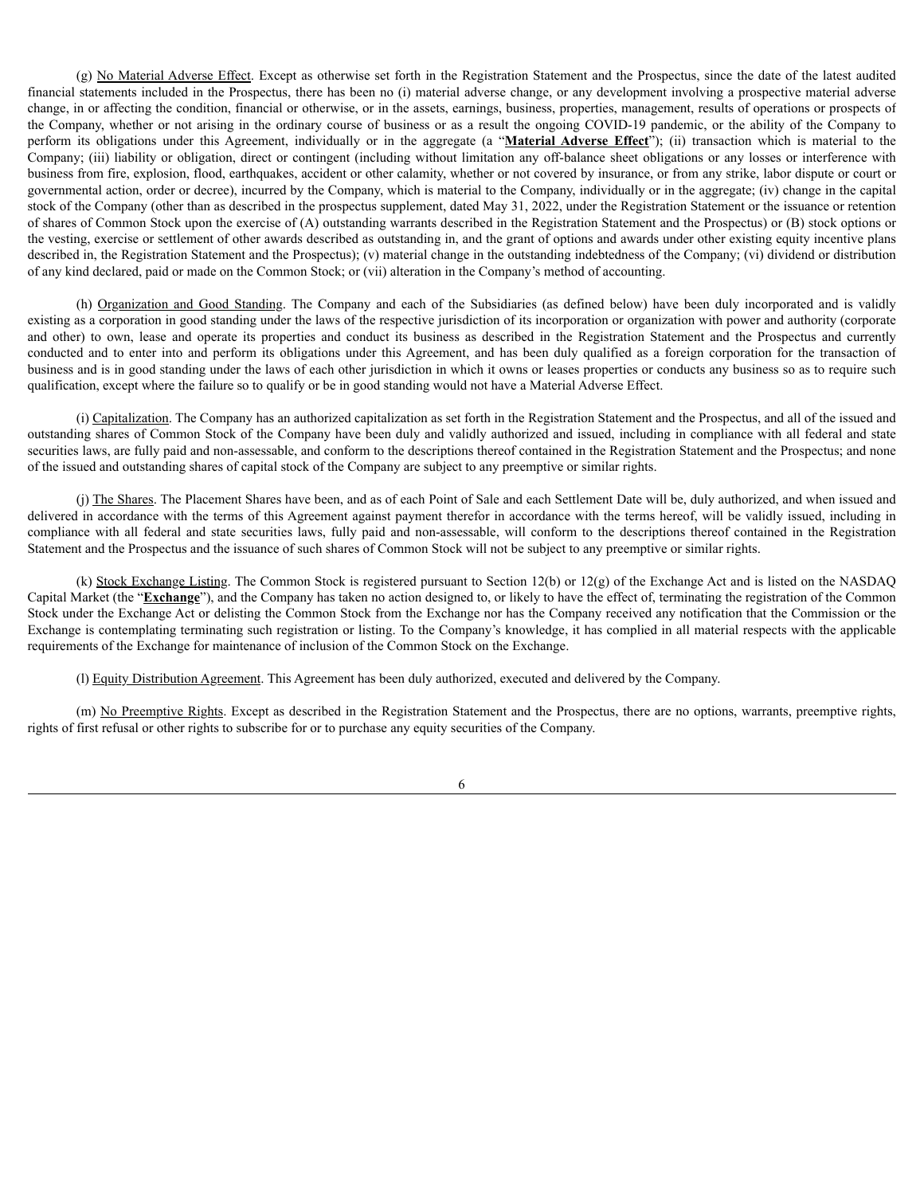(g) No Material Adverse Effect. Except as otherwise set forth in the Registration Statement and the Prospectus, since the date of the latest audited financial statements included in the Prospectus, there has been no (i) material adverse change, or any development involving a prospective material adverse change, in or affecting the condition, financial or otherwise, or in the assets, earnings, business, properties, management, results of operations or prospects of the Company, whether or not arising in the ordinary course of business or as a result the ongoing COVID-19 pandemic, or the ability of the Company to perform its obligations under this Agreement, individually or in the aggregate (a "**Material Adverse Effect**"); (ii) transaction which is material to the Company; (iii) liability or obligation, direct or contingent (including without limitation any off-balance sheet obligations or any losses or interference with business from fire, explosion, flood, earthquakes, accident or other calamity, whether or not covered by insurance, or from any strike, labor dispute or court or governmental action, order or decree), incurred by the Company, which is material to the Company, individually or in the aggregate; (iv) change in the capital stock of the Company (other than as described in the prospectus supplement, dated May 31, 2022, under the Registration Statement or the issuance or retention of shares of Common Stock upon the exercise of (A) outstanding warrants described in the Registration Statement and the Prospectus) or (B) stock options or the vesting, exercise or settlement of other awards described as outstanding in, and the grant of options and awards under other existing equity incentive plans described in, the Registration Statement and the Prospectus); (v) material change in the outstanding indebtedness of the Company; (vi) dividend or distribution of any kind declared, paid or made on the Common Stock; or (vii) alteration in the Company's method of accounting.

(h) Organization and Good Standing. The Company and each of the Subsidiaries (as defined below) have been duly incorporated and is validly existing as a corporation in good standing under the laws of the respective jurisdiction of its incorporation or organization with power and authority (corporate and other) to own, lease and operate its properties and conduct its business as described in the Registration Statement and the Prospectus and currently conducted and to enter into and perform its obligations under this Agreement, and has been duly qualified as a foreign corporation for the transaction of business and is in good standing under the laws of each other jurisdiction in which it owns or leases properties or conducts any business so as to require such qualification, except where the failure so to qualify or be in good standing would not have a Material Adverse Effect.

(i) Capitalization. The Company has an authorized capitalization as set forth in the Registration Statement and the Prospectus, and all of the issued and outstanding shares of Common Stock of the Company have been duly and validly authorized and issued, including in compliance with all federal and state securities laws, are fully paid and non-assessable, and conform to the descriptions thereof contained in the Registration Statement and the Prospectus; and none of the issued and outstanding shares of capital stock of the Company are subject to any preemptive or similar rights.

(j) The Shares. The Placement Shares have been, and as of each Point of Sale and each Settlement Date will be, duly authorized, and when issued and delivered in accordance with the terms of this Agreement against payment therefor in accordance with the terms hereof, will be validly issued, including in compliance with all federal and state securities laws, fully paid and non-assessable, will conform to the descriptions thereof contained in the Registration Statement and the Prospectus and the issuance of such shares of Common Stock will not be subject to any preemptive or similar rights.

(k) Stock Exchange Listing. The Common Stock is registered pursuant to Section 12(b) or 12(g) of the Exchange Act and is listed on the NASDAQ Capital Market (the "**Exchange**"), and the Company has taken no action designed to, or likely to have the effect of, terminating the registration of the Common Stock under the Exchange Act or delisting the Common Stock from the Exchange nor has the Company received any notification that the Commission or the Exchange is contemplating terminating such registration or listing. To the Company's knowledge, it has complied in all material respects with the applicable requirements of the Exchange for maintenance of inclusion of the Common Stock on the Exchange.

(l) Equity Distribution Agreement. This Agreement has been duly authorized, executed and delivered by the Company.

(m) No Preemptive Rights. Except as described in the Registration Statement and the Prospectus, there are no options, warrants, preemptive rights, rights of first refusal or other rights to subscribe for or to purchase any equity securities of the Company.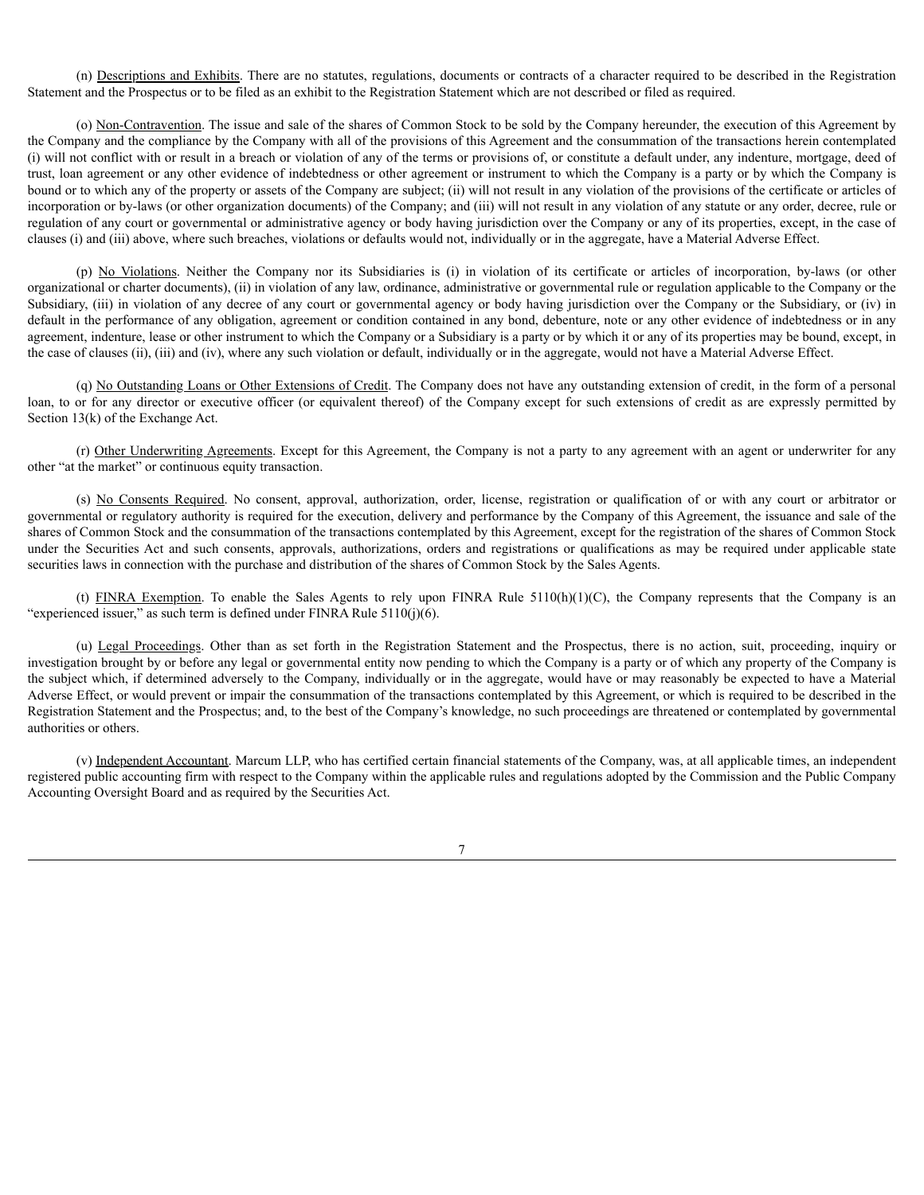(n) Descriptions and Exhibits. There are no statutes, regulations, documents or contracts of a character required to be described in the Registration Statement and the Prospectus or to be filed as an exhibit to the Registration Statement which are not described or filed as required.

(o) Non-Contravention. The issue and sale of the shares of Common Stock to be sold by the Company hereunder, the execution of this Agreement by the Company and the compliance by the Company with all of the provisions of this Agreement and the consummation of the transactions herein contemplated (i) will not conflict with or result in a breach or violation of any of the terms or provisions of, or constitute a default under, any indenture, mortgage, deed of trust, loan agreement or any other evidence of indebtedness or other agreement or instrument to which the Company is a party or by which the Company is bound or to which any of the property or assets of the Company are subject; (ii) will not result in any violation of the provisions of the certificate or articles of incorporation or by-laws (or other organization documents) of the Company; and (iii) will not result in any violation of any statute or any order, decree, rule or regulation of any court or governmental or administrative agency or body having jurisdiction over the Company or any of its properties, except, in the case of clauses (i) and (iii) above, where such breaches, violations or defaults would not, individually or in the aggregate, have a Material Adverse Effect.

(p) No Violations. Neither the Company nor its Subsidiaries is (i) in violation of its certificate or articles of incorporation, by-laws (or other organizational or charter documents), (ii) in violation of any law, ordinance, administrative or governmental rule or regulation applicable to the Company or the Subsidiary, (iii) in violation of any decree of any court or governmental agency or body having jurisdiction over the Company or the Subsidiary, or (iv) in default in the performance of any obligation, agreement or condition contained in any bond, debenture, note or any other evidence of indebtedness or in any agreement, indenture, lease or other instrument to which the Company or a Subsidiary is a party or by which it or any of its properties may be bound, except, in the case of clauses (ii), (iii) and (iv), where any such violation or default, individually or in the aggregate, would not have a Material Adverse Effect.

(q) No Outstanding Loans or Other Extensions of Credit. The Company does not have any outstanding extension of credit, in the form of a personal loan, to or for any director or executive officer (or equivalent thereof) of the Company except for such extensions of credit as are expressly permitted by Section 13(k) of the Exchange Act.

(r) Other Underwriting Agreements. Except for this Agreement, the Company is not a party to any agreement with an agent or underwriter for any other "at the market" or continuous equity transaction.

(s) No Consents Required. No consent, approval, authorization, order, license, registration or qualification of or with any court or arbitrator or governmental or regulatory authority is required for the execution, delivery and performance by the Company of this Agreement, the issuance and sale of the shares of Common Stock and the consummation of the transactions contemplated by this Agreement, except for the registration of the shares of Common Stock under the Securities Act and such consents, approvals, authorizations, orders and registrations or qualifications as may be required under applicable state securities laws in connection with the purchase and distribution of the shares of Common Stock by the Sales Agents.

(t) FINRA Exemption. To enable the Sales Agents to rely upon FINRA Rule  $5110(h)(1)$ (C), the Company represents that the Company is an "experienced issuer," as such term is defined under FINRA Rule 5110(j)(6).

(u) Legal Proceedings. Other than as set forth in the Registration Statement and the Prospectus, there is no action, suit, proceeding, inquiry or investigation brought by or before any legal or governmental entity now pending to which the Company is a party or of which any property of the Company is the subject which, if determined adversely to the Company, individually or in the aggregate, would have or may reasonably be expected to have a Material Adverse Effect, or would prevent or impair the consummation of the transactions contemplated by this Agreement, or which is required to be described in the Registration Statement and the Prospectus; and, to the best of the Company's knowledge, no such proceedings are threatened or contemplated by governmental authorities or others.

(v) Independent Accountant. Marcum LLP, who has certified certain financial statements of the Company, was, at all applicable times, an independent registered public accounting firm with respect to the Company within the applicable rules and regulations adopted by the Commission and the Public Company Accounting Oversight Board and as required by the Securities Act.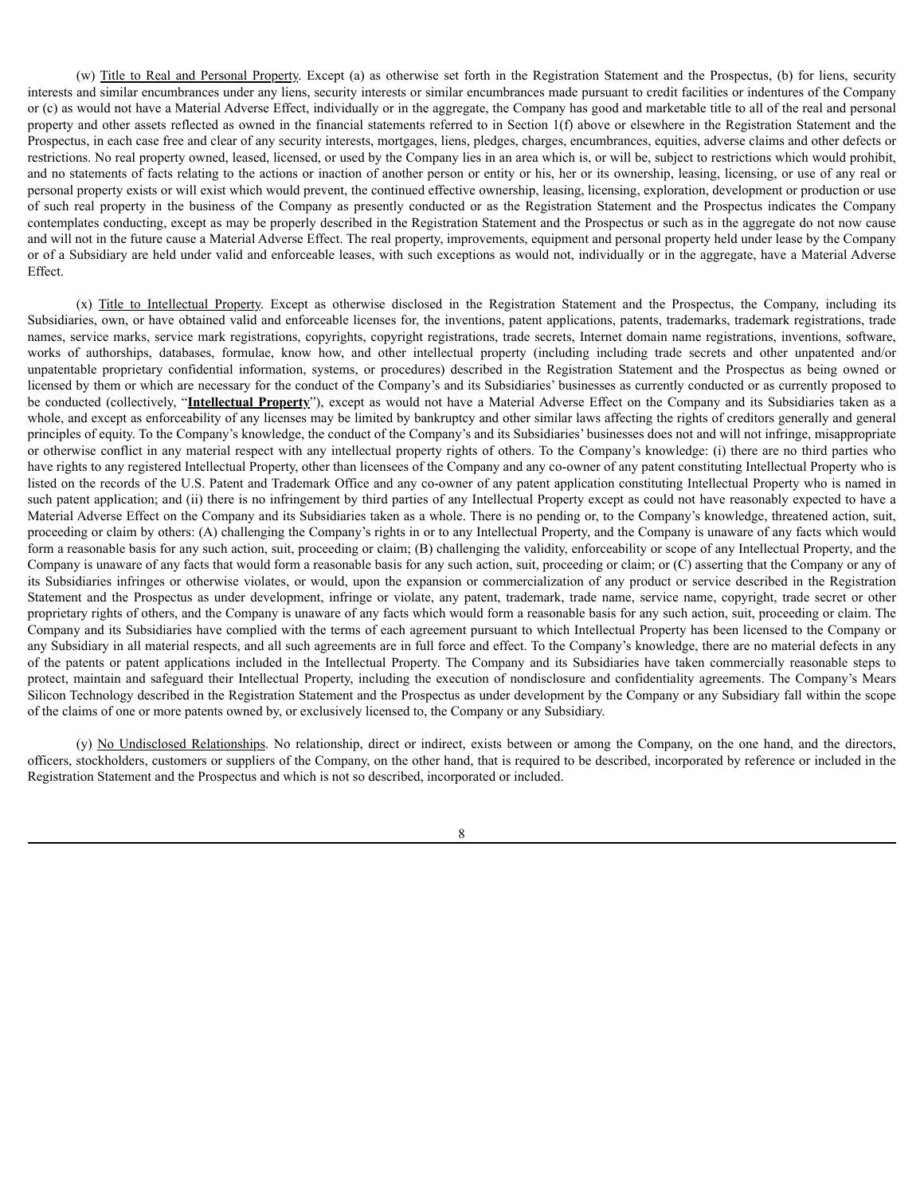(w) Title to Real and Personal Property. Except (a) as otherwise set forth in the Registration Statement and the Prospectus, (b) for liens, security interests and similar encumbrances under any liens, security interests or similar encumbrances made pursuant to credit facilities or indentures of the Company or (c) as would not have a Material Adverse Effect, individually or in the aggregate, the Company has good and marketable title to all of the real and personal property and other assets reflected as owned in the financial statements referred to in Section 1(f) above or elsewhere in the Registration Statement and the Prospectus, in each case free and clear of any security interests, mortgages, liens, pledges, charges, encumbrances, equities, adverse claims and other defects or restrictions. No real property owned, leased, licensed, or used by the Company lies in an area which is, or will be, subject to restrictions which would prohibit, and no statements of facts relating to the actions or inaction of another person or entity or his, her or its ownership, leasing, licensing, or use of any real or personal property exists or will exist which would prevent, the continued effective ownership, leasing, licensing, exploration, development or production or use of such real property in the business of the Company as presently conducted or as the Registration Statement and the Prospectus indicates the Company contemplates conducting, except as may be properly described in the Registration Statement and the Prospectus or such as in the aggregate do not now cause and will not in the future cause a Material Adverse Effect. The real property, improvements, equipment and personal property held under lease by the Company or of a Subsidiary are held under valid and enforceable leases, with such exceptions as would not, individually or in the aggregate, have a Material Adverse Effect.

(x) Title to Intellectual Property. Except as otherwise disclosed in the Registration Statement and the Prospectus, the Company, including its Subsidiaries, own, or have obtained valid and enforceable licenses for, the inventions, patent applications, patents, trademarks, trademark registrations, trade names, service marks, service mark registrations, copyrights, copyright registrations, trade secrets, Internet domain name registrations, inventions, software, works of authorships, databases, formulae, know how, and other intellectual property (including including trade secrets and other unpatented and/or unpatentable proprietary confidential information, systems, or procedures) described in the Registration Statement and the Prospectus as being owned or licensed by them or which are necessary for the conduct of the Company's and its Subsidiaries' businesses as currently conducted or as currently proposed to be conducted (collectively, "**Intellectual Property**"), except as would not have a Material Adverse Effect on the Company and its Subsidiaries taken as a whole, and except as enforceability of any licenses may be limited by bankruptcy and other similar laws affecting the rights of creditors generally and general principles of equity. To the Company's knowledge, the conduct of the Company's and its Subsidiaries' businesses does not and will not infringe, misappropriate or otherwise conflict in any material respect with any intellectual property rights of others. To the Company's knowledge: (i) there are no third parties who have rights to any registered Intellectual Property, other than licensees of the Company and any co-owner of any patent constituting Intellectual Property who is listed on the records of the U.S. Patent and Trademark Office and any co-owner of any patent application constituting Intellectual Property who is named in such patent application; and (ii) there is no infringement by third parties of any Intellectual Property except as could not have reasonably expected to have a Material Adverse Effect on the Company and its Subsidiaries taken as a whole. There is no pending or, to the Company's knowledge, threatened action, suit, proceeding or claim by others: (A) challenging the Company's rights in or to any Intellectual Property, and the Company is unaware of any facts which would form a reasonable basis for any such action, suit, proceeding or claim; (B) challenging the validity, enforceability or scope of any Intellectual Property, and the Company is unaware of any facts that would form a reasonable basis for any such action, suit, proceeding or claim; or (C) asserting that the Company or any of its Subsidiaries infringes or otherwise violates, or would, upon the expansion or commercialization of any product or service described in the Registration Statement and the Prospectus as under development, infringe or violate, any patent, trademark, trade name, service name, copyright, trade secret or other proprietary rights of others, and the Company is unaware of any facts which would form a reasonable basis for any such action, suit, proceeding or claim. The Company and its Subsidiaries have complied with the terms of each agreement pursuant to which Intellectual Property has been licensed to the Company or any Subsidiary in all material respects, and all such agreements are in full force and effect. To the Company's knowledge, there are no material defects in any of the patents or patent applications included in the Intellectual Property. The Company and its Subsidiaries have taken commercially reasonable steps to protect, maintain and safeguard their Intellectual Property, including the execution of nondisclosure and confidentiality agreements. The Company's Mears Silicon Technology described in the Registration Statement and the Prospectus as under development by the Company or any Subsidiary fall within the scope of the claims of one or more patents owned by, or exclusively licensed to, the Company or any Subsidiary.

(y) No Undisclosed Relationships. No relationship, direct or indirect, exists between or among the Company, on the one hand, and the directors, officers, stockholders, customers or suppliers of the Company, on the other hand, that is required to be described, incorporated by reference or included in the Registration Statement and the Prospectus and which is not so described, incorporated or included.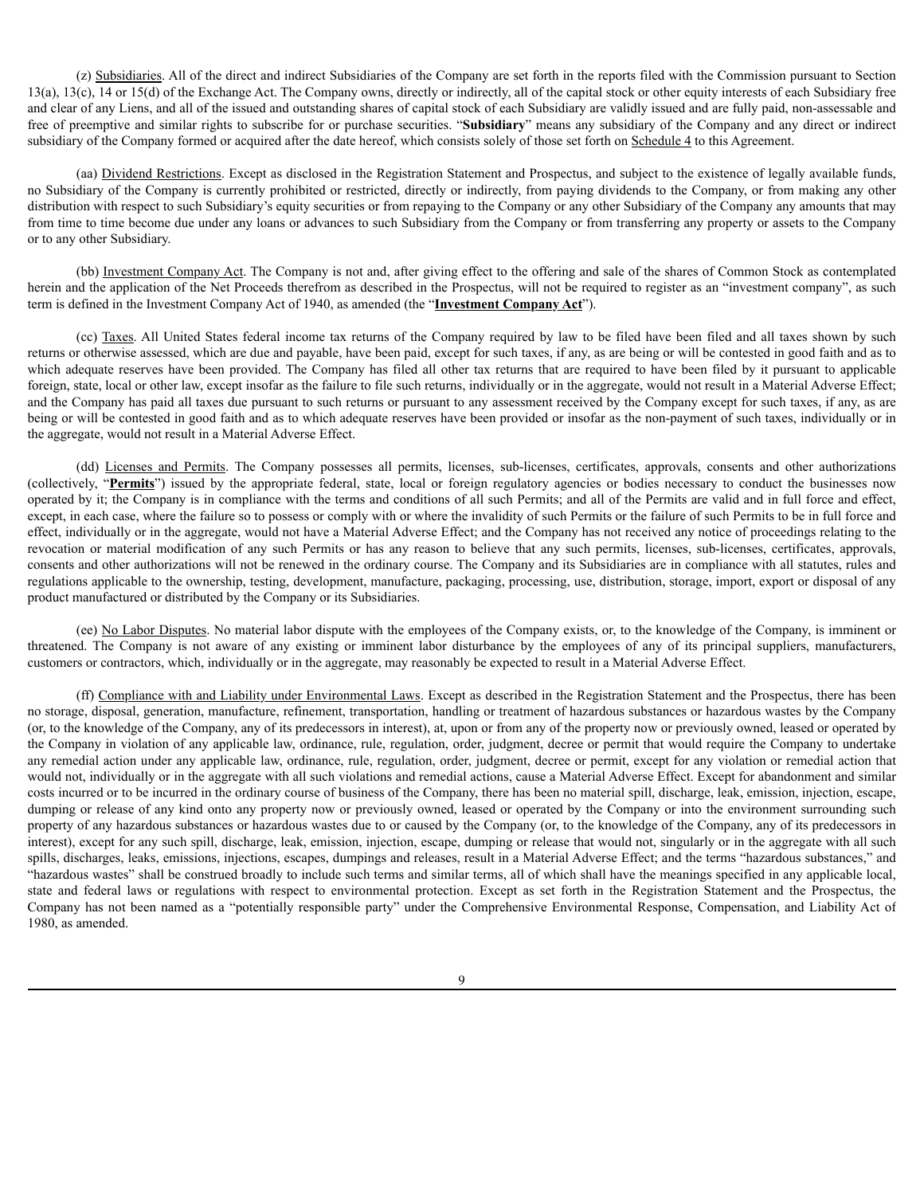(z) Subsidiaries. All of the direct and indirect Subsidiaries of the Company are set forth in the reports filed with the Commission pursuant to Section 13(a), 13(c), 14 or 15(d) of the Exchange Act. The Company owns, directly or indirectly, all of the capital stock or other equity interests of each Subsidiary free and clear of any Liens, and all of the issued and outstanding shares of capital stock of each Subsidiary are validly issued and are fully paid, non-assessable and free of preemptive and similar rights to subscribe for or purchase securities. "**Subsidiary**" means any subsidiary of the Company and any direct or indirect subsidiary of the Company formed or acquired after the date hereof, which consists solely of those set forth on Schedule 4 to this Agreement.

(aa) Dividend Restrictions. Except as disclosed in the Registration Statement and Prospectus, and subject to the existence of legally available funds, no Subsidiary of the Company is currently prohibited or restricted, directly or indirectly, from paying dividends to the Company, or from making any other distribution with respect to such Subsidiary's equity securities or from repaying to the Company or any other Subsidiary of the Company any amounts that may from time to time become due under any loans or advances to such Subsidiary from the Company or from transferring any property or assets to the Company or to any other Subsidiary.

(bb) Investment Company Act. The Company is not and, after giving effect to the offering and sale of the shares of Common Stock as contemplated herein and the application of the Net Proceeds therefrom as described in the Prospectus, will not be required to register as an "investment company", as such term is defined in the Investment Company Act of 1940, as amended (the "**Investment Company Act**").

(cc) Taxes. All United States federal income tax returns of the Company required by law to be filed have been filed and all taxes shown by such returns or otherwise assessed, which are due and payable, have been paid, except for such taxes, if any, as are being or will be contested in good faith and as to which adequate reserves have been provided. The Company has filed all other tax returns that are required to have been filed by it pursuant to applicable foreign, state, local or other law, except insofar as the failure to file such returns, individually or in the aggregate, would not result in a Material Adverse Effect; and the Company has paid all taxes due pursuant to such returns or pursuant to any assessment received by the Company except for such taxes, if any, as are being or will be contested in good faith and as to which adequate reserves have been provided or insofar as the non-payment of such taxes, individually or in the aggregate, would not result in a Material Adverse Effect.

(dd) Licenses and Permits. The Company possesses all permits, licenses, sub-licenses, certificates, approvals, consents and other authorizations (collectively, "**Permits**") issued by the appropriate federal, state, local or foreign regulatory agencies or bodies necessary to conduct the businesses now operated by it; the Company is in compliance with the terms and conditions of all such Permits; and all of the Permits are valid and in full force and effect, except, in each case, where the failure so to possess or comply with or where the invalidity of such Permits or the failure of such Permits to be in full force and effect, individually or in the aggregate, would not have a Material Adverse Effect; and the Company has not received any notice of proceedings relating to the revocation or material modification of any such Permits or has any reason to believe that any such permits, licenses, sub-licenses, certificates, approvals, consents and other authorizations will not be renewed in the ordinary course. The Company and its Subsidiaries are in compliance with all statutes, rules and regulations applicable to the ownership, testing, development, manufacture, packaging, processing, use, distribution, storage, import, export or disposal of any product manufactured or distributed by the Company or its Subsidiaries.

(ee) No Labor Disputes. No material labor dispute with the employees of the Company exists, or, to the knowledge of the Company, is imminent or threatened. The Company is not aware of any existing or imminent labor disturbance by the employees of any of its principal suppliers, manufacturers, customers or contractors, which, individually or in the aggregate, may reasonably be expected to result in a Material Adverse Effect.

(ff) Compliance with and Liability under Environmental Laws. Except as described in the Registration Statement and the Prospectus, there has been no storage, disposal, generation, manufacture, refinement, transportation, handling or treatment of hazardous substances or hazardous wastes by the Company (or, to the knowledge of the Company, any of its predecessors in interest), at, upon or from any of the property now or previously owned, leased or operated by the Company in violation of any applicable law, ordinance, rule, regulation, order, judgment, decree or permit that would require the Company to undertake any remedial action under any applicable law, ordinance, rule, regulation, order, judgment, decree or permit, except for any violation or remedial action that would not, individually or in the aggregate with all such violations and remedial actions, cause a Material Adverse Effect. Except for abandonment and similar costs incurred or to be incurred in the ordinary course of business of the Company, there has been no material spill, discharge, leak, emission, injection, escape, dumping or release of any kind onto any property now or previously owned, leased or operated by the Company or into the environment surrounding such property of any hazardous substances or hazardous wastes due to or caused by the Company (or, to the knowledge of the Company, any of its predecessors in interest), except for any such spill, discharge, leak, emission, injection, escape, dumping or release that would not, singularly or in the aggregate with all such spills, discharges, leaks, emissions, injections, escapes, dumpings and releases, result in a Material Adverse Effect; and the terms "hazardous substances," and "hazardous wastes" shall be construed broadly to include such terms and similar terms, all of which shall have the meanings specified in any applicable local, state and federal laws or regulations with respect to environmental protection. Except as set forth in the Registration Statement and the Prospectus, the Company has not been named as a "potentially responsible party" under the Comprehensive Environmental Response, Compensation, and Liability Act of 1980, as amended.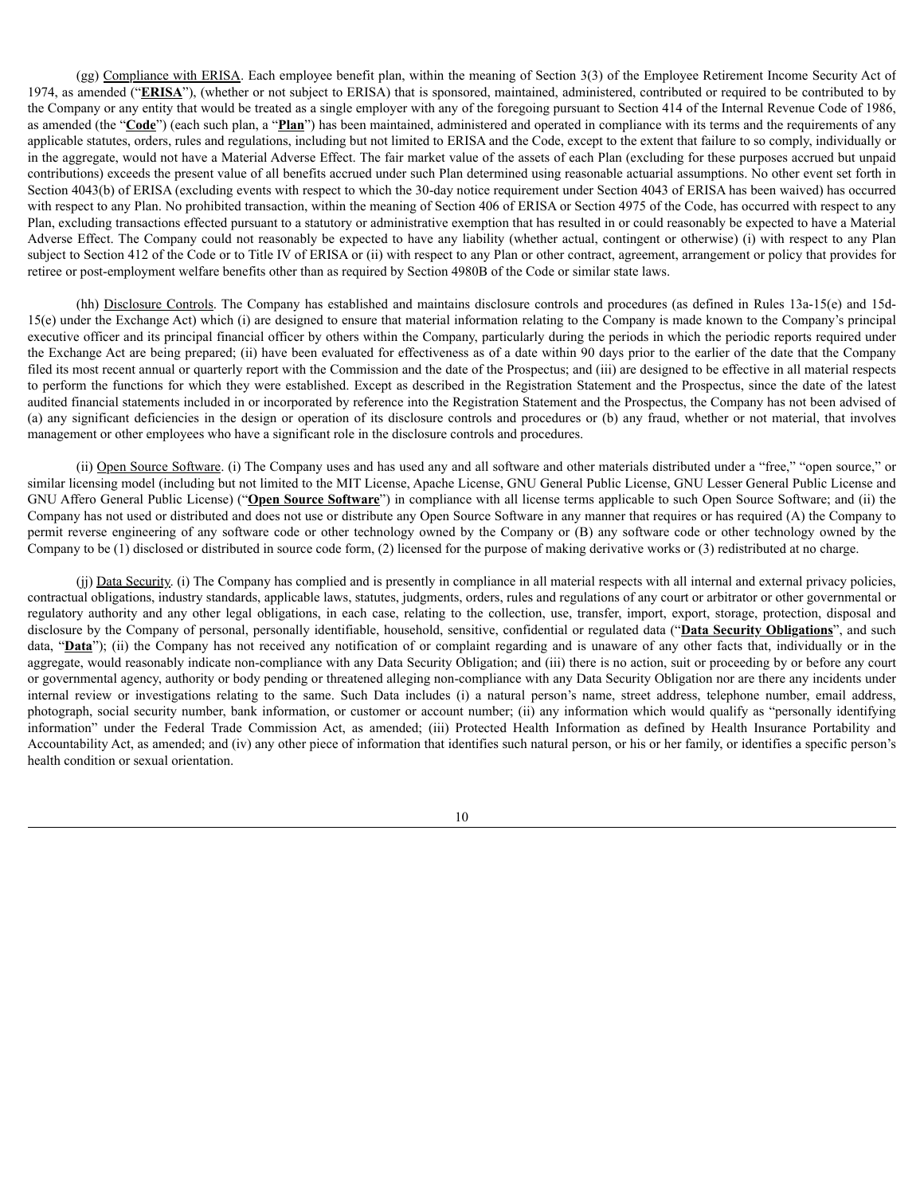(gg) Compliance with ERISA. Each employee benefit plan, within the meaning of Section 3(3) of the Employee Retirement Income Security Act of 1974, as amended ("**ERISA**"), (whether or not subject to ERISA) that is sponsored, maintained, administered, contributed or required to be contributed to by the Company or any entity that would be treated as a single employer with any of the foregoing pursuant to Section 414 of the Internal Revenue Code of 1986, as amended (the "**Code**") (each such plan, a "**Plan**") has been maintained, administered and operated in compliance with its terms and the requirements of any applicable statutes, orders, rules and regulations, including but not limited to ERISA and the Code, except to the extent that failure to so comply, individually or in the aggregate, would not have a Material Adverse Effect. The fair market value of the assets of each Plan (excluding for these purposes accrued but unpaid contributions) exceeds the present value of all benefits accrued under such Plan determined using reasonable actuarial assumptions. No other event set forth in Section 4043(b) of ERISA (excluding events with respect to which the 30-day notice requirement under Section 4043 of ERISA has been waived) has occurred with respect to any Plan. No prohibited transaction, within the meaning of Section 406 of ERISA or Section 4975 of the Code, has occurred with respect to any Plan, excluding transactions effected pursuant to a statutory or administrative exemption that has resulted in or could reasonably be expected to have a Material Adverse Effect. The Company could not reasonably be expected to have any liability (whether actual, contingent or otherwise) (i) with respect to any Plan subject to Section 412 of the Code or to Title IV of ERISA or (ii) with respect to any Plan or other contract, agreement, arrangement or policy that provides for retiree or post-employment welfare benefits other than as required by Section 4980B of the Code or similar state laws.

(hh) Disclosure Controls. The Company has established and maintains disclosure controls and procedures (as defined in Rules 13a-15(e) and 15d-15(e) under the Exchange Act) which (i) are designed to ensure that material information relating to the Company is made known to the Company's principal executive officer and its principal financial officer by others within the Company, particularly during the periods in which the periodic reports required under the Exchange Act are being prepared; (ii) have been evaluated for effectiveness as of a date within 90 days prior to the earlier of the date that the Company filed its most recent annual or quarterly report with the Commission and the date of the Prospectus; and (iii) are designed to be effective in all material respects to perform the functions for which they were established. Except as described in the Registration Statement and the Prospectus, since the date of the latest audited financial statements included in or incorporated by reference into the Registration Statement and the Prospectus, the Company has not been advised of (a) any significant deficiencies in the design or operation of its disclosure controls and procedures or (b) any fraud, whether or not material, that involves management or other employees who have a significant role in the disclosure controls and procedures.

(ii) Open Source Software. (i) The Company uses and has used any and all software and other materials distributed under a "free," "open source," or similar licensing model (including but not limited to the MIT License, Apache License, GNU General Public License, GNU Lesser General Public License and GNU Affero General Public License) ("**Open Source Software**") in compliance with all license terms applicable to such Open Source Software; and (ii) the Company has not used or distributed and does not use or distribute any Open Source Software in any manner that requires or has required (A) the Company to permit reverse engineering of any software code or other technology owned by the Company or (B) any software code or other technology owned by the Company to be (1) disclosed or distributed in source code form, (2) licensed for the purpose of making derivative works or (3) redistributed at no charge.

(jj) Data Security. (i) The Company has complied and is presently in compliance in all material respects with all internal and external privacy policies, contractual obligations, industry standards, applicable laws, statutes, judgments, orders, rules and regulations of any court or arbitrator or other governmental or regulatory authority and any other legal obligations, in each case, relating to the collection, use, transfer, import, export, storage, protection, disposal and disclosure by the Company of personal, personally identifiable, household, sensitive, confidential or regulated data ("**Data Security Obligations**", and such data, "Data''); (ii) the Company has not received any notification of or complaint regarding and is unaware of any other facts that, individually or in the aggregate, would reasonably indicate non-compliance with any Data Security Obligation; and (iii) there is no action, suit or proceeding by or before any court or governmental agency, authority or body pending or threatened alleging non-compliance with any Data Security Obligation nor are there any incidents under internal review or investigations relating to the same. Such Data includes (i) a natural person's name, street address, telephone number, email address, photograph, social security number, bank information, or customer or account number; (ii) any information which would qualify as "personally identifying information" under the Federal Trade Commission Act, as amended; (iii) Protected Health Information as defined by Health Insurance Portability and Accountability Act, as amended; and (iv) any other piece of information that identifies such natural person, or his or her family, or identifies a specific person's health condition or sexual orientation.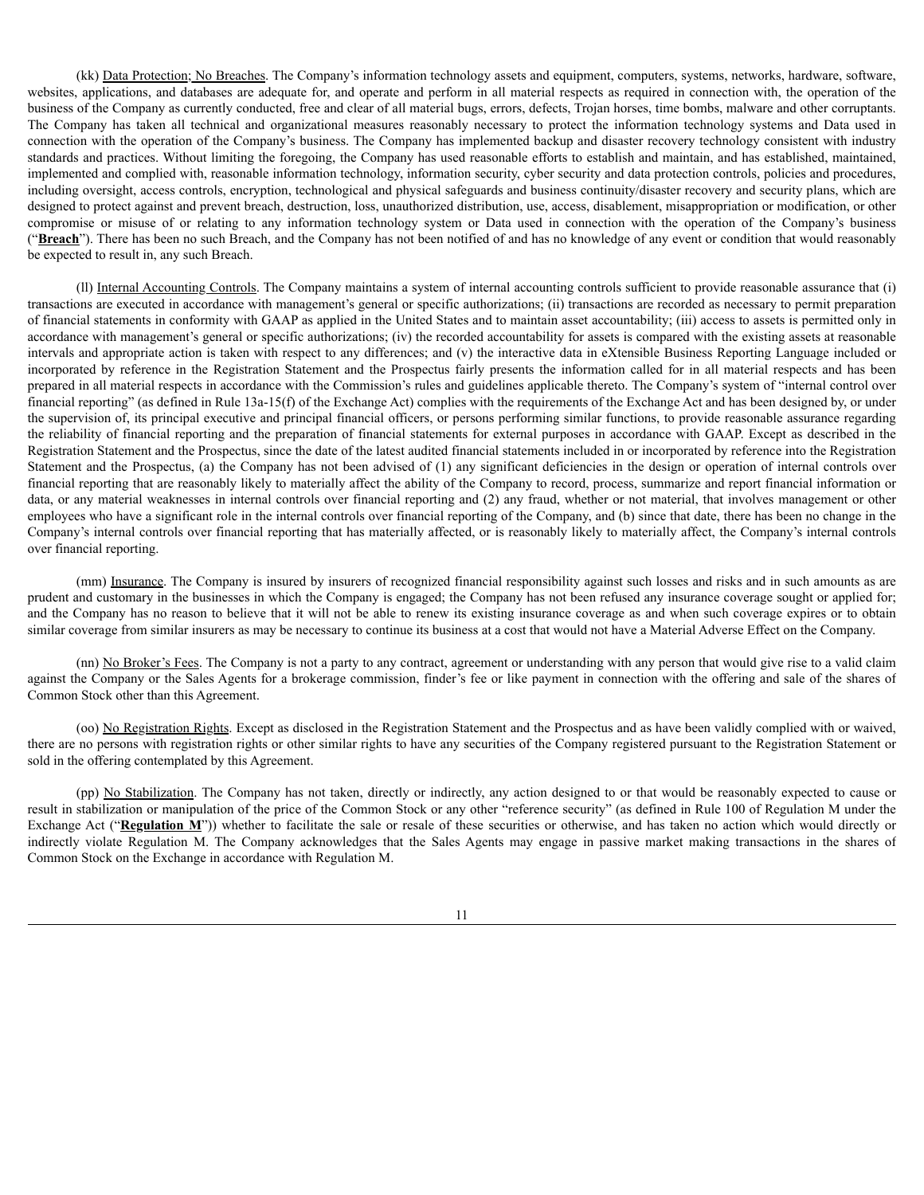(kk) Data Protection; No Breaches. The Company's information technology assets and equipment, computers, systems, networks, hardware, software, websites, applications, and databases are adequate for, and operate and perform in all material respects as required in connection with, the operation of the business of the Company as currently conducted, free and clear of all material bugs, errors, defects, Trojan horses, time bombs, malware and other corruptants. The Company has taken all technical and organizational measures reasonably necessary to protect the information technology systems and Data used in connection with the operation of the Company's business. The Company has implemented backup and disaster recovery technology consistent with industry standards and practices. Without limiting the foregoing, the Company has used reasonable efforts to establish and maintain, and has established, maintained, implemented and complied with, reasonable information technology, information security, cyber security and data protection controls, policies and procedures, including oversight, access controls, encryption, technological and physical safeguards and business continuity/disaster recovery and security plans, which are designed to protect against and prevent breach, destruction, loss, unauthorized distribution, use, access, disablement, misappropriation or modification, or other compromise or misuse of or relating to any information technology system or Data used in connection with the operation of the Company's business ("**Breach**"). There has been no such Breach, and the Company has not been notified of and has no knowledge of any event or condition that would reasonably be expected to result in, any such Breach.

(ll) Internal Accounting Controls. The Company maintains a system of internal accounting controls sufficient to provide reasonable assurance that (i) transactions are executed in accordance with management's general or specific authorizations; (ii) transactions are recorded as necessary to permit preparation of financial statements in conformity with GAAP as applied in the United States and to maintain asset accountability; (iii) access to assets is permitted only in accordance with management's general or specific authorizations; (iv) the recorded accountability for assets is compared with the existing assets at reasonable intervals and appropriate action is taken with respect to any differences; and (v) the interactive data in eXtensible Business Reporting Language included or incorporated by reference in the Registration Statement and the Prospectus fairly presents the information called for in all material respects and has been prepared in all material respects in accordance with the Commission's rules and guidelines applicable thereto. The Company's system of "internal control over financial reporting" (as defined in Rule 13a-15(f) of the Exchange Act) complies with the requirements of the Exchange Act and has been designed by, or under the supervision of, its principal executive and principal financial officers, or persons performing similar functions, to provide reasonable assurance regarding the reliability of financial reporting and the preparation of financial statements for external purposes in accordance with GAAP. Except as described in the Registration Statement and the Prospectus, since the date of the latest audited financial statements included in or incorporated by reference into the Registration Statement and the Prospectus, (a) the Company has not been advised of (1) any significant deficiencies in the design or operation of internal controls over financial reporting that are reasonably likely to materially affect the ability of the Company to record, process, summarize and report financial information or data, or any material weaknesses in internal controls over financial reporting and (2) any fraud, whether or not material, that involves management or other employees who have a significant role in the internal controls over financial reporting of the Company, and (b) since that date, there has been no change in the Company's internal controls over financial reporting that has materially affected, or is reasonably likely to materially affect, the Company's internal controls over financial reporting.

(mm) Insurance. The Company is insured by insurers of recognized financial responsibility against such losses and risks and in such amounts as are prudent and customary in the businesses in which the Company is engaged; the Company has not been refused any insurance coverage sought or applied for; and the Company has no reason to believe that it will not be able to renew its existing insurance coverage as and when such coverage expires or to obtain similar coverage from similar insurers as may be necessary to continue its business at a cost that would not have a Material Adverse Effect on the Company.

(nn) No Broker's Fees. The Company is not a party to any contract, agreement or understanding with any person that would give rise to a valid claim against the Company or the Sales Agents for a brokerage commission, finder's fee or like payment in connection with the offering and sale of the shares of Common Stock other than this Agreement.

(oo) No Registration Rights. Except as disclosed in the Registration Statement and the Prospectus and as have been validly complied with or waived, there are no persons with registration rights or other similar rights to have any securities of the Company registered pursuant to the Registration Statement or sold in the offering contemplated by this Agreement.

(pp) No Stabilization. The Company has not taken, directly or indirectly, any action designed to or that would be reasonably expected to cause or result in stabilization or manipulation of the price of the Common Stock or any other "reference security" (as defined in Rule 100 of Regulation M under the Exchange Act ("**Regulation M**")) whether to facilitate the sale or resale of these securities or otherwise, and has taken no action which would directly or indirectly violate Regulation M. The Company acknowledges that the Sales Agents may engage in passive market making transactions in the shares of Common Stock on the Exchange in accordance with Regulation M.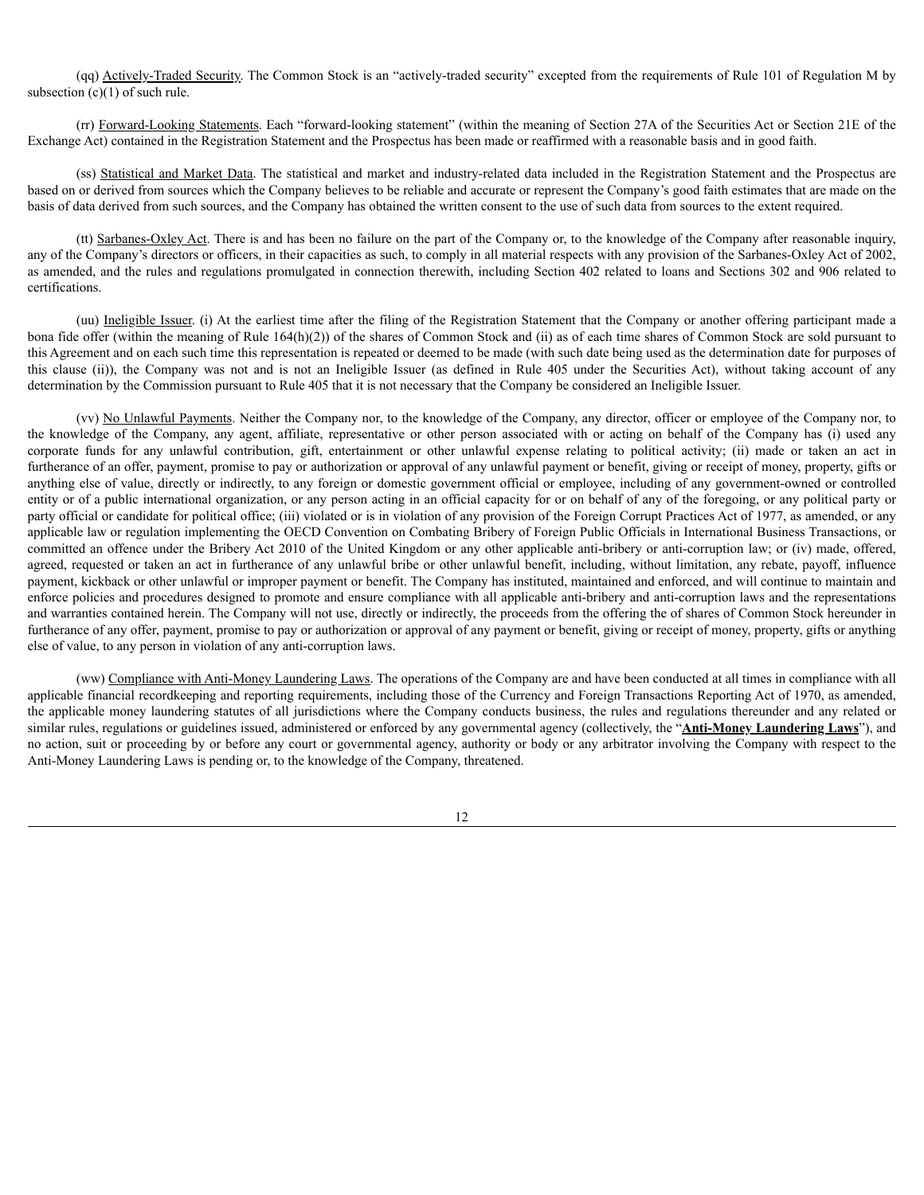(qq) Actively-Traded Security. The Common Stock is an "actively-traded security" excepted from the requirements of Rule 101 of Regulation M by subsection  $(c)(1)$  of such rule.

(rr) Forward-Looking Statements. Each "forward-looking statement" (within the meaning of Section 27A of the Securities Act or Section 21E of the Exchange Act) contained in the Registration Statement and the Prospectus has been made or reaffirmed with a reasonable basis and in good faith.

(ss) Statistical and Market Data. The statistical and market and industry-related data included in the Registration Statement and the Prospectus are based on or derived from sources which the Company believes to be reliable and accurate or represent the Company's good faith estimates that are made on the basis of data derived from such sources, and the Company has obtained the written consent to the use of such data from sources to the extent required.

(tt) Sarbanes-Oxley Act. There is and has been no failure on the part of the Company or, to the knowledge of the Company after reasonable inquiry, any of the Company's directors or officers, in their capacities as such, to comply in all material respects with any provision of the Sarbanes-Oxley Act of 2002, as amended, and the rules and regulations promulgated in connection therewith, including Section 402 related to loans and Sections 302 and 906 related to certifications.

(uu) Ineligible Issuer. (i) At the earliest time after the filing of the Registration Statement that the Company or another offering participant made a bona fide offer (within the meaning of Rule 164(h)(2)) of the shares of Common Stock and (ii) as of each time shares of Common Stock are sold pursuant to this Agreement and on each such time this representation is repeated or deemed to be made (with such date being used as the determination date for purposes of this clause (ii)), the Company was not and is not an Ineligible Issuer (as defined in Rule 405 under the Securities Act), without taking account of any determination by the Commission pursuant to Rule 405 that it is not necessary that the Company be considered an Ineligible Issuer.

(vv) No Unlawful Payments. Neither the Company nor, to the knowledge of the Company, any director, officer or employee of the Company nor, to the knowledge of the Company, any agent, affiliate, representative or other person associated with or acting on behalf of the Company has (i) used any corporate funds for any unlawful contribution, gift, entertainment or other unlawful expense relating to political activity; (ii) made or taken an act in furtherance of an offer, payment, promise to pay or authorization or approval of any unlawful payment or benefit, giving or receipt of money, property, gifts or anything else of value, directly or indirectly, to any foreign or domestic government official or employee, including of any government-owned or controlled entity or of a public international organization, or any person acting in an official capacity for or on behalf of any of the foregoing, or any political party or party official or candidate for political office; (iii) violated or is in violation of any provision of the Foreign Corrupt Practices Act of 1977, as amended, or any applicable law or regulation implementing the OECD Convention on Combating Bribery of Foreign Public Officials in International Business Transactions, or committed an offence under the Bribery Act 2010 of the United Kingdom or any other applicable anti-bribery or anti-corruption law; or (iv) made, offered, agreed, requested or taken an act in furtherance of any unlawful bribe or other unlawful benefit, including, without limitation, any rebate, payoff, influence payment, kickback or other unlawful or improper payment or benefit. The Company has instituted, maintained and enforced, and will continue to maintain and enforce policies and procedures designed to promote and ensure compliance with all applicable anti-bribery and anti-corruption laws and the representations and warranties contained herein. The Company will not use, directly or indirectly, the proceeds from the offering the of shares of Common Stock hereunder in furtherance of any offer, payment, promise to pay or authorization or approval of any payment or benefit, giving or receipt of money, property, gifts or anything else of value, to any person in violation of any anti-corruption laws.

(ww) Compliance with Anti-Money Laundering Laws. The operations of the Company are and have been conducted at all times in compliance with all applicable financial recordkeeping and reporting requirements, including those of the Currency and Foreign Transactions Reporting Act of 1970, as amended, the applicable money laundering statutes of all jurisdictions where the Company conducts business, the rules and regulations thereunder and any related or similar rules, regulations or guidelines issued, administered or enforced by any governmental agency (collectively, the "**Anti-Money Laundering Laws**"), and no action, suit or proceeding by or before any court or governmental agency, authority or body or any arbitrator involving the Company with respect to the Anti-Money Laundering Laws is pending or, to the knowledge of the Company, threatened.

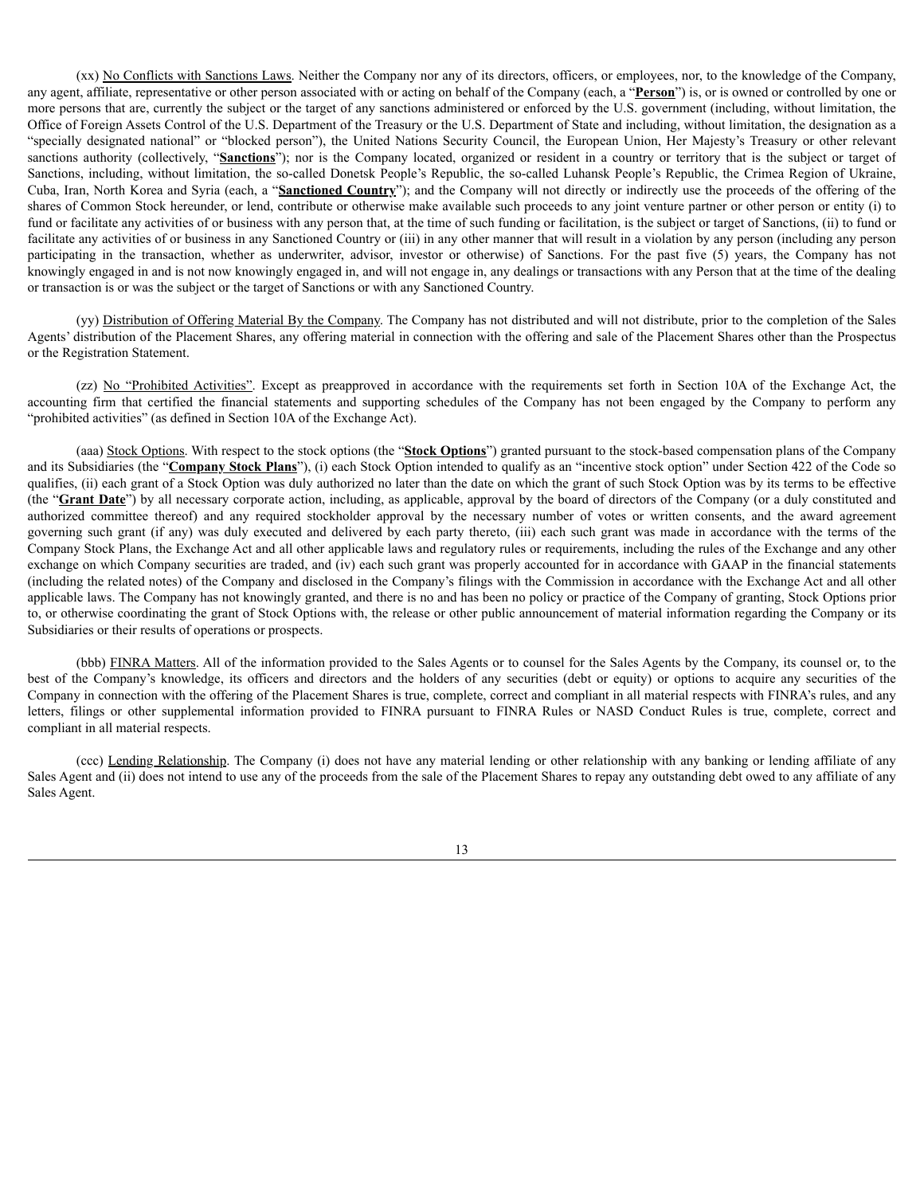(xx) No Conflicts with Sanctions Laws. Neither the Company nor any of its directors, officers, or employees, nor, to the knowledge of the Company, any agent, affiliate, representative or other person associated with or acting on behalf of the Company (each, a "**Person**") is, or is owned or controlled by one or more persons that are, currently the subject or the target of any sanctions administered or enforced by the U.S. government (including, without limitation, the Office of Foreign Assets Control of the U.S. Department of the Treasury or the U.S. Department of State and including, without limitation, the designation as a "specially designated national" or "blocked person"), the United Nations Security Council, the European Union, Her Majesty's Treasury or other relevant sanctions authority (collectively, "Sanctions"); nor is the Company located, organized or resident in a country or territory that is the subject or target of Sanctions, including, without limitation, the so-called Donetsk People's Republic, the so-called Luhansk People's Republic, the Crimea Region of Ukraine, Cuba, Iran, North Korea and Syria (each, a "**Sanctioned Country**"); and the Company will not directly or indirectly use the proceeds of the offering of the shares of Common Stock hereunder, or lend, contribute or otherwise make available such proceeds to any joint venture partner or other person or entity (i) to fund or facilitate any activities of or business with any person that, at the time of such funding or facilitation, is the subject or target of Sanctions, (ii) to fund or facilitate any activities of or business in any Sanctioned Country or (iii) in any other manner that will result in a violation by any person (including any person participating in the transaction, whether as underwriter, advisor, investor or otherwise) of Sanctions. For the past five (5) years, the Company has not knowingly engaged in and is not now knowingly engaged in, and will not engage in, any dealings or transactions with any Person that at the time of the dealing or transaction is or was the subject or the target of Sanctions or with any Sanctioned Country.

(yy) Distribution of Offering Material By the Company. The Company has not distributed and will not distribute, prior to the completion of the Sales Agents' distribution of the Placement Shares, any offering material in connection with the offering and sale of the Placement Shares other than the Prospectus or the Registration Statement.

(zz) No "Prohibited Activities". Except as preapproved in accordance with the requirements set forth in Section 10A of the Exchange Act, the accounting firm that certified the financial statements and supporting schedules of the Company has not been engaged by the Company to perform any "prohibited activities" (as defined in Section 10A of the Exchange Act).

(aaa) Stock Options. With respect to the stock options (the "**Stock Options**") granted pursuant to the stock-based compensation plans of the Company and its Subsidiaries (the "**Company Stock Plans**"), (i) each Stock Option intended to qualify as an "incentive stock option" under Section 422 of the Code so qualifies, (ii) each grant of a Stock Option was duly authorized no later than the date on which the grant of such Stock Option was by its terms to be effective (the "**Grant Date**") by all necessary corporate action, including, as applicable, approval by the board of directors of the Company (or a duly constituted and authorized committee thereof) and any required stockholder approval by the necessary number of votes or written consents, and the award agreement governing such grant (if any) was duly executed and delivered by each party thereto, (iii) each such grant was made in accordance with the terms of the Company Stock Plans, the Exchange Act and all other applicable laws and regulatory rules or requirements, including the rules of the Exchange and any other exchange on which Company securities are traded, and (iv) each such grant was properly accounted for in accordance with GAAP in the financial statements (including the related notes) of the Company and disclosed in the Company's filings with the Commission in accordance with the Exchange Act and all other applicable laws. The Company has not knowingly granted, and there is no and has been no policy or practice of the Company of granting, Stock Options prior to, or otherwise coordinating the grant of Stock Options with, the release or other public announcement of material information regarding the Company or its Subsidiaries or their results of operations or prospects.

(bbb) FINRA Matters. All of the information provided to the Sales Agents or to counsel for the Sales Agents by the Company, its counsel or, to the best of the Company's knowledge, its officers and directors and the holders of any securities (debt or equity) or options to acquire any securities of the Company in connection with the offering of the Placement Shares is true, complete, correct and compliant in all material respects with FINRA's rules, and any letters, filings or other supplemental information provided to FINRA pursuant to FINRA Rules or NASD Conduct Rules is true, complete, correct and compliant in all material respects.

(ccc) Lending Relationship. The Company (i) does not have any material lending or other relationship with any banking or lending affiliate of any Sales Agent and (ii) does not intend to use any of the proceeds from the sale of the Placement Shares to repay any outstanding debt owed to any affiliate of any Sales Agent.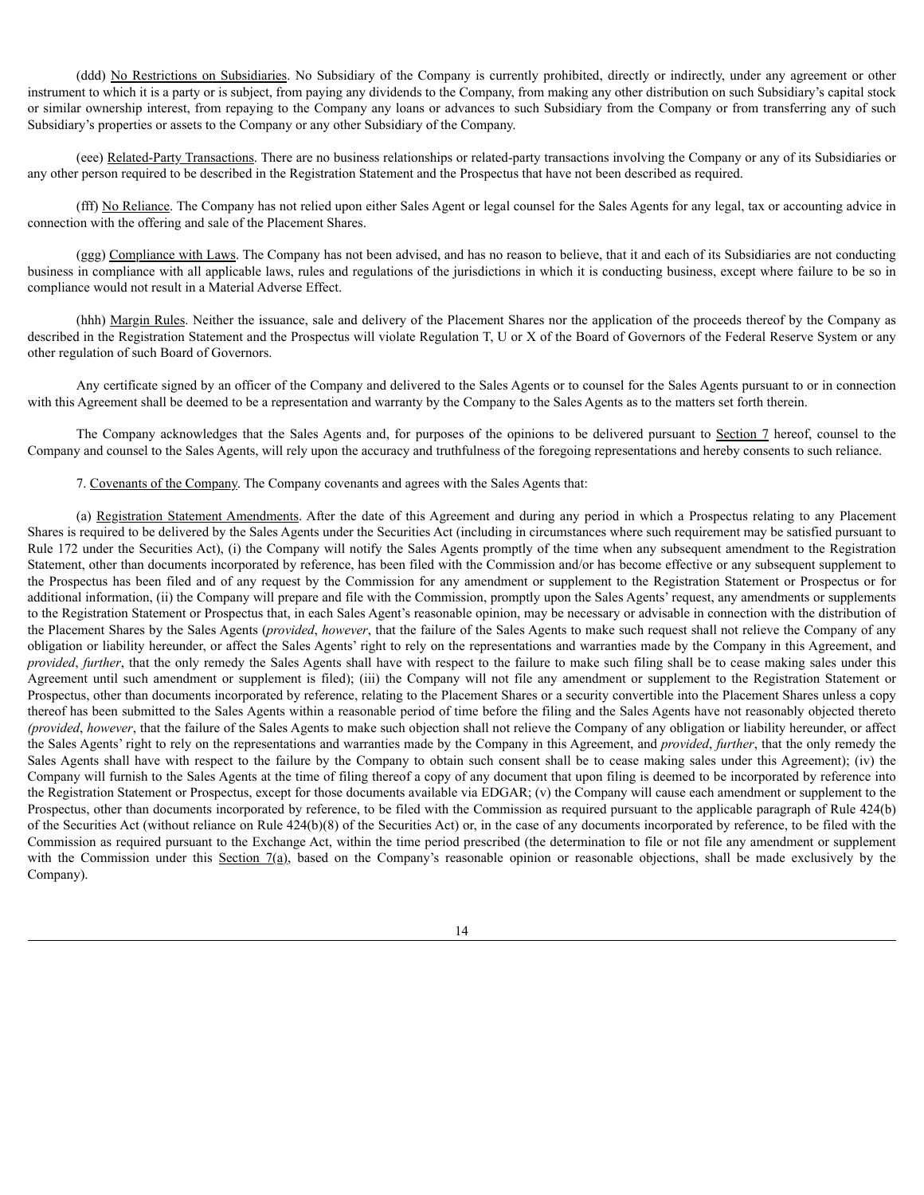(ddd) No Restrictions on Subsidiaries. No Subsidiary of the Company is currently prohibited, directly or indirectly, under any agreement or other instrument to which it is a party or is subject, from paying any dividends to the Company, from making any other distribution on such Subsidiary's capital stock or similar ownership interest, from repaying to the Company any loans or advances to such Subsidiary from the Company or from transferring any of such Subsidiary's properties or assets to the Company or any other Subsidiary of the Company.

(eee) Related-Party Transactions. There are no business relationships or related-party transactions involving the Company or any of its Subsidiaries or any other person required to be described in the Registration Statement and the Prospectus that have not been described as required.

(fff) No Reliance. The Company has not relied upon either Sales Agent or legal counsel for the Sales Agents for any legal, tax or accounting advice in connection with the offering and sale of the Placement Shares.

(ggg) Compliance with Laws. The Company has not been advised, and has no reason to believe, that it and each of its Subsidiaries are not conducting business in compliance with all applicable laws, rules and regulations of the jurisdictions in which it is conducting business, except where failure to be so in compliance would not result in a Material Adverse Effect.

(hhh) Margin Rules. Neither the issuance, sale and delivery of the Placement Shares nor the application of the proceeds thereof by the Company as described in the Registration Statement and the Prospectus will violate Regulation T, U or X of the Board of Governors of the Federal Reserve System or any other regulation of such Board of Governors.

Any certificate signed by an officer of the Company and delivered to the Sales Agents or to counsel for the Sales Agents pursuant to or in connection with this Agreement shall be deemed to be a representation and warranty by the Company to the Sales Agents as to the matters set forth therein.

The Company acknowledges that the Sales Agents and, for purposes of the opinions to be delivered pursuant to Section 7 hereof, counsel to the Company and counsel to the Sales Agents, will rely upon the accuracy and truthfulness of the foregoing representations and hereby consents to such reliance.

7. Covenants of the Company. The Company covenants and agrees with the Sales Agents that:

(a) Registration Statement Amendments. After the date of this Agreement and during any period in which a Prospectus relating to any Placement Shares is required to be delivered by the Sales Agents under the Securities Act (including in circumstances where such requirement may be satisfied pursuant to Rule 172 under the Securities Act), (i) the Company will notify the Sales Agents promptly of the time when any subsequent amendment to the Registration Statement, other than documents incorporated by reference, has been filed with the Commission and/or has become effective or any subsequent supplement to the Prospectus has been filed and of any request by the Commission for any amendment or supplement to the Registration Statement or Prospectus or for additional information, (ii) the Company will prepare and file with the Commission, promptly upon the Sales Agents' request, any amendments or supplements to the Registration Statement or Prospectus that, in each Sales Agent's reasonable opinion, may be necessary or advisable in connection with the distribution of the Placement Shares by the Sales Agents (*provided*, *however*, that the failure of the Sales Agents to make such request shall not relieve the Company of any obligation or liability hereunder, or affect the Sales Agents' right to rely on the representations and warranties made by the Company in this Agreement, and *provided*, *further*, that the only remedy the Sales Agents shall have with respect to the failure to make such filing shall be to cease making sales under this Agreement until such amendment or supplement is filed); (iii) the Company will not file any amendment or supplement to the Registration Statement or Prospectus, other than documents incorporated by reference, relating to the Placement Shares or a security convertible into the Placement Shares unless a copy thereof has been submitted to the Sales Agents within a reasonable period of time before the filing and the Sales Agents have not reasonably objected thereto *(provided*, *however*, that the failure of the Sales Agents to make such objection shall not relieve the Company of any obligation or liability hereunder, or affect the Sales Agents' right to rely on the representations and warranties made by the Company in this Agreement, and *provided*, *further*, that the only remedy the Sales Agents shall have with respect to the failure by the Company to obtain such consent shall be to cease making sales under this Agreement); (iv) the Company will furnish to the Sales Agents at the time of filing thereof a copy of any document that upon filing is deemed to be incorporated by reference into the Registration Statement or Prospectus, except for those documents available via EDGAR; (v) the Company will cause each amendment or supplement to the Prospectus, other than documents incorporated by reference, to be filed with the Commission as required pursuant to the applicable paragraph of Rule 424(b) of the Securities Act (without reliance on Rule 424(b)(8) of the Securities Act) or, in the case of any documents incorporated by reference, to be filed with the Commission as required pursuant to the Exchange Act, within the time period prescribed (the determination to file or not file any amendment or supplement with the Commission under this Section  $7(a)$ , based on the Company's reasonable opinion or reasonable objections, shall be made exclusively by the Company).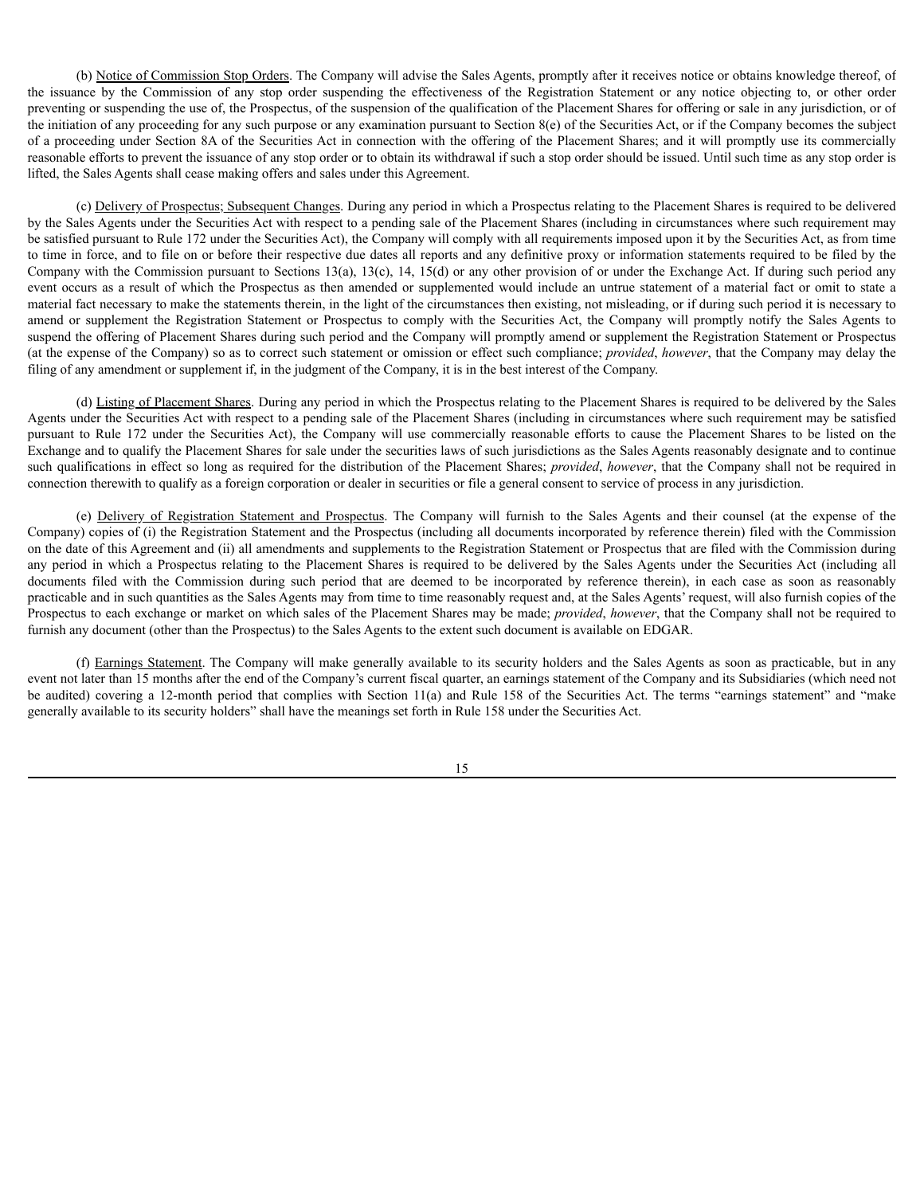(b) Notice of Commission Stop Orders. The Company will advise the Sales Agents, promptly after it receives notice or obtains knowledge thereof, of the issuance by the Commission of any stop order suspending the effectiveness of the Registration Statement or any notice objecting to, or other order preventing or suspending the use of, the Prospectus, of the suspension of the qualification of the Placement Shares for offering or sale in any jurisdiction, or of the initiation of any proceeding for any such purpose or any examination pursuant to Section  $8(e)$  of the Securities Act, or if the Company becomes the subject of a proceeding under Section 8A of the Securities Act in connection with the offering of the Placement Shares; and it will promptly use its commercially reasonable efforts to prevent the issuance of any stop order or to obtain its withdrawal if such a stop order should be issued. Until such time as any stop order is lifted, the Sales Agents shall cease making offers and sales under this Agreement.

(c) Delivery of Prospectus; Subsequent Changes. During any period in which a Prospectus relating to the Placement Shares is required to be delivered by the Sales Agents under the Securities Act with respect to a pending sale of the Placement Shares (including in circumstances where such requirement may be satisfied pursuant to Rule 172 under the Securities Act), the Company will comply with all requirements imposed upon it by the Securities Act, as from time to time in force, and to file on or before their respective due dates all reports and any definitive proxy or information statements required to be filed by the Company with the Commission pursuant to Sections 13(a), 13(c), 14, 15(d) or any other provision of or under the Exchange Act. If during such period any event occurs as a result of which the Prospectus as then amended or supplemented would include an untrue statement of a material fact or omit to state a material fact necessary to make the statements therein, in the light of the circumstances then existing, not misleading, or if during such period it is necessary to amend or supplement the Registration Statement or Prospectus to comply with the Securities Act, the Company will promptly notify the Sales Agents to suspend the offering of Placement Shares during such period and the Company will promptly amend or supplement the Registration Statement or Prospectus (at the expense of the Company) so as to correct such statement or omission or effect such compliance; *provided*, *however*, that the Company may delay the filing of any amendment or supplement if, in the judgment of the Company, it is in the best interest of the Company.

(d) Listing of Placement Shares. During any period in which the Prospectus relating to the Placement Shares is required to be delivered by the Sales Agents under the Securities Act with respect to a pending sale of the Placement Shares (including in circumstances where such requirement may be satisfied pursuant to Rule 172 under the Securities Act), the Company will use commercially reasonable efforts to cause the Placement Shares to be listed on the Exchange and to qualify the Placement Shares for sale under the securities laws of such jurisdictions as the Sales Agents reasonably designate and to continue such qualifications in effect so long as required for the distribution of the Placement Shares; *provided*, *however*, that the Company shall not be required in connection therewith to qualify as a foreign corporation or dealer in securities or file a general consent to service of process in any jurisdiction.

(e) Delivery of Registration Statement and Prospectus. The Company will furnish to the Sales Agents and their counsel (at the expense of the Company) copies of (i) the Registration Statement and the Prospectus (including all documents incorporated by reference therein) filed with the Commission on the date of this Agreement and (ii) all amendments and supplements to the Registration Statement or Prospectus that are filed with the Commission during any period in which a Prospectus relating to the Placement Shares is required to be delivered by the Sales Agents under the Securities Act (including all documents filed with the Commission during such period that are deemed to be incorporated by reference therein), in each case as soon as reasonably practicable and in such quantities as the Sales Agents may from time to time reasonably request and, at the Sales Agents' request, will also furnish copies of the Prospectus to each exchange or market on which sales of the Placement Shares may be made; *provided*, *however*, that the Company shall not be required to furnish any document (other than the Prospectus) to the Sales Agents to the extent such document is available on EDGAR.

(f) Earnings Statement. The Company will make generally available to its security holders and the Sales Agents as soon as practicable, but in any event not later than 15 months after the end of the Company's current fiscal quarter, an earnings statement of the Company and its Subsidiaries (which need not be audited) covering a 12-month period that complies with Section 11(a) and Rule 158 of the Securities Act. The terms "earnings statement" and "make generally available to its security holders" shall have the meanings set forth in Rule 158 under the Securities Act.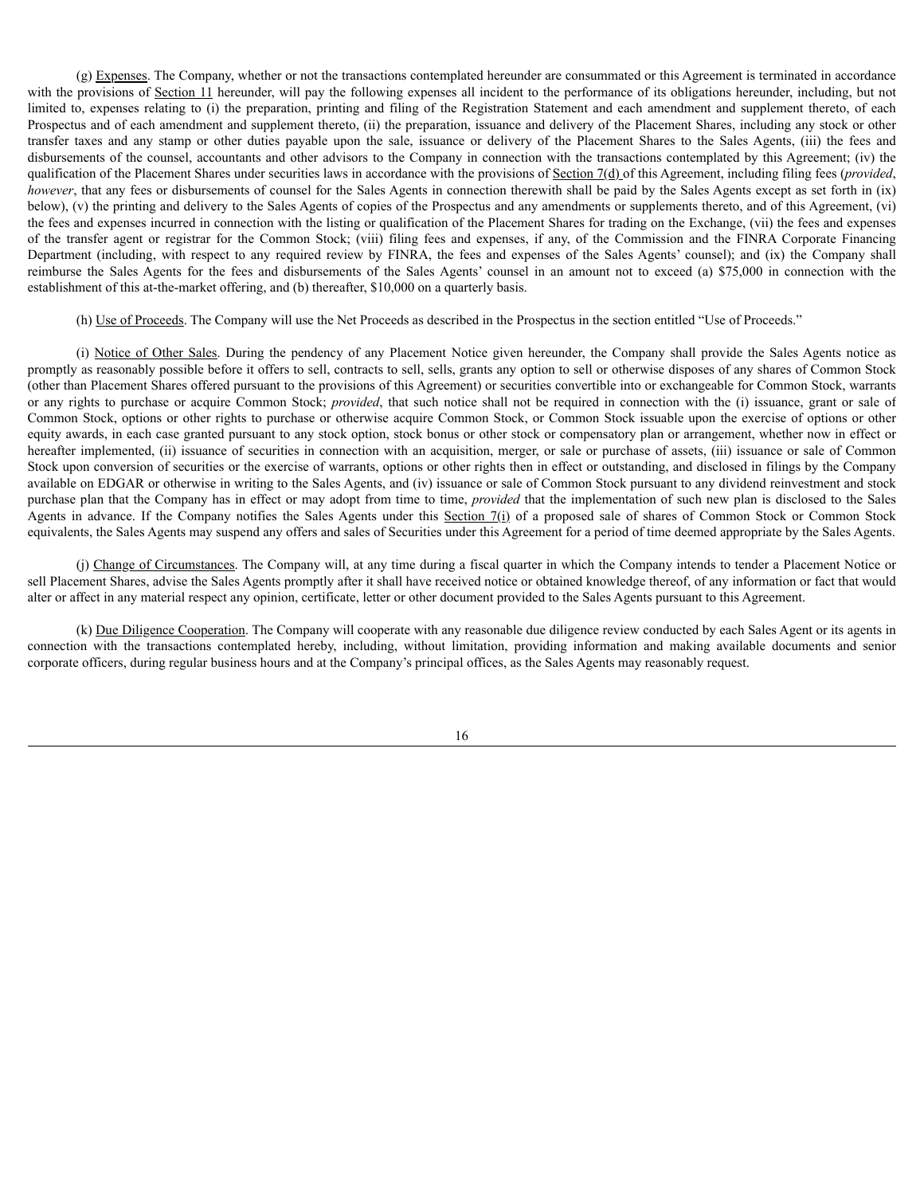(g) Expenses. The Company, whether or not the transactions contemplated hereunder are consummated or this Agreement is terminated in accordance with the provisions of Section 11 hereunder, will pay the following expenses all incident to the performance of its obligations hereunder, including, but not limited to, expenses relating to (i) the preparation, printing and filing of the Registration Statement and each amendment and supplement thereto, of each Prospectus and of each amendment and supplement thereto, (ii) the preparation, issuance and delivery of the Placement Shares, including any stock or other transfer taxes and any stamp or other duties payable upon the sale, issuance or delivery of the Placement Shares to the Sales Agents, (iii) the fees and disbursements of the counsel, accountants and other advisors to the Company in connection with the transactions contemplated by this Agreement; (iv) the qualification of the Placement Shares under securities laws in accordance with the provisions of Section 7(d) of this Agreement, including filing fees (*provided*, *however*, that any fees or disbursements of counsel for the Sales Agents in connection therewith shall be paid by the Sales Agents except as set forth in (ix) below), (v) the printing and delivery to the Sales Agents of copies of the Prospectus and any amendments or supplements thereto, and of this Agreement, (vi) the fees and expenses incurred in connection with the listing or qualification of the Placement Shares for trading on the Exchange, (vii) the fees and expenses of the transfer agent or registrar for the Common Stock; (viii) filing fees and expenses, if any, of the Commission and the FINRA Corporate Financing Department (including, with respect to any required review by FINRA, the fees and expenses of the Sales Agents' counsel); and (ix) the Company shall reimburse the Sales Agents for the fees and disbursements of the Sales Agents' counsel in an amount not to exceed (a) \$75,000 in connection with the establishment of this at-the-market offering, and (b) thereafter, \$10,000 on a quarterly basis.

(h) Use of Proceeds. The Company will use the Net Proceeds as described in the Prospectus in the section entitled "Use of Proceeds."

(i) Notice of Other Sales. During the pendency of any Placement Notice given hereunder, the Company shall provide the Sales Agents notice as promptly as reasonably possible before it offers to sell, contracts to sell, sells, grants any option to sell or otherwise disposes of any shares of Common Stock (other than Placement Shares offered pursuant to the provisions of this Agreement) or securities convertible into or exchangeable for Common Stock, warrants or any rights to purchase or acquire Common Stock; *provided*, that such notice shall not be required in connection with the (i) issuance, grant or sale of Common Stock, options or other rights to purchase or otherwise acquire Common Stock, or Common Stock issuable upon the exercise of options or other equity awards, in each case granted pursuant to any stock option, stock bonus or other stock or compensatory plan or arrangement, whether now in effect or hereafter implemented, (ii) issuance of securities in connection with an acquisition, merger, or sale or purchase of assets, (iii) issuance or sale of Common Stock upon conversion of securities or the exercise of warrants, options or other rights then in effect or outstanding, and disclosed in filings by the Company available on EDGAR or otherwise in writing to the Sales Agents, and (iv) issuance or sale of Common Stock pursuant to any dividend reinvestment and stock purchase plan that the Company has in effect or may adopt from time to time, *provided* that the implementation of such new plan is disclosed to the Sales Agents in advance. If the Company notifies the Sales Agents under this Section 7(i) of a proposed sale of shares of Common Stock or Common Stock equivalents, the Sales Agents may suspend any offers and sales of Securities under this Agreement for a period of time deemed appropriate by the Sales Agents.

(j) Change of Circumstances. The Company will, at any time during a fiscal quarter in which the Company intends to tender a Placement Notice or sell Placement Shares, advise the Sales Agents promptly after it shall have received notice or obtained knowledge thereof, of any information or fact that would alter or affect in any material respect any opinion, certificate, letter or other document provided to the Sales Agents pursuant to this Agreement.

(k) Due Diligence Cooperation. The Company will cooperate with any reasonable due diligence review conducted by each Sales Agent or its agents in connection with the transactions contemplated hereby, including, without limitation, providing information and making available documents and senior corporate officers, during regular business hours and at the Company's principal offices, as the Sales Agents may reasonably request.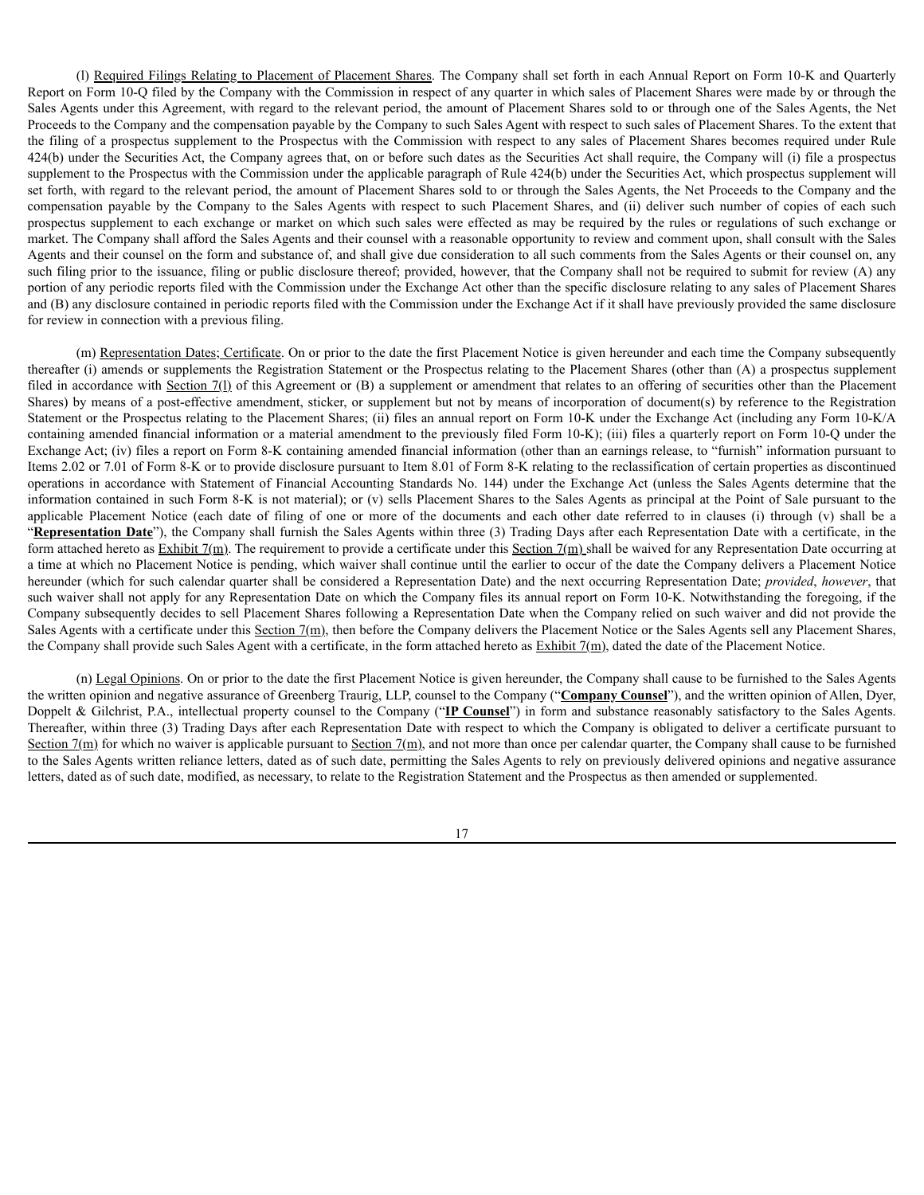(l) Required Filings Relating to Placement of Placement Shares. The Company shall set forth in each Annual Report on Form 10-K and Quarterly Report on Form 10-Q filed by the Company with the Commission in respect of any quarter in which sales of Placement Shares were made by or through the Sales Agents under this Agreement, with regard to the relevant period, the amount of Placement Shares sold to or through one of the Sales Agents, the Net Proceeds to the Company and the compensation payable by the Company to such Sales Agent with respect to such sales of Placement Shares. To the extent that the filing of a prospectus supplement to the Prospectus with the Commission with respect to any sales of Placement Shares becomes required under Rule 424(b) under the Securities Act, the Company agrees that, on or before such dates as the Securities Act shall require, the Company will (i) file a prospectus supplement to the Prospectus with the Commission under the applicable paragraph of Rule 424(b) under the Securities Act, which prospectus supplement will set forth, with regard to the relevant period, the amount of Placement Shares sold to or through the Sales Agents, the Net Proceeds to the Company and the compensation payable by the Company to the Sales Agents with respect to such Placement Shares, and (ii) deliver such number of copies of each such prospectus supplement to each exchange or market on which such sales were effected as may be required by the rules or regulations of such exchange or market. The Company shall afford the Sales Agents and their counsel with a reasonable opportunity to review and comment upon, shall consult with the Sales Agents and their counsel on the form and substance of, and shall give due consideration to all such comments from the Sales Agents or their counsel on, any such filing prior to the issuance, filing or public disclosure thereof; provided, however, that the Company shall not be required to submit for review (A) any portion of any periodic reports filed with the Commission under the Exchange Act other than the specific disclosure relating to any sales of Placement Shares and (B) any disclosure contained in periodic reports filed with the Commission under the Exchange Act if it shall have previously provided the same disclosure for review in connection with a previous filing.

(m) Representation Dates; Certificate. On or prior to the date the first Placement Notice is given hereunder and each time the Company subsequently thereafter (i) amends or supplements the Registration Statement or the Prospectus relating to the Placement Shares (other than (A) a prospectus supplement filed in accordance with Section 7(1) of this Agreement or (B) a supplement or amendment that relates to an offering of securities other than the Placement Shares) by means of a post-effective amendment, sticker, or supplement but not by means of incorporation of document(s) by reference to the Registration Statement or the Prospectus relating to the Placement Shares; (ii) files an annual report on Form 10-K under the Exchange Act (including any Form 10-K/A containing amended financial information or a material amendment to the previously filed Form 10-K); (iii) files a quarterly report on Form 10-Q under the Exchange Act; (iv) files a report on Form 8-K containing amended financial information (other than an earnings release, to "furnish" information pursuant to Items 2.02 or 7.01 of Form 8-K or to provide disclosure pursuant to Item 8.01 of Form 8-K relating to the reclassification of certain properties as discontinued operations in accordance with Statement of Financial Accounting Standards No. 144) under the Exchange Act (unless the Sales Agents determine that the information contained in such Form 8-K is not material); or (v) sells Placement Shares to the Sales Agents as principal at the Point of Sale pursuant to the applicable Placement Notice (each date of filing of one or more of the documents and each other date referred to in clauses (i) through (v) shall be a "**Representation Date**"), the Company shall furnish the Sales Agents within three (3) Trading Days after each Representation Date with a certificate, in the form attached hereto as  $\frac{\text{Exhibit 7(m)}}{\text{The requirement to provide a certificate under this Section 7(m)}$  shall be waived for any Representation Date occurring at a time at which no Placement Notice is pending, which waiver shall continue until the earlier to occur of the date the Company delivers a Placement Notice hereunder (which for such calendar quarter shall be considered a Representation Date) and the next occurring Representation Date; *provided*, *however*, that such waiver shall not apply for any Representation Date on which the Company files its annual report on Form 10-K. Notwithstanding the foregoing, if the Company subsequently decides to sell Placement Shares following a Representation Date when the Company relied on such waiver and did not provide the Sales Agents with a certificate under this Section  $7(m)$ , then before the Company delivers the Placement Notice or the Sales Agents sell any Placement Shares, the Company shall provide such Sales Agent with a certificate, in the form attached hereto as Exhibit 7(m), dated the date of the Placement Notice.

(n) Legal Opinions. On or prior to the date the first Placement Notice is given hereunder, the Company shall cause to be furnished to the Sales Agents the written opinion and negative assurance of Greenberg Traurig, LLP, counsel to the Company ("**Company Counsel**"), and the written opinion of Allen, Dyer, Doppelt & Gilchrist, P.A., intellectual property counsel to the Company ("**IP Counsel**") in form and substance reasonably satisfactory to the Sales Agents. Thereafter, within three (3) Trading Days after each Representation Date with respect to which the Company is obligated to deliver a certificate pursuant to Section  $7(m)$  for which no waiver is applicable pursuant to Section  $7(m)$ , and not more than once per calendar quarter, the Company shall cause to be furnished to the Sales Agents written reliance letters, dated as of such date, permitting the Sales Agents to rely on previously delivered opinions and negative assurance letters, dated as of such date, modified, as necessary, to relate to the Registration Statement and the Prospectus as then amended or supplemented.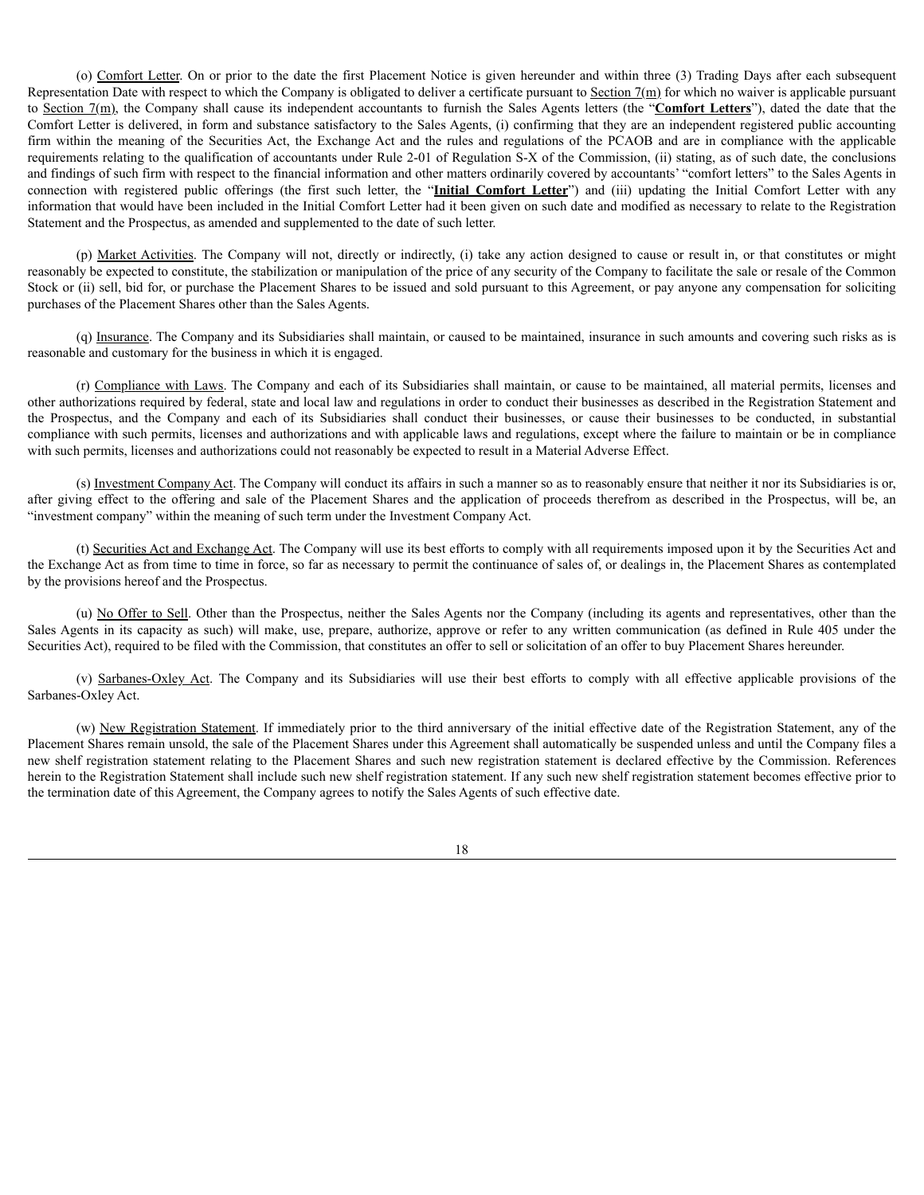(o) Comfort Letter. On or prior to the date the first Placement Notice is given hereunder and within three (3) Trading Days after each subsequent Representation Date with respect to which the Company is obligated to deliver a certificate pursuant to Section  $7(m)$  for which no waiver is applicable pursuant to Section 7(m), the Company shall cause its independent accountants to furnish the Sales Agents letters (the "**Comfort Letters**"), dated the date that the Comfort Letter is delivered, in form and substance satisfactory to the Sales Agents, (i) confirming that they are an independent registered public accounting firm within the meaning of the Securities Act, the Exchange Act and the rules and regulations of the PCAOB and are in compliance with the applicable requirements relating to the qualification of accountants under Rule 2-01 of Regulation S-X of the Commission, (ii) stating, as of such date, the conclusions and findings of such firm with respect to the financial information and other matters ordinarily covered by accountants' "comfort letters" to the Sales Agents in connection with registered public offerings (the first such letter, the "**Initial Comfort Letter**") and (iii) updating the Initial Comfort Letter with any information that would have been included in the Initial Comfort Letter had it been given on such date and modified as necessary to relate to the Registration Statement and the Prospectus, as amended and supplemented to the date of such letter.

(p) Market Activities. The Company will not, directly or indirectly, (i) take any action designed to cause or result in, or that constitutes or might reasonably be expected to constitute, the stabilization or manipulation of the price of any security of the Company to facilitate the sale or resale of the Common Stock or (ii) sell, bid for, or purchase the Placement Shares to be issued and sold pursuant to this Agreement, or pay anyone any compensation for soliciting purchases of the Placement Shares other than the Sales Agents.

(q) Insurance. The Company and its Subsidiaries shall maintain, or caused to be maintained, insurance in such amounts and covering such risks as is reasonable and customary for the business in which it is engaged.

(r) Compliance with Laws. The Company and each of its Subsidiaries shall maintain, or cause to be maintained, all material permits, licenses and other authorizations required by federal, state and local law and regulations in order to conduct their businesses as described in the Registration Statement and the Prospectus, and the Company and each of its Subsidiaries shall conduct their businesses, or cause their businesses to be conducted, in substantial compliance with such permits, licenses and authorizations and with applicable laws and regulations, except where the failure to maintain or be in compliance with such permits, licenses and authorizations could not reasonably be expected to result in a Material Adverse Effect.

(s) Investment Company Act. The Company will conduct its affairs in such a manner so as to reasonably ensure that neither it nor its Subsidiaries is or, after giving effect to the offering and sale of the Placement Shares and the application of proceeds therefrom as described in the Prospectus, will be, an "investment company" within the meaning of such term under the Investment Company Act.

(t) Securities Act and Exchange Act. The Company will use its best efforts to comply with all requirements imposed upon it by the Securities Act and the Exchange Act as from time to time in force, so far as necessary to permit the continuance of sales of, or dealings in, the Placement Shares as contemplated by the provisions hereof and the Prospectus.

(u) No Offer to Sell. Other than the Prospectus, neither the Sales Agents nor the Company (including its agents and representatives, other than the Sales Agents in its capacity as such) will make, use, prepare, authorize, approve or refer to any written communication (as defined in Rule 405 under the Securities Act), required to be filed with the Commission, that constitutes an offer to sell or solicitation of an offer to buy Placement Shares hereunder.

(v) Sarbanes-Oxley Act. The Company and its Subsidiaries will use their best efforts to comply with all effective applicable provisions of the Sarbanes-Oxley Act.

(w) New Registration Statement. If immediately prior to the third anniversary of the initial effective date of the Registration Statement, any of the Placement Shares remain unsold, the sale of the Placement Shares under this Agreement shall automatically be suspended unless and until the Company files a new shelf registration statement relating to the Placement Shares and such new registration statement is declared effective by the Commission. References herein to the Registration Statement shall include such new shelf registration statement. If any such new shelf registration statement becomes effective prior to the termination date of this Agreement, the Company agrees to notify the Sales Agents of such effective date.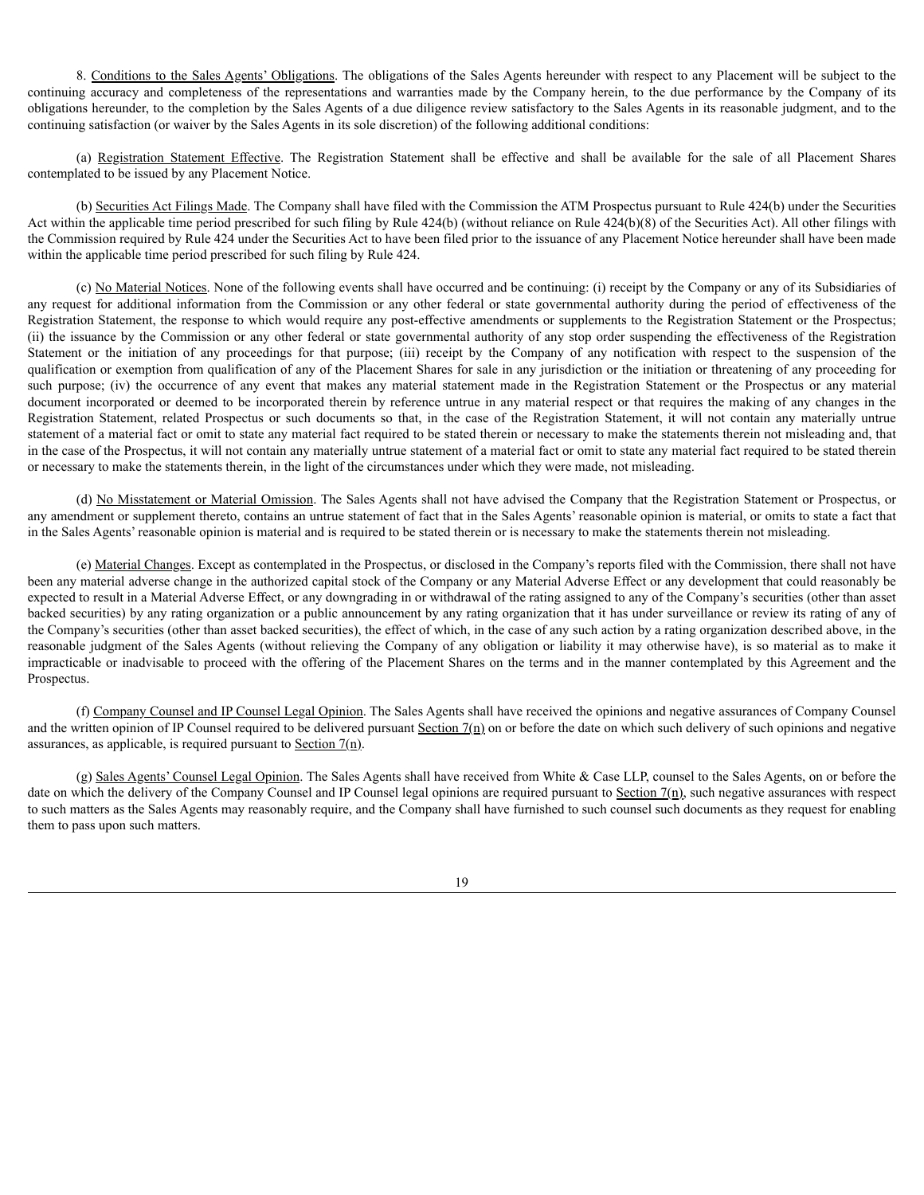8. Conditions to the Sales Agents' Obligations. The obligations of the Sales Agents hereunder with respect to any Placement will be subject to the continuing accuracy and completeness of the representations and warranties made by the Company herein, to the due performance by the Company of its obligations hereunder, to the completion by the Sales Agents of a due diligence review satisfactory to the Sales Agents in its reasonable judgment, and to the continuing satisfaction (or waiver by the Sales Agents in its sole discretion) of the following additional conditions:

(a) Registration Statement Effective. The Registration Statement shall be effective and shall be available for the sale of all Placement Shares contemplated to be issued by any Placement Notice.

(b) Securities Act Filings Made. The Company shall have filed with the Commission the ATM Prospectus pursuant to Rule 424(b) under the Securities Act within the applicable time period prescribed for such filing by Rule 424(b) (without reliance on Rule 424(b)(8) of the Securities Act). All other filings with the Commission required by Rule 424 under the Securities Act to have been filed prior to the issuance of any Placement Notice hereunder shall have been made within the applicable time period prescribed for such filing by Rule 424.

(c) No Material Notices. None of the following events shall have occurred and be continuing: (i) receipt by the Company or any of its Subsidiaries of any request for additional information from the Commission or any other federal or state governmental authority during the period of effectiveness of the Registration Statement, the response to which would require any post-effective amendments or supplements to the Registration Statement or the Prospectus; (ii) the issuance by the Commission or any other federal or state governmental authority of any stop order suspending the effectiveness of the Registration Statement or the initiation of any proceedings for that purpose; (iii) receipt by the Company of any notification with respect to the suspension of the qualification or exemption from qualification of any of the Placement Shares for sale in any jurisdiction or the initiation or threatening of any proceeding for such purpose; (iv) the occurrence of any event that makes any material statement made in the Registration Statement or the Prospectus or any material document incorporated or deemed to be incorporated therein by reference untrue in any material respect or that requires the making of any changes in the Registration Statement, related Prospectus or such documents so that, in the case of the Registration Statement, it will not contain any materially untrue statement of a material fact or omit to state any material fact required to be stated therein or necessary to make the statements therein not misleading and, that in the case of the Prospectus, it will not contain any materially untrue statement of a material fact or omit to state any material fact required to be stated therein or necessary to make the statements therein, in the light of the circumstances under which they were made, not misleading.

(d) No Misstatement or Material Omission. The Sales Agents shall not have advised the Company that the Registration Statement or Prospectus, or any amendment or supplement thereto, contains an untrue statement of fact that in the Sales Agents' reasonable opinion is material, or omits to state a fact that in the Sales Agents' reasonable opinion is material and is required to be stated therein or is necessary to make the statements therein not misleading.

(e) Material Changes. Except as contemplated in the Prospectus, or disclosed in the Company's reports filed with the Commission, there shall not have been any material adverse change in the authorized capital stock of the Company or any Material Adverse Effect or any development that could reasonably be expected to result in a Material Adverse Effect, or any downgrading in or withdrawal of the rating assigned to any of the Company's securities (other than asset backed securities) by any rating organization or a public announcement by any rating organization that it has under surveillance or review its rating of any of the Company's securities (other than asset backed securities), the effect of which, in the case of any such action by a rating organization described above, in the reasonable judgment of the Sales Agents (without relieving the Company of any obligation or liability it may otherwise have), is so material as to make it impracticable or inadvisable to proceed with the offering of the Placement Shares on the terms and in the manner contemplated by this Agreement and the Prospectus.

(f) Company Counsel and IP Counsel Legal Opinion. The Sales Agents shall have received the opinions and negative assurances of Company Counsel and the written opinion of IP Counsel required to be delivered pursuant Section  $7(n)$  on or before the date on which such delivery of such opinions and negative assurances, as applicable, is required pursuant to Section  $7(n)$ .

(g) Sales Agents' Counsel Legal Opinion. The Sales Agents shall have received from White & Case LLP, counsel to the Sales Agents, on or before the date on which the delivery of the Company Counsel and IP Counsel legal opinions are required pursuant to Section  $7(n)$ , such negative assurances with respect to such matters as the Sales Agents may reasonably require, and the Company shall have furnished to such counsel such documents as they request for enabling them to pass upon such matters.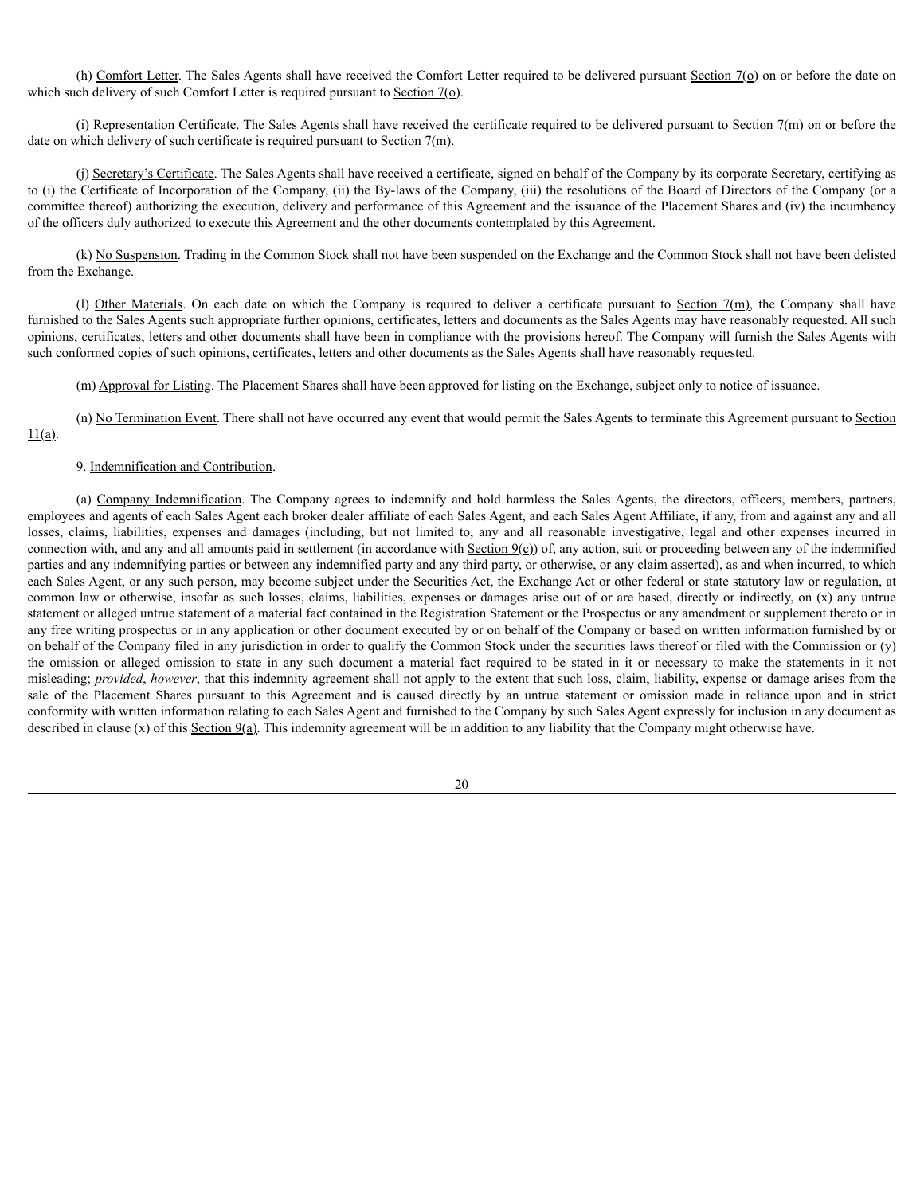(h) Comfort Letter. The Sales Agents shall have received the Comfort Letter required to be delivered pursuant Section 7(o) on or before the date on which such delivery of such Comfort Letter is required pursuant to Section  $7(\rho)$ .

(i) Representation Certificate. The Sales Agents shall have received the certificate required to be delivered pursuant to Section 7(m) on or before the date on which delivery of such certificate is required pursuant to Section  $7(m)$ .

(j) Secretary's Certificate. The Sales Agents shall have received a certificate, signed on behalf of the Company by its corporate Secretary, certifying as to (i) the Certificate of Incorporation of the Company, (ii) the By-laws of the Company, (iii) the resolutions of the Board of Directors of the Company (or a committee thereof) authorizing the execution, delivery and performance of this Agreement and the issuance of the Placement Shares and (iv) the incumbency of the officers duly authorized to execute this Agreement and the other documents contemplated by this Agreement.

(k) No Suspension. Trading in the Common Stock shall not have been suspended on the Exchange and the Common Stock shall not have been delisted from the Exchange.

(l) Other Materials. On each date on which the Company is required to deliver a certificate pursuant to Section  $7(m)$ , the Company shall have furnished to the Sales Agents such appropriate further opinions, certificates, letters and documents as the Sales Agents may have reasonably requested. All such opinions, certificates, letters and other documents shall have been in compliance with the provisions hereof. The Company will furnish the Sales Agents with such conformed copies of such opinions, certificates, letters and other documents as the Sales Agents shall have reasonably requested.

(m) Approval for Listing. The Placement Shares shall have been approved for listing on the Exchange, subject only to notice of issuance.

(n) No Termination Event. There shall not have occurred any event that would permit the Sales Agents to terminate this Agreement pursuant to Section  $11(a)$ .

### 9. Indemnification and Contribution.

(a) Company Indemnification. The Company agrees to indemnify and hold harmless the Sales Agents, the directors, officers, members, partners, employees and agents of each Sales Agent each broker dealer affiliate of each Sales Agent, and each Sales Agent Affiliate, if any, from and against any and all losses, claims, liabilities, expenses and damages (including, but not limited to, any and all reasonable investigative, legal and other expenses incurred in connection with, and any and all amounts paid in settlement (in accordance with  $Section 9(c)$ ) of, any action, suit or proceeding between any of the indemnified parties and any indemnifying parties or between any indemnified party and any third party, or otherwise, or any claim asserted), as and when incurred, to which each Sales Agent, or any such person, may become subject under the Securities Act, the Exchange Act or other federal or state statutory law or regulation, at common law or otherwise, insofar as such losses, claims, liabilities, expenses or damages arise out of or are based, directly or indirectly, on (x) any untrue statement or alleged untrue statement of a material fact contained in the Registration Statement or the Prospectus or any amendment or supplement thereto or in any free writing prospectus or in any application or other document executed by or on behalf of the Company or based on written information furnished by or on behalf of the Company filed in any jurisdiction in order to qualify the Common Stock under the securities laws thereof or filed with the Commission or (y) the omission or alleged omission to state in any such document a material fact required to be stated in it or necessary to make the statements in it not misleading; *provided*, *however*, that this indemnity agreement shall not apply to the extent that such loss, claim, liability, expense or damage arises from the sale of the Placement Shares pursuant to this Agreement and is caused directly by an untrue statement or omission made in reliance upon and in strict conformity with written information relating to each Sales Agent and furnished to the Company by such Sales Agent expressly for inclusion in any document as described in clause (x) of this Section 9(a). This indemnity agreement will be in addition to any liability that the Company might otherwise have.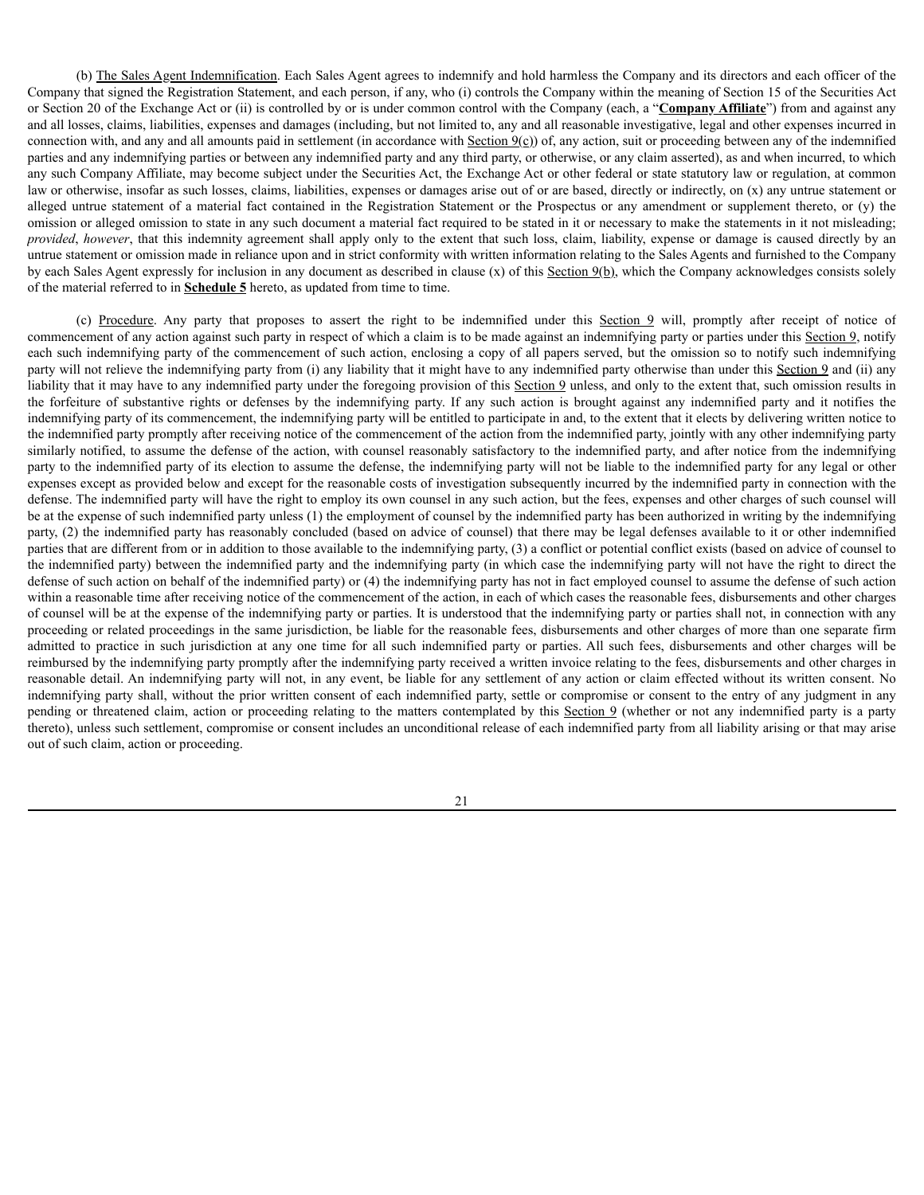(b) The Sales Agent Indemnification. Each Sales Agent agrees to indemnify and hold harmless the Company and its directors and each officer of the Company that signed the Registration Statement, and each person, if any, who (i) controls the Company within the meaning of Section 15 of the Securities Act or Section 20 of the Exchange Act or (ii) is controlled by or is under common control with the Company (each, a "**Company Affiliate**") from and against any and all losses, claims, liabilities, expenses and damages (including, but not limited to, any and all reasonable investigative, legal and other expenses incurred in connection with, and any and all amounts paid in settlement (in accordance with  $Section 9(c)$ ) of, any action, suit or proceeding between any of the indemnified parties and any indemnifying parties or between any indemnified party and any third party, or otherwise, or any claim asserted), as and when incurred, to which any such Company Affiliate, may become subject under the Securities Act, the Exchange Act or other federal or state statutory law or regulation, at common law or otherwise, insofar as such losses, claims, liabilities, expenses or damages arise out of or are based, directly or indirectly, on (x) any untrue statement or alleged untrue statement of a material fact contained in the Registration Statement or the Prospectus or any amendment or supplement thereto, or (y) the omission or alleged omission to state in any such document a material fact required to be stated in it or necessary to make the statements in it not misleading; *provided, however*, that this indemnity agreement shall apply only to the extent that such loss, claim, liability, expense or damage is caused directly by an untrue statement or omission made in reliance upon and in strict conformity with written information relating to the Sales Agents and furnished to the Company by each Sales Agent expressly for inclusion in any document as described in clause (x) of this Section 9(b), which the Company acknowledges consists solely of the material referred to in **Schedule 5** hereto, as updated from time to time.

(c) Procedure. Any party that proposes to assert the right to be indemnified under this Section 9 will, promptly after receipt of notice of commencement of any action against such party in respect of which a claim is to be made against an indemnifying party or parties under this Section 9, notify each such indemnifying party of the commencement of such action, enclosing a copy of all papers served, but the omission so to notify such indemnifying party will not relieve the indemnifying party from (i) any liability that it might have to any indemnified party otherwise than under this Section 9 and (ii) any liability that it may have to any indemnified party under the foregoing provision of this Section 9 unless, and only to the extent that, such omission results in the forfeiture of substantive rights or defenses by the indemnifying party. If any such action is brought against any indemnified party and it notifies the indemnifying party of its commencement, the indemnifying party will be entitled to participate in and, to the extent that it elects by delivering written notice to the indemnified party promptly after receiving notice of the commencement of the action from the indemnified party, jointly with any other indemnifying party similarly notified, to assume the defense of the action, with counsel reasonably satisfactory to the indemnified party, and after notice from the indemnifying party to the indemnified party of its election to assume the defense, the indemnifying party will not be liable to the indemnified party for any legal or other expenses except as provided below and except for the reasonable costs of investigation subsequently incurred by the indemnified party in connection with the defense. The indemnified party will have the right to employ its own counsel in any such action, but the fees, expenses and other charges of such counsel will be at the expense of such indemnified party unless (1) the employment of counsel by the indemnified party has been authorized in writing by the indemnifying party, (2) the indemnified party has reasonably concluded (based on advice of counsel) that there may be legal defenses available to it or other indemnified parties that are different from or in addition to those available to the indemnifying party, (3) a conflict or potential conflict exists (based on advice of counsel to the indemnified party) between the indemnified party and the indemnifying party (in which case the indemnifying party will not have the right to direct the defense of such action on behalf of the indemnified party) or (4) the indemnifying party has not in fact employed counsel to assume the defense of such action within a reasonable time after receiving notice of the commencement of the action, in each of which cases the reasonable fees, disbursements and other charges of counsel will be at the expense of the indemnifying party or parties. It is understood that the indemnifying party or parties shall not, in connection with any proceeding or related proceedings in the same jurisdiction, be liable for the reasonable fees, disbursements and other charges of more than one separate firm admitted to practice in such jurisdiction at any one time for all such indemnified party or parties. All such fees, disbursements and other charges will be reimbursed by the indemnifying party promptly after the indemnifying party received a written invoice relating to the fees, disbursements and other charges in reasonable detail. An indemnifying party will not, in any event, be liable for any settlement of any action or claim effected without its written consent. No indemnifying party shall, without the prior written consent of each indemnified party, settle or compromise or consent to the entry of any judgment in any pending or threatened claim, action or proceeding relating to the matters contemplated by this Section 9 (whether or not any indemnified party is a party thereto), unless such settlement, compromise or consent includes an unconditional release of each indemnified party from all liability arising or that may arise out of such claim, action or proceeding.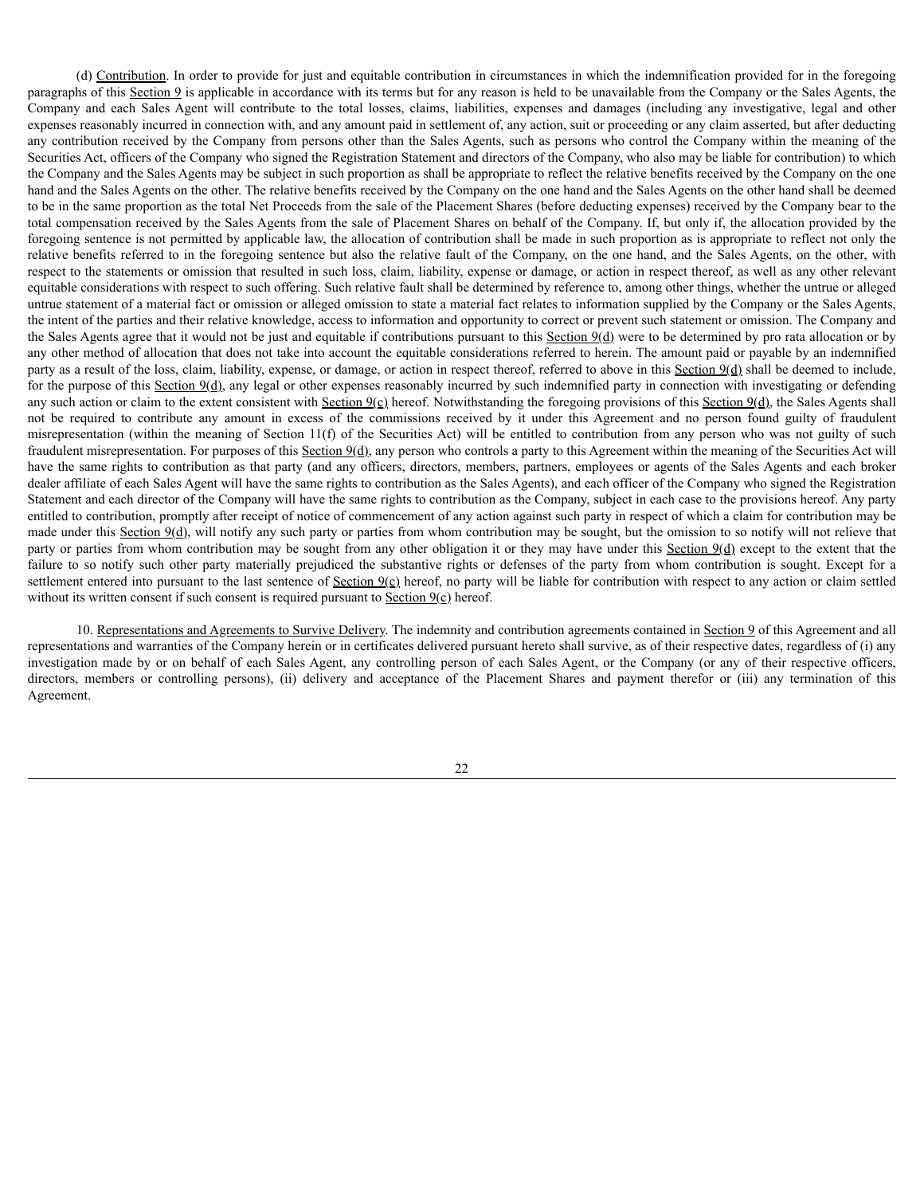(d) Contribution. In order to provide for just and equitable contribution in circumstances in which the indemnification provided for in the foregoing paragraphs of this Section 9 is applicable in accordance with its terms but for any reason is held to be unavailable from the Company or the Sales Agents, the Company and each Sales Agent will contribute to the total losses, claims, liabilities, expenses and damages (including any investigative, legal and other expenses reasonably incurred in connection with, and any amount paid in settlement of, any action, suit or proceeding or any claim asserted, but after deducting any contribution received by the Company from persons other than the Sales Agents, such as persons who control the Company within the meaning of the Securities Act, officers of the Company who signed the Registration Statement and directors of the Company, who also may be liable for contribution) to which the Company and the Sales Agents may be subject in such proportion as shall be appropriate to reflect the relative benefits received by the Company on the one hand and the Sales Agents on the other. The relative benefits received by the Company on the one hand and the Sales Agents on the other hand shall be deemed to be in the same proportion as the total Net Proceeds from the sale of the Placement Shares (before deducting expenses) received by the Company bear to the total compensation received by the Sales Agents from the sale of Placement Shares on behalf of the Company. If, but only if, the allocation provided by the foregoing sentence is not permitted by applicable law, the allocation of contribution shall be made in such proportion as is appropriate to reflect not only the relative benefits referred to in the foregoing sentence but also the relative fault of the Company, on the one hand, and the Sales Agents, on the other, with respect to the statements or omission that resulted in such loss, claim, liability, expense or damage, or action in respect thereof, as well as any other relevant equitable considerations with respect to such offering. Such relative fault shall be determined by reference to, among other things, whether the untrue or alleged untrue statement of a material fact or omission or alleged omission to state a material fact relates to information supplied by the Company or the Sales Agents, the intent of the parties and their relative knowledge, access to information and opportunity to correct or prevent such statement or omission. The Company and the Sales Agents agree that it would not be just and equitable if contributions pursuant to this  $\frac{\text{Section 9(d)}}{\text{Section 9(d)}}$  were to be determined by pro rata allocation or by any other method of allocation that does not take into account the equitable considerations referred to herein. The amount paid or payable by an indemnified party as a result of the loss, claim, liability, expense, or damage, or action in respect thereof, referred to above in this Section  $9(d)$  shall be deemed to include, for the purpose of this Section  $9(d)$ , any legal or other expenses reasonably incurred by such indemnified party in connection with investigating or defending any such action or claim to the extent consistent with Section  $9(c)$  hereof. Notwithstanding the foregoing provisions of this Section  $9(d)$ , the Sales Agents shall not be required to contribute any amount in excess of the commissions received by it under this Agreement and no person found guilty of fraudulent misrepresentation (within the meaning of Section 11(f) of the Securities Act) will be entitled to contribution from any person who was not guilty of such fraudulent misrepresentation. For purposes of this Section 9(d), any person who controls a party to this Agreement within the meaning of the Securities Act will have the same rights to contribution as that party (and any officers, directors, members, partners, employees or agents of the Sales Agents and each broker dealer affiliate of each Sales Agent will have the same rights to contribution as the Sales Agents), and each officer of the Company who signed the Registration Statement and each director of the Company will have the same rights to contribution as the Company, subject in each case to the provisions hereof. Any party entitled to contribution, promptly after receipt of notice of commencement of any action against such party in respect of which a claim for contribution may be made under this Section  $9(d)$ , will notify any such party or parties from whom contribution may be sought, but the omission to so notify will not relieve that party or parties from whom contribution may be sought from any other obligation it or they may have under this Section 9(d) except to the extent that the failure to so notify such other party materially prejudiced the substantive rights or defenses of the party from whom contribution is sought. Except for a settlement entered into pursuant to the last sentence of Section  $9(c)$  hereof, no party will be liable for contribution with respect to any action or claim settled without its written consent if such consent is required pursuant to Section 9(c) hereof.

10. Representations and Agreements to Survive Delivery. The indemnity and contribution agreements contained in Section 9 of this Agreement and all representations and warranties of the Company herein or in certificates delivered pursuant hereto shall survive, as of their respective dates, regardless of (i) any investigation made by or on behalf of each Sales Agent, any controlling person of each Sales Agent, or the Company (or any of their respective officers, directors, members or controlling persons), (ii) delivery and acceptance of the Placement Shares and payment therefor or (iii) any termination of this Agreement.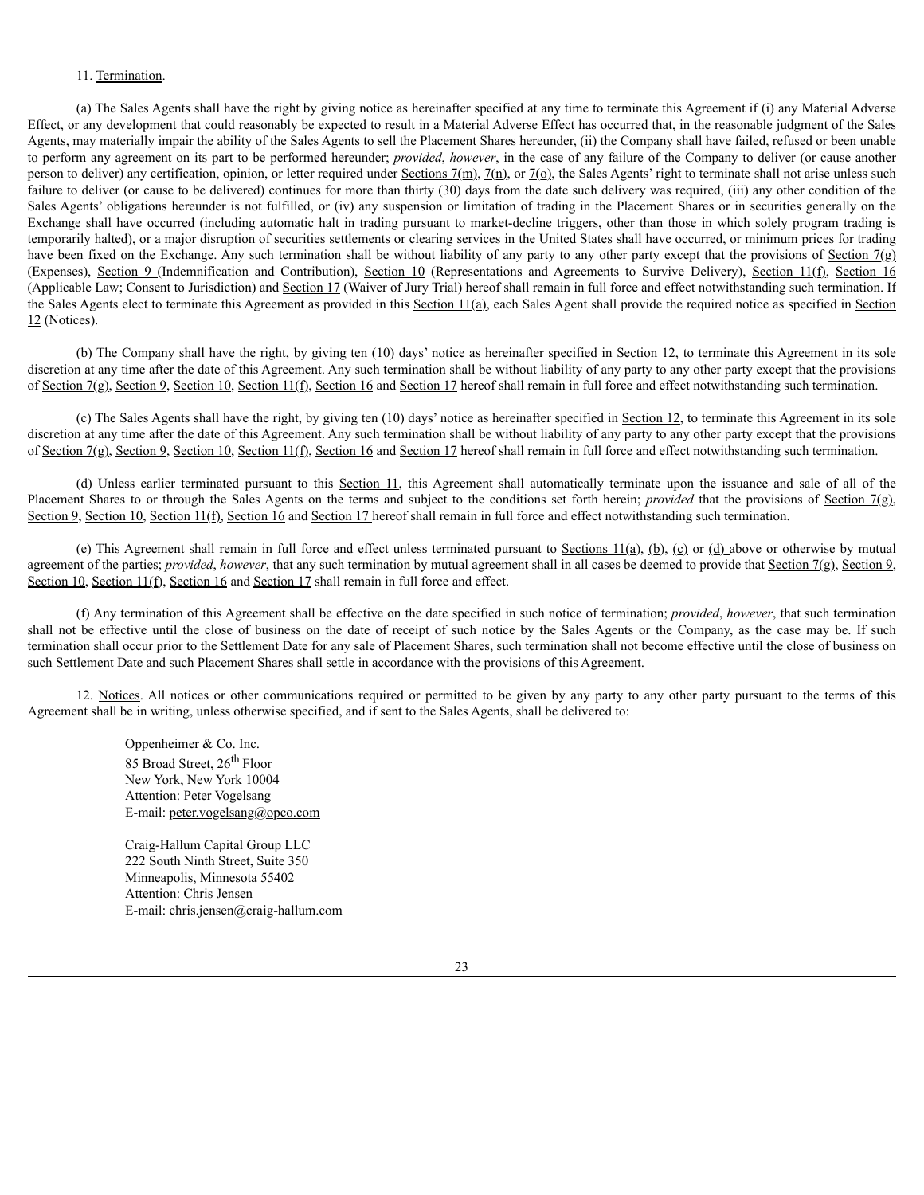#### 11. Termination.

(a) The Sales Agents shall have the right by giving notice as hereinafter specified at any time to terminate this Agreement if (i) any Material Adverse Effect, or any development that could reasonably be expected to result in a Material Adverse Effect has occurred that, in the reasonable judgment of the Sales Agents, may materially impair the ability of the Sales Agents to sell the Placement Shares hereunder, (ii) the Company shall have failed, refused or been unable to perform any agreement on its part to be performed hereunder; *provided*, *however*, in the case of any failure of the Company to deliver (or cause another person to deliver) any certification, opinion, or letter required under Sections  $7(m)$ ,  $7(n)$ , or  $7(0)$ , the Sales Agents' right to terminate shall not arise unless such failure to deliver (or cause to be delivered) continues for more than thirty (30) days from the date such delivery was required, (iii) any other condition of the Sales Agents' obligations hereunder is not fulfilled, or (iv) any suspension or limitation of trading in the Placement Shares or in securities generally on the Exchange shall have occurred (including automatic halt in trading pursuant to market-decline triggers, other than those in which solely program trading is temporarily halted), or a major disruption of securities settlements or clearing services in the United States shall have occurred, or minimum prices for trading have been fixed on the Exchange. Any such termination shall be without liability of any party to any other party except that the provisions of Section 7(g) (Expenses), Section 9 (Indemnification and Contribution), Section 10 (Representations and Agreements to Survive Delivery), Section 11(f), Section 16 (Applicable Law; Consent to Jurisdiction) and Section 17 (Waiver of Jury Trial) hereof shall remain in full force and effect notwithstanding such termination. If the Sales Agents elect to terminate this Agreement as provided in this Section  $11(a)$ , each Sales Agent shall provide the required notice as specified in Section 12 (Notices).

(b) The Company shall have the right, by giving ten (10) days' notice as hereinafter specified in Section 12, to terminate this Agreement in its sole discretion at any time after the date of this Agreement. Any such termination shall be without liability of any party to any other party except that the provisions of Section 7(g), Section 9, Section 10, Section 11(f), Section 16 and Section 17 hereof shall remain in full force and effect notwithstanding such termination.

(c) The Sales Agents shall have the right, by giving ten (10) days' notice as hereinafter specified in Section 12, to terminate this Agreement in its sole discretion at any time after the date of this Agreement. Any such termination shall be without liability of any party to any other party except that the provisions of Section 7(g), Section 9, Section 10, Section 11(f), Section 16 and Section 17 hereof shall remain in full force and effect notwithstanding such termination.

(d) Unless earlier terminated pursuant to this Section 11, this Agreement shall automatically terminate upon the issuance and sale of all of the Placement Shares to or through the Sales Agents on the terms and subject to the conditions set forth herein; *provided* that the provisions of Section 7(g), Section 9, Section 10, Section 11(f), Section 16 and Section 17 hereof shall remain in full force and effect notwithstanding such termination.

(e) This Agreement shall remain in full force and effect unless terminated pursuant to Sections 11(a), (b), (c) or (d) above or otherwise by mutual agreement of the parties; *provided, however*, that any such termination by mutual agreement shall in all cases be deemed to provide that Section 7(g), Section 9, Section 10, Section 11(f), Section 16 and Section 17 shall remain in full force and effect.

(f) Any termination of this Agreement shall be effective on the date specified in such notice of termination; *provided*, *however*, that such termination shall not be effective until the close of business on the date of receipt of such notice by the Sales Agents or the Company, as the case may be. If such termination shall occur prior to the Settlement Date for any sale of Placement Shares, such termination shall not become effective until the close of business on such Settlement Date and such Placement Shares shall settle in accordance with the provisions of this Agreement.

12. Notices. All notices or other communications required or permitted to be given by any party to any other party pursuant to the terms of this Agreement shall be in writing, unless otherwise specified, and if sent to the Sales Agents, shall be delivered to:

> Oppenheimer & Co. Inc. 85 Broad Street, 26<sup>th</sup> Floor New York, New York 10004 Attention: Peter Vogelsang E-mail: peter.vogelsang@opco.com

Craig-Hallum Capital Group LLC 222 South Ninth Street, Suite 350 Minneapolis, Minnesota 55402 Attention: Chris Jensen E-mail: chris.jensen@craig-hallum.com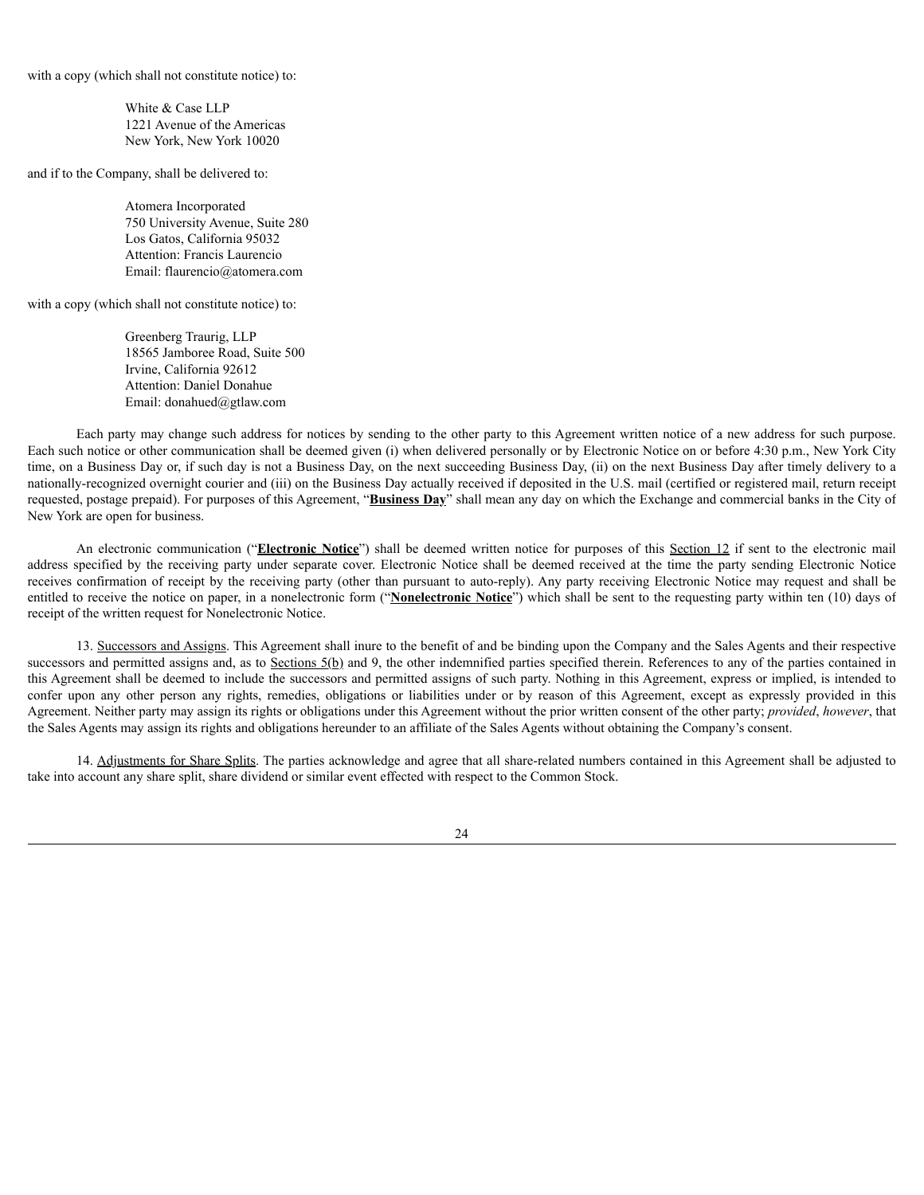with a copy (which shall not constitute notice) to:

White & Case LLP 1221 Avenue of the Americas New York, New York 10020

and if to the Company, shall be delivered to:

Atomera Incorporated 750 University Avenue, Suite 280 Los Gatos, California 95032 Attention: Francis Laurencio Email: flaurencio@atomera.com

with a copy (which shall not constitute notice) to:

Greenberg Traurig, LLP 18565 Jamboree Road, Suite 500 Irvine, California 92612 Attention: Daniel Donahue Email: donahued@gtlaw.com

Each party may change such address for notices by sending to the other party to this Agreement written notice of a new address for such purpose. Each such notice or other communication shall be deemed given (i) when delivered personally or by Electronic Notice on or before 4:30 p.m., New York City time, on a Business Day or, if such day is not a Business Day, on the next succeeding Business Day, (ii) on the next Business Day after timely delivery to a nationally-recognized overnight courier and (iii) on the Business Day actually received if deposited in the U.S. mail (certified or registered mail, return receipt requested, postage prepaid). For purposes of this Agreement, "**Business Day**" shall mean any day on which the Exchange and commercial banks in the City of New York are open for business.

An electronic communication ("**Electronic Notice**") shall be deemed written notice for purposes of this Section 12 if sent to the electronic mail address specified by the receiving party under separate cover. Electronic Notice shall be deemed received at the time the party sending Electronic Notice receives confirmation of receipt by the receiving party (other than pursuant to auto-reply). Any party receiving Electronic Notice may request and shall be entitled to receive the notice on paper, in a nonelectronic form ("**Nonelectronic Notice**") which shall be sent to the requesting party within ten (10) days of receipt of the written request for Nonelectronic Notice.

13. Successors and Assigns. This Agreement shall inure to the benefit of and be binding upon the Company and the Sales Agents and their respective successors and permitted assigns and, as to Sections  $5(b)$  and 9, the other indemnified parties specified therein. References to any of the parties contained in this Agreement shall be deemed to include the successors and permitted assigns of such party. Nothing in this Agreement, express or implied, is intended to confer upon any other person any rights, remedies, obligations or liabilities under or by reason of this Agreement, except as expressly provided in this Agreement. Neither party may assign its rights or obligations under this Agreement without the prior written consent of the other party; *provided*, *however*, that the Sales Agents may assign its rights and obligations hereunder to an affiliate of the Sales Agents without obtaining the Company's consent.

14. Adjustments for Share Splits. The parties acknowledge and agree that all share-related numbers contained in this Agreement shall be adjusted to take into account any share split, share dividend or similar event effected with respect to the Common Stock.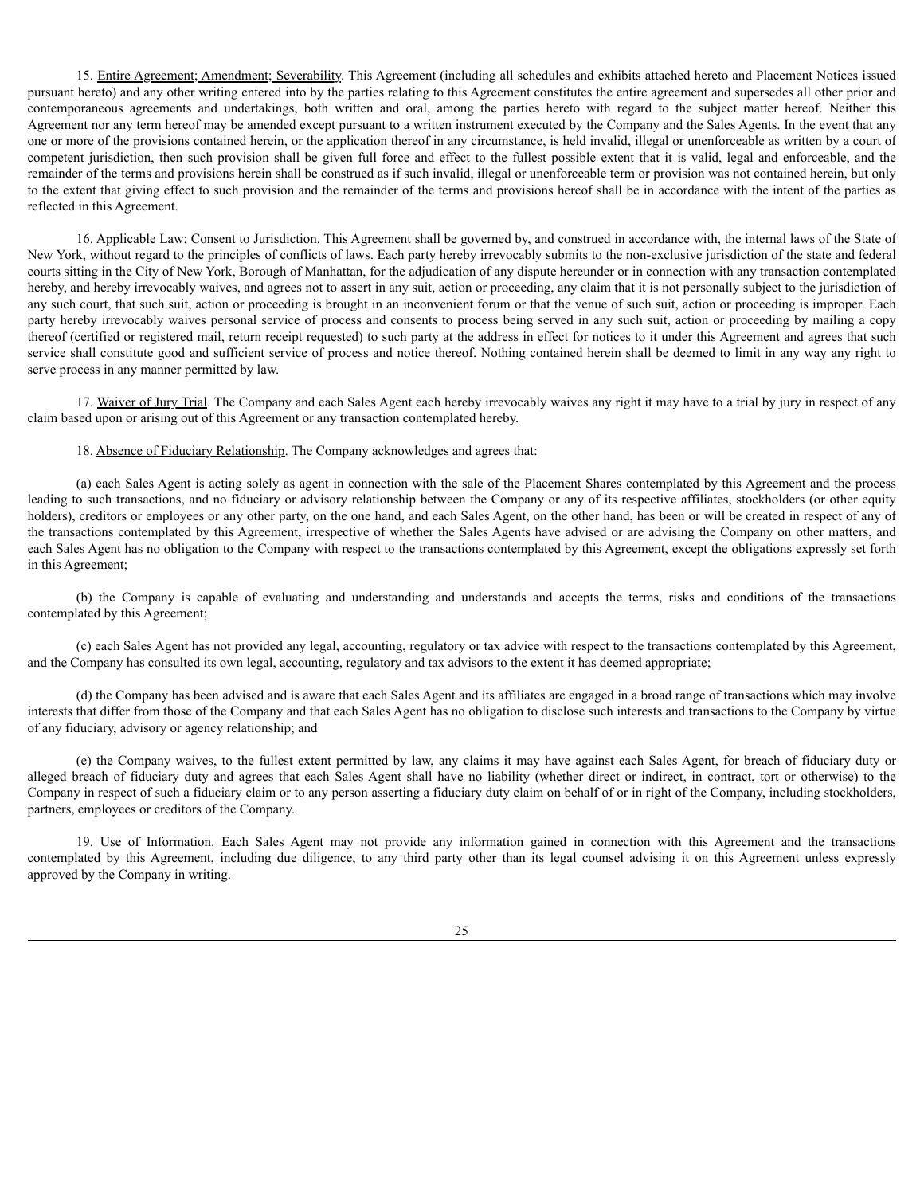15. Entire Agreement; Amendment; Severability. This Agreement (including all schedules and exhibits attached hereto and Placement Notices issued pursuant hereto) and any other writing entered into by the parties relating to this Agreement constitutes the entire agreement and supersedes all other prior and contemporaneous agreements and undertakings, both written and oral, among the parties hereto with regard to the subject matter hereof. Neither this Agreement nor any term hereof may be amended except pursuant to a written instrument executed by the Company and the Sales Agents. In the event that any one or more of the provisions contained herein, or the application thereof in any circumstance, is held invalid, illegal or unenforceable as written by a court of competent jurisdiction, then such provision shall be given full force and effect to the fullest possible extent that it is valid, legal and enforceable, and the remainder of the terms and provisions herein shall be construed as if such invalid, illegal or unenforceable term or provision was not contained herein, but only to the extent that giving effect to such provision and the remainder of the terms and provisions hereof shall be in accordance with the intent of the parties as reflected in this Agreement.

16. Applicable Law; Consent to Jurisdiction. This Agreement shall be governed by, and construed in accordance with, the internal laws of the State of New York, without regard to the principles of conflicts of laws. Each party hereby irrevocably submits to the non-exclusive jurisdiction of the state and federal courts sitting in the City of New York, Borough of Manhattan, for the adjudication of any dispute hereunder or in connection with any transaction contemplated hereby, and hereby irrevocably waives, and agrees not to assert in any suit, action or proceeding, any claim that it is not personally subject to the jurisdiction of any such court, that such suit, action or proceeding is brought in an inconvenient forum or that the venue of such suit, action or proceeding is improper. Each party hereby irrevocably waives personal service of process and consents to process being served in any such suit, action or proceeding by mailing a copy thereof (certified or registered mail, return receipt requested) to such party at the address in effect for notices to it under this Agreement and agrees that such service shall constitute good and sufficient service of process and notice thereof. Nothing contained herein shall be deemed to limit in any way any right to serve process in any manner permitted by law.

17. Waiver of Jury Trial. The Company and each Sales Agent each hereby irrevocably waives any right it may have to a trial by jury in respect of any claim based upon or arising out of this Agreement or any transaction contemplated hereby.

18. Absence of Fiduciary Relationship. The Company acknowledges and agrees that:

(a) each Sales Agent is acting solely as agent in connection with the sale of the Placement Shares contemplated by this Agreement and the process leading to such transactions, and no fiduciary or advisory relationship between the Company or any of its respective affiliates, stockholders (or other equity holders), creditors or employees or any other party, on the one hand, and each Sales Agent, on the other hand, has been or will be created in respect of any of the transactions contemplated by this Agreement, irrespective of whether the Sales Agents have advised or are advising the Company on other matters, and each Sales Agent has no obligation to the Company with respect to the transactions contemplated by this Agreement, except the obligations expressly set forth in this Agreement;

(b) the Company is capable of evaluating and understanding and understands and accepts the terms, risks and conditions of the transactions contemplated by this Agreement;

(c) each Sales Agent has not provided any legal, accounting, regulatory or tax advice with respect to the transactions contemplated by this Agreement, and the Company has consulted its own legal, accounting, regulatory and tax advisors to the extent it has deemed appropriate;

(d) the Company has been advised and is aware that each Sales Agent and its affiliates are engaged in a broad range of transactions which may involve interests that differ from those of the Company and that each Sales Agent has no obligation to disclose such interests and transactions to the Company by virtue of any fiduciary, advisory or agency relationship; and

(e) the Company waives, to the fullest extent permitted by law, any claims it may have against each Sales Agent, for breach of fiduciary duty or alleged breach of fiduciary duty and agrees that each Sales Agent shall have no liability (whether direct or indirect, in contract, tort or otherwise) to the Company in respect of such a fiduciary claim or to any person asserting a fiduciary duty claim on behalf of or in right of the Company, including stockholders, partners, employees or creditors of the Company.

19. Use of Information. Each Sales Agent may not provide any information gained in connection with this Agreement and the transactions contemplated by this Agreement, including due diligence, to any third party other than its legal counsel advising it on this Agreement unless expressly approved by the Company in writing.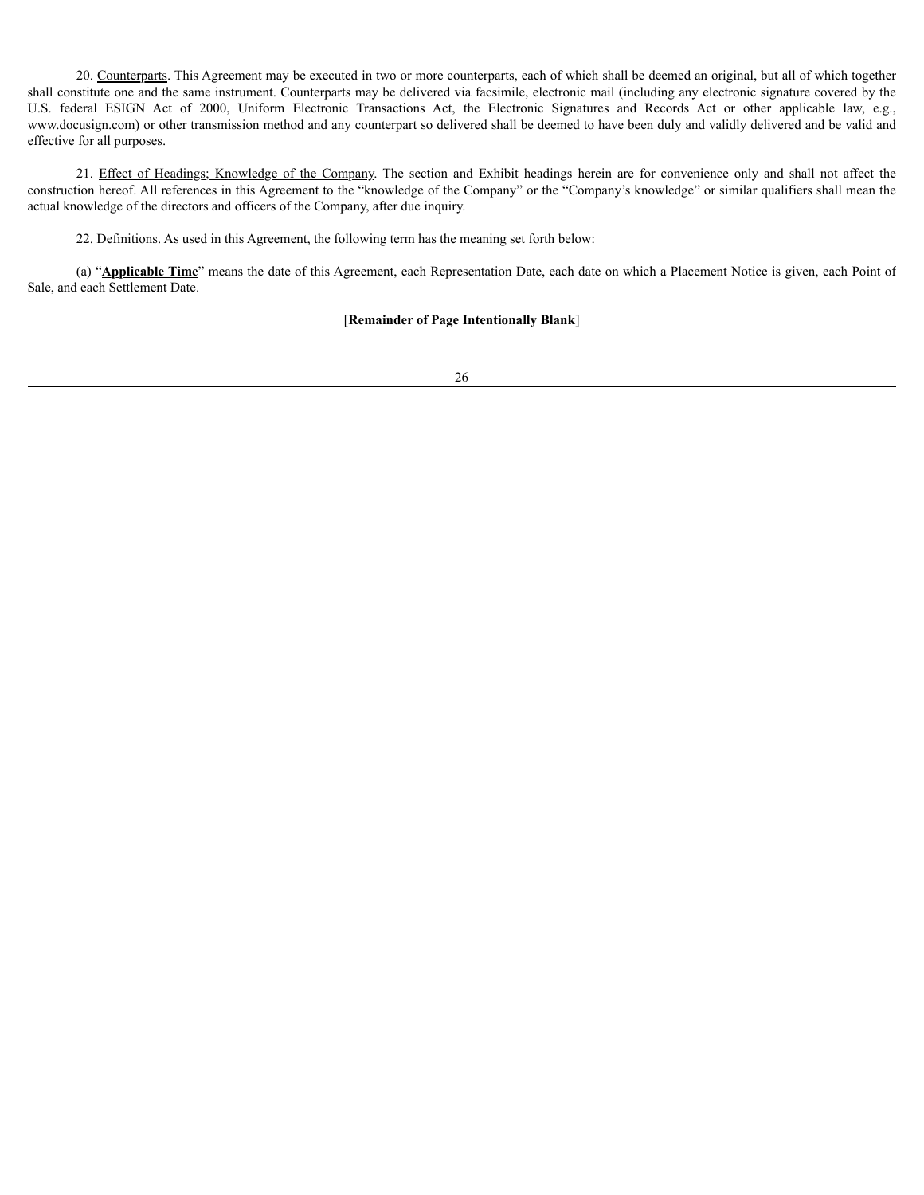20. Counterparts. This Agreement may be executed in two or more counterparts, each of which shall be deemed an original, but all of which together shall constitute one and the same instrument. Counterparts may be delivered via facsimile, electronic mail (including any electronic signature covered by the U.S. federal ESIGN Act of 2000, Uniform Electronic Transactions Act, the Electronic Signatures and Records Act or other applicable law, e.g., www.docusign.com) or other transmission method and any counterpart so delivered shall be deemed to have been duly and validly delivered and be valid and effective for all purposes.

21. Effect of Headings; Knowledge of the Company. The section and Exhibit headings herein are for convenience only and shall not affect the construction hereof. All references in this Agreement to the "knowledge of the Company" or the "Company's knowledge" or similar qualifiers shall mean the actual knowledge of the directors and officers of the Company, after due inquiry.

22. Definitions. As used in this Agreement, the following term has the meaning set forth below:

(a) "**Applicable Time**" means the date of this Agreement, each Representation Date, each date on which a Placement Notice is given, each Point of Sale, and each Settlement Date.

# [**Remainder of Page Intentionally Blank**]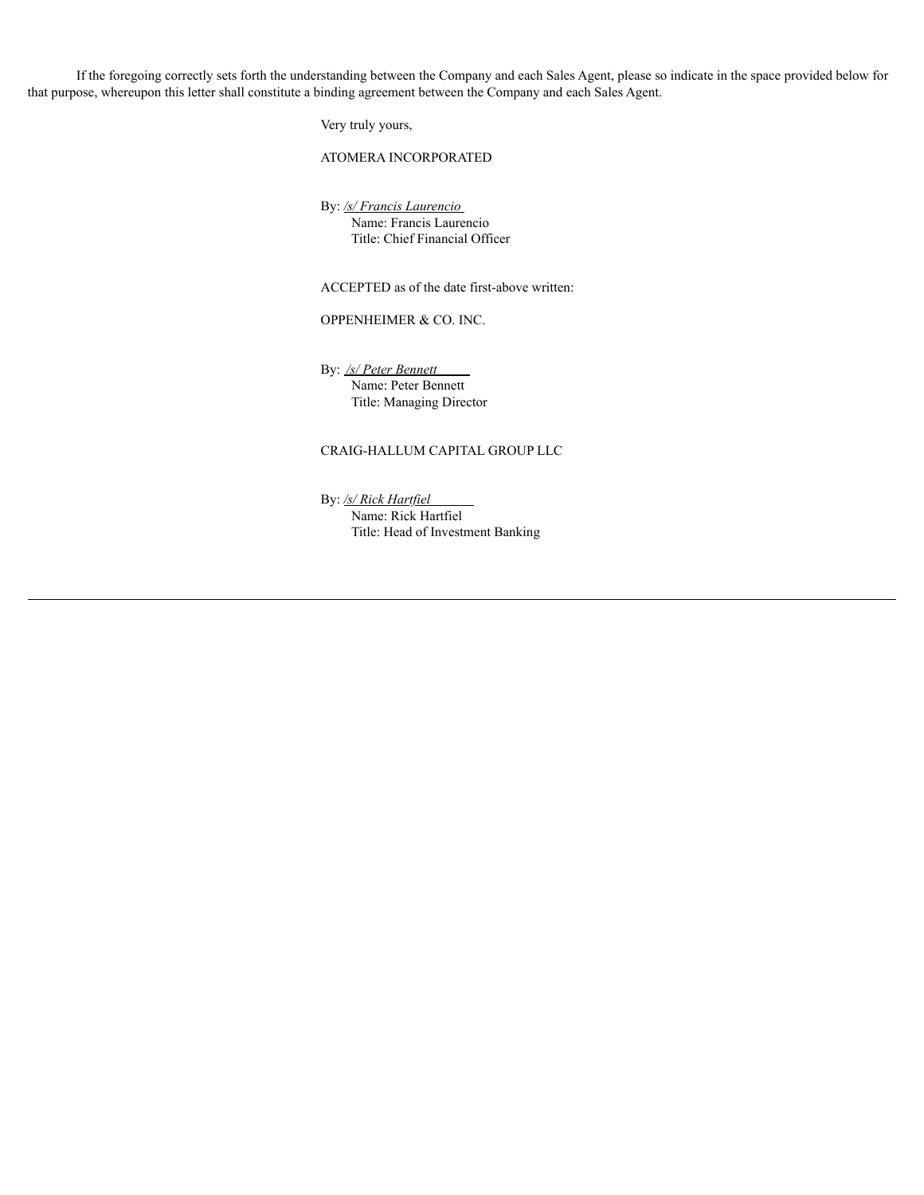If the foregoing correctly sets forth the understanding between the Company and each Sales Agent, please so indicate in the space provided below for that purpose, whereupon this letter shall constitute a binding agreement between the Company and each Sales Agent.

Very truly yours,

ATOMERA INCORPORATED

By: */s/ Francis Laurencio* Name: Francis Laurencio Title: Chief Financial Officer

ACCEPTED as of the date first-above written:

OPPENHEIMER & CO. INC.

By: */s/ Peter Bennett* Name: Peter Bennett Title: Managing Director

# CRAIG-HALLUM CAPITAL GROUP LLC

By: */s/ Rick Hartfiel* Name: Rick Hartfiel Title: Head of Investment Banking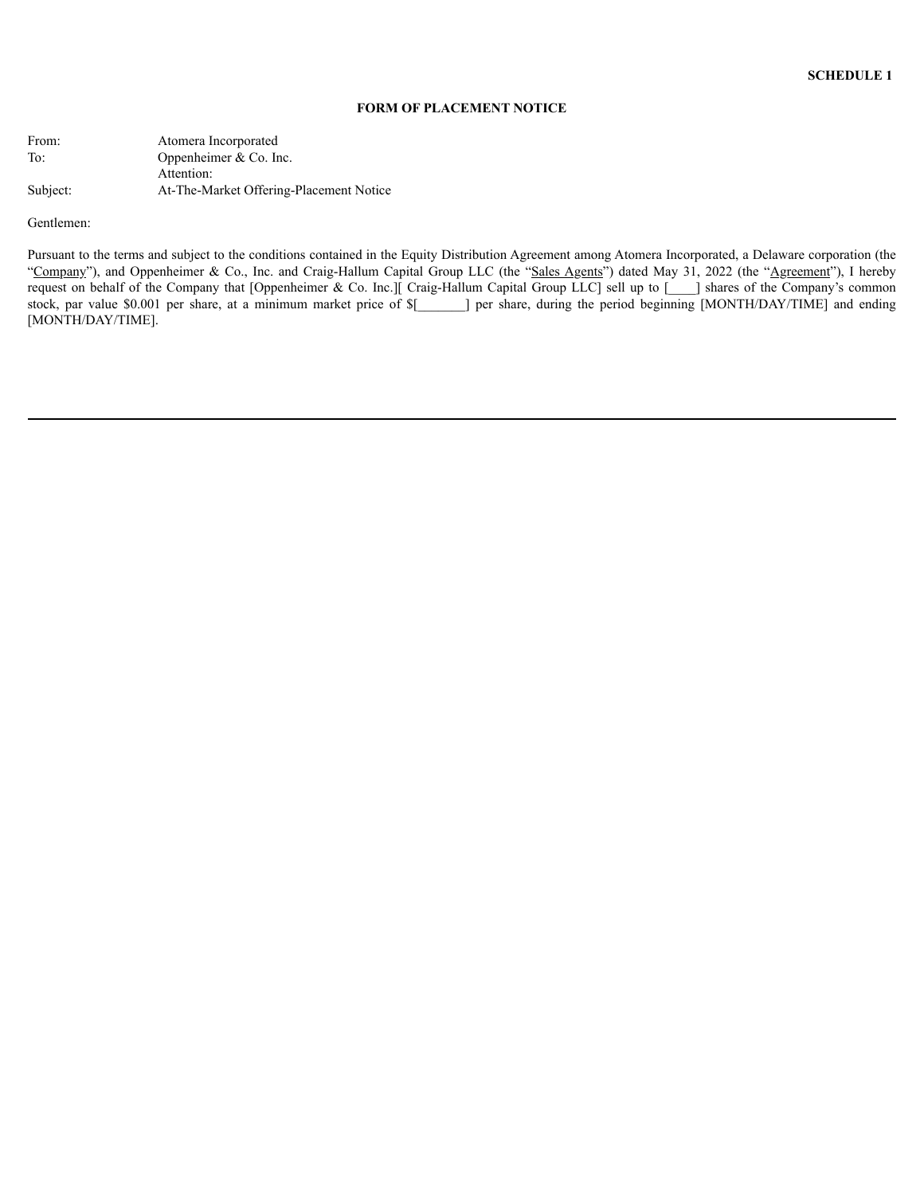### **FORM OF PLACEMENT NOTICE**

| From:    | Atomera Incorporated                    |
|----------|-----------------------------------------|
| To:      | Oppenheimer $& Co.$ Inc.                |
|          | Attention:                              |
| Subject: | At-The-Market Offering-Placement Notice |

Gentlemen:

Pursuant to the terms and subject to the conditions contained in the Equity Distribution Agreement among Atomera Incorporated, a Delaware corporation (the "Company"), and Oppenheimer & Co., Inc. and Craig-Hallum Capital Group LLC (the "Sales Agents") dated May 31, 2022 (the "Agreement"), I hereby request on behalf of the Company that [Oppenheimer & Co. Inc.][ Craig-Hallum Capital Group LLC] sell up to [ als ares of the Company's common stock, par value \$0.001 per share, at a minimum market price of \$[\_\_\_\_\_\_\_] per share, during the period beginning [MONTH/DAY/TIME] and ending [MONTH/DAY/TIME].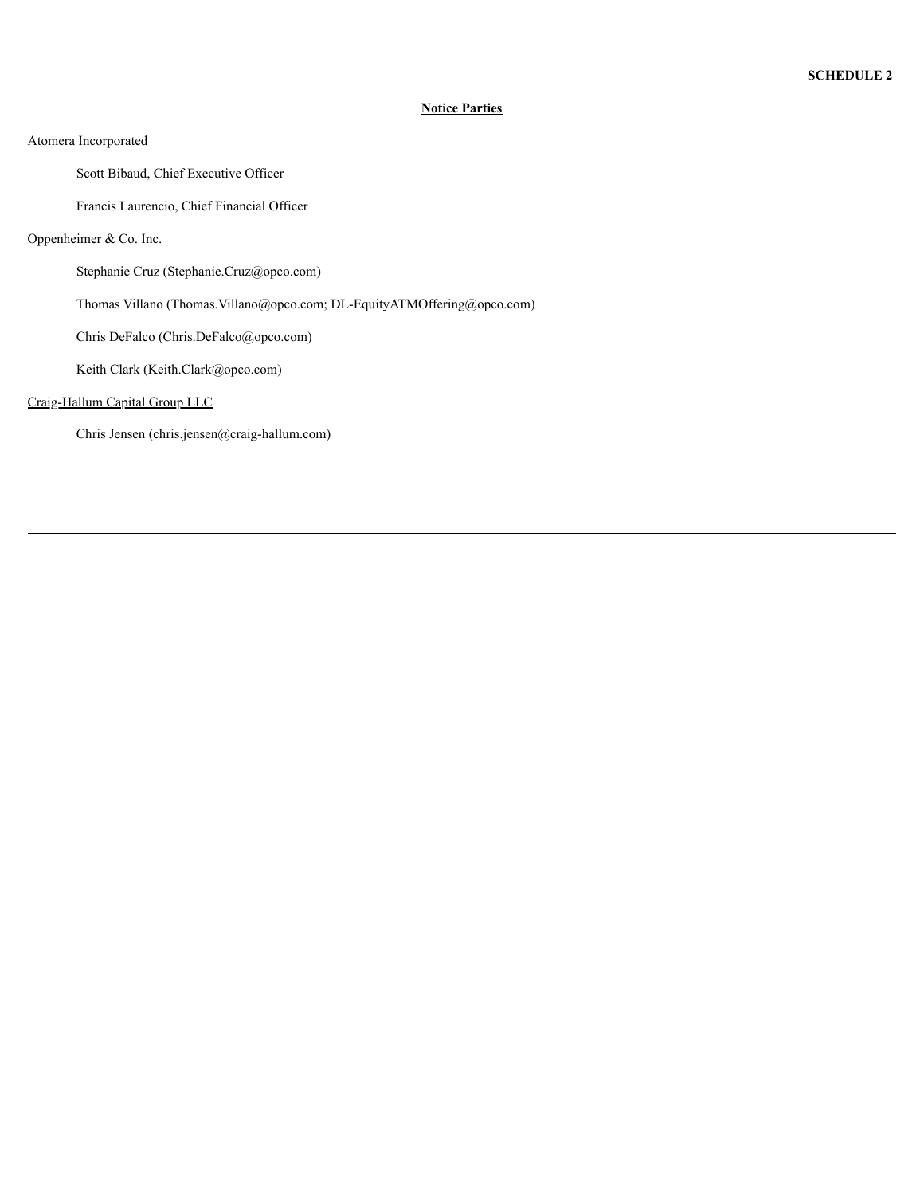# **Notice Parties**

# Atomera Incorporated

Scott Bibaud, Chief Executive Officer

Francis Laurencio, Chief Financial Officer

# Oppenheimer & Co. Inc.

Stephanie Cruz (Stephanie.Cruz@opco.com)

Thomas Villano (Thomas.Villano@opco.com; DL-EquityATMOffering@opco.com)

Chris DeFalco (Chris.DeFalco@opco.com)

Keith Clark (Keith.Clark@opco.com)

# Craig-Hallum Capital Group LLC

Chris Jensen (chris.jensen@craig-hallum.com)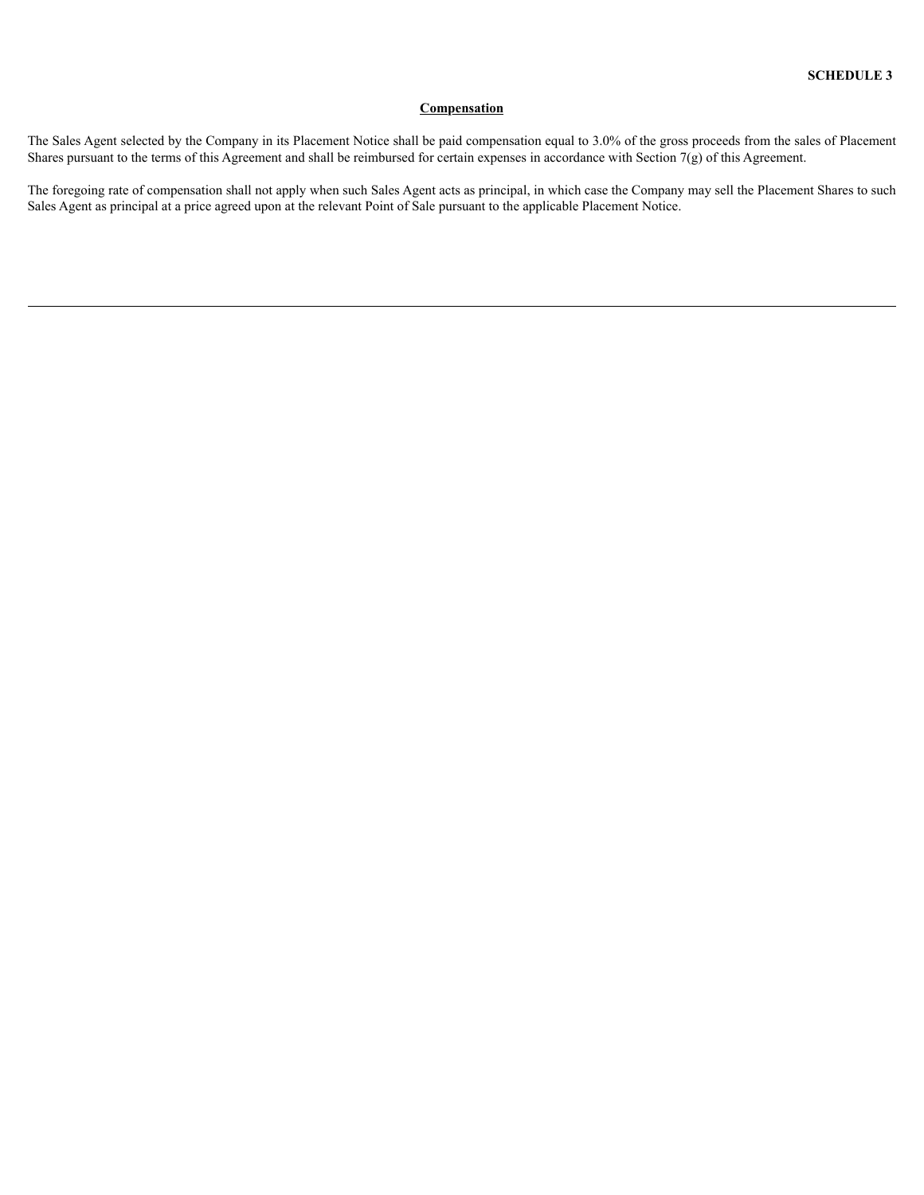# **Compensation**

The Sales Agent selected by the Company in its Placement Notice shall be paid compensation equal to 3.0% of the gross proceeds from the sales of Placement Shares pursuant to the terms of this Agreement and shall be reimbursed for certain expenses in accordance with Section 7(g) of this Agreement.

The foregoing rate of compensation shall not apply when such Sales Agent acts as principal, in which case the Company may sell the Placement Shares to such Sales Agent as principal at a price agreed upon at the relevant Point of Sale pursuant to the applicable Placement Notice.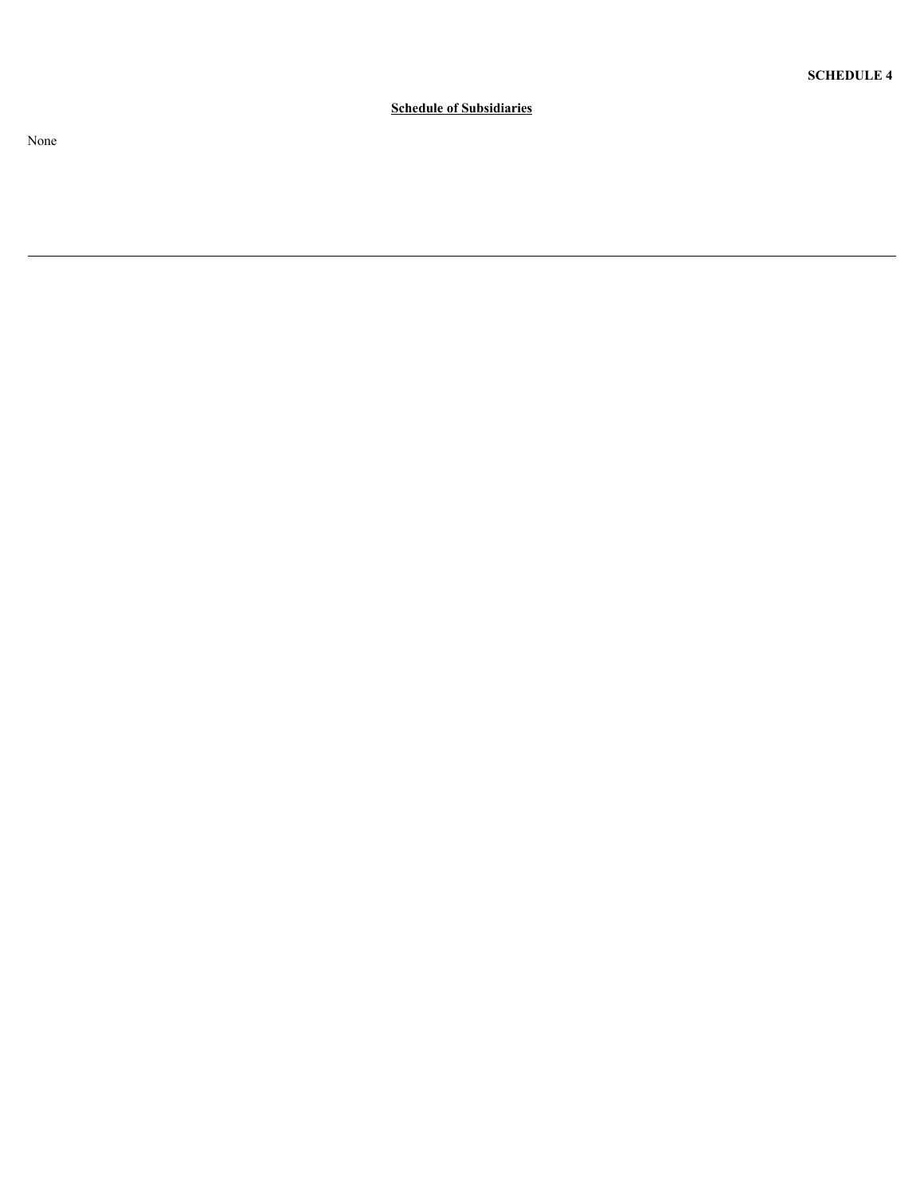Schedule of Subsidiaries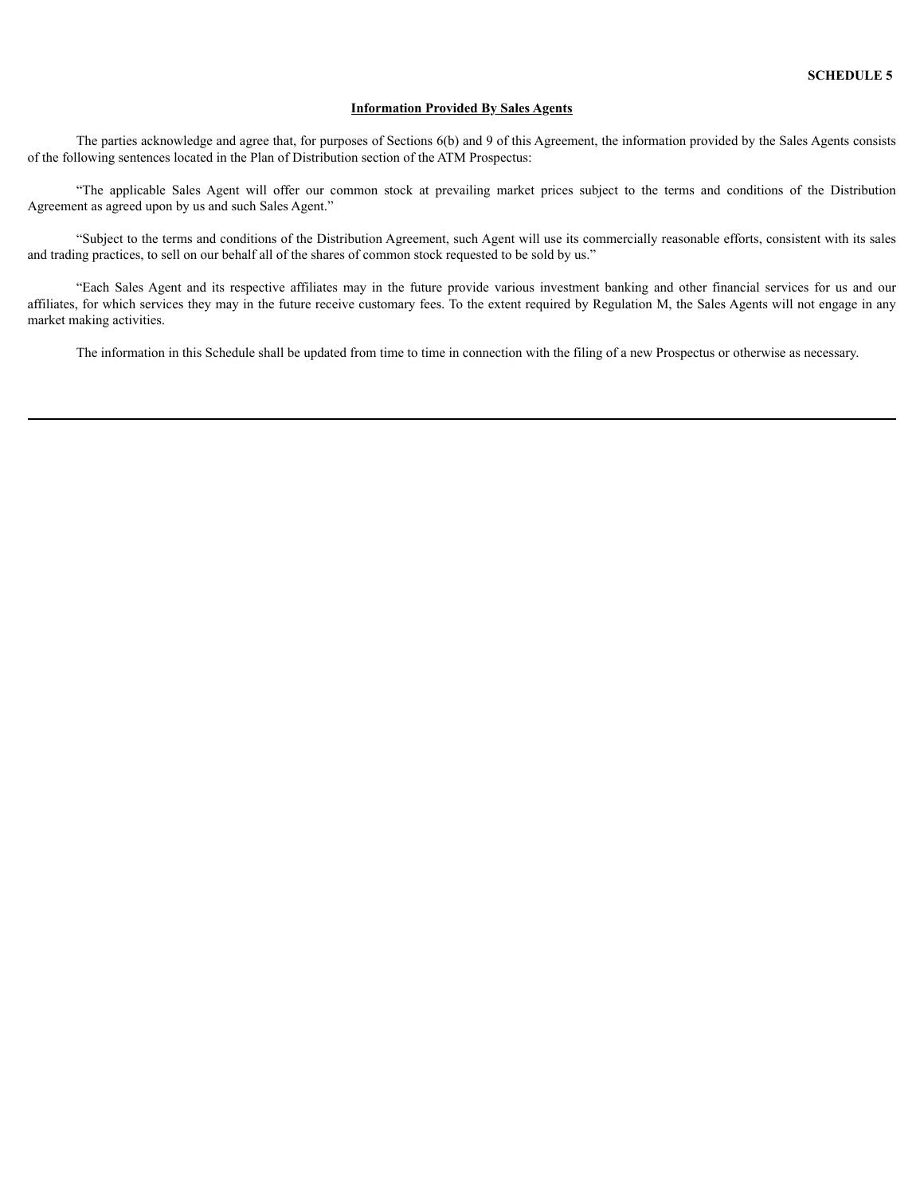### **Information Provided By Sales Agents**

The parties acknowledge and agree that, for purposes of Sections 6(b) and 9 of this Agreement, the information provided by the Sales Agents consists of the following sentences located in the Plan of Distribution section of the ATM Prospectus:

"The applicable Sales Agent will offer our common stock at prevailing market prices subject to the terms and conditions of the Distribution Agreement as agreed upon by us and such Sales Agent."

"Subject to the terms and conditions of the Distribution Agreement, such Agent will use its commercially reasonable efforts, consistent with its sales and trading practices, to sell on our behalf all of the shares of common stock requested to be sold by us."

"Each Sales Agent and its respective affiliates may in the future provide various investment banking and other financial services for us and our affiliates, for which services they may in the future receive customary fees. To the extent required by Regulation M, the Sales Agents will not engage in any market making activities.

The information in this Schedule shall be updated from time to time in connection with the filing of a new Prospectus or otherwise as necessary.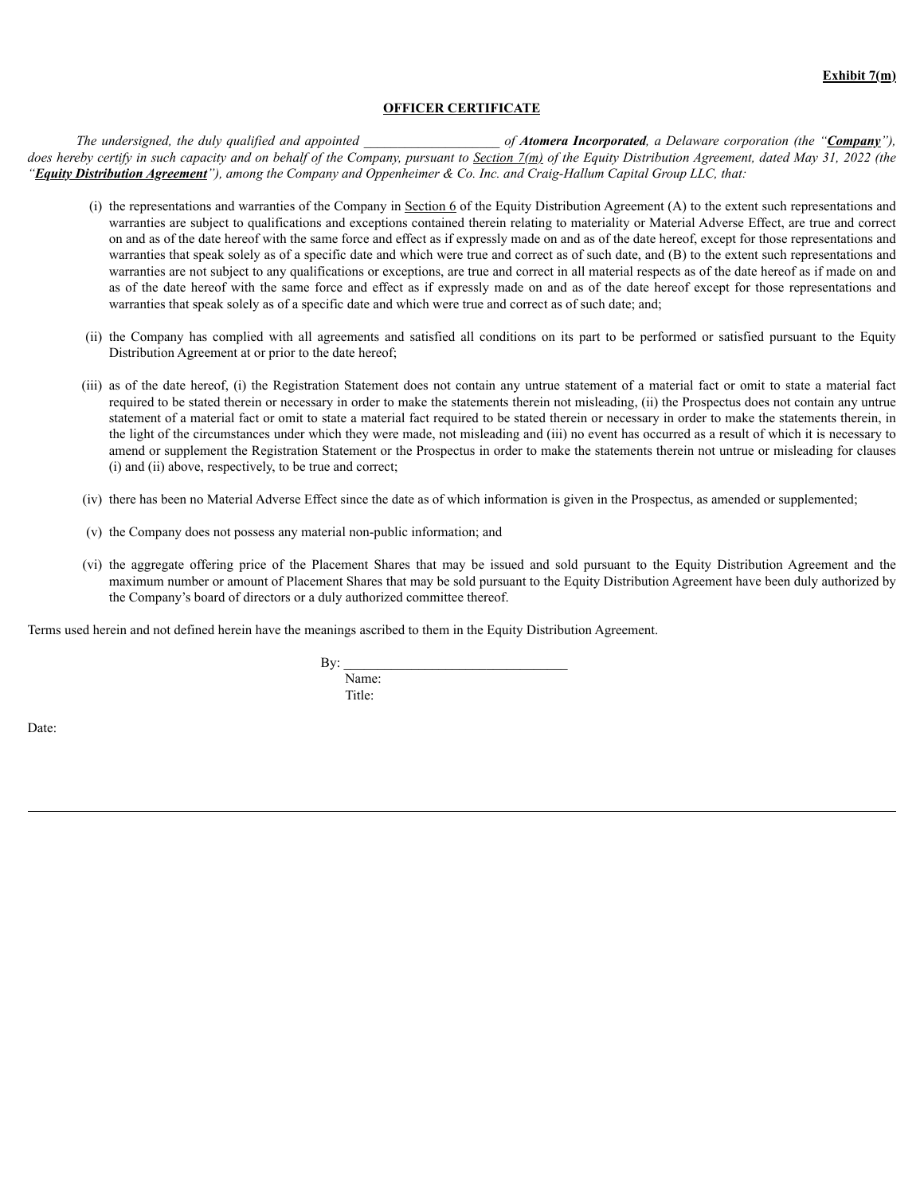## **OFFICER CERTIFICATE**

The undersigned, the duly qualified and appointed *for the same of Atomera Incorporated*, a Delaware corporation (the "*Company*"), does hereby certify in such capacity and on behalf of the Company, pursuant to Section 7(m) of the Equity Distribution Agreement, dated May 31, 2022 (the "Equity Distribution Agreement"), among the Company and Oppenheimer & Co. Inc. and Craig-Hallum Capital Group LLC, that:

- (i) the representations and warranties of the Company in Section 6 of the Equity Distribution Agreement (A) to the extent such representations and warranties are subject to qualifications and exceptions contained therein relating to materiality or Material Adverse Effect, are true and correct on and as of the date hereof with the same force and effect as if expressly made on and as of the date hereof, except for those representations and warranties that speak solely as of a specific date and which were true and correct as of such date, and (B) to the extent such representations and warranties are not subject to any qualifications or exceptions, are true and correct in all material respects as of the date hereof as if made on and as of the date hereof with the same force and effect as if expressly made on and as of the date hereof except for those representations and warranties that speak solely as of a specific date and which were true and correct as of such date; and;
- (ii) the Company has complied with all agreements and satisfied all conditions on its part to be performed or satisfied pursuant to the Equity Distribution Agreement at or prior to the date hereof;
- (iii) as of the date hereof, (i) the Registration Statement does not contain any untrue statement of a material fact or omit to state a material fact required to be stated therein or necessary in order to make the statements therein not misleading, (ii) the Prospectus does not contain any untrue statement of a material fact or omit to state a material fact required to be stated therein or necessary in order to make the statements therein, in the light of the circumstances under which they were made, not misleading and (iii) no event has occurred as a result of which it is necessary to amend or supplement the Registration Statement or the Prospectus in order to make the statements therein not untrue or misleading for clauses (i) and (ii) above, respectively, to be true and correct;
- (iv) there has been no Material Adverse Effect since the date as of which information is given in the Prospectus, as amended or supplemented;
- (v) the Company does not possess any material non-public information; and
- (vi) the aggregate offering price of the Placement Shares that may be issued and sold pursuant to the Equity Distribution Agreement and the maximum number or amount of Placement Shares that may be sold pursuant to the Equity Distribution Agreement have been duly authorized by the Company's board of directors or a duly authorized committee thereof.

Terms used herein and not defined herein have the meanings ascribed to them in the Equity Distribution Agreement.

 $\mathbf{By:}$ Name: Title:

Date: